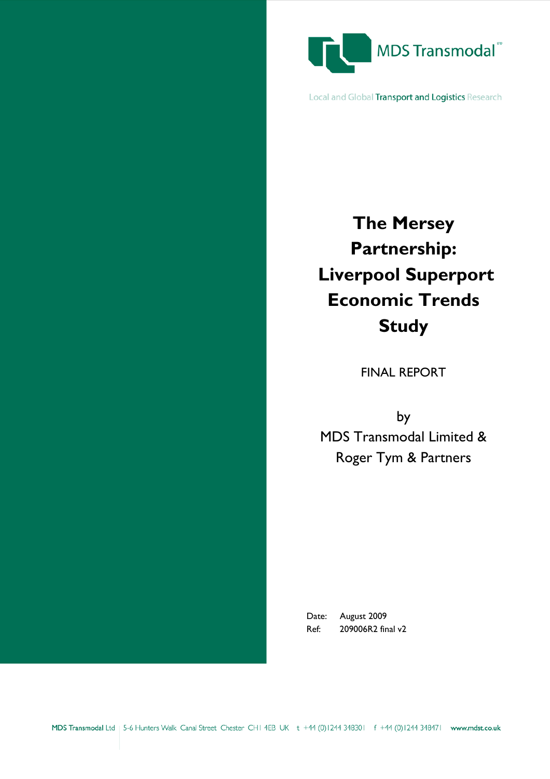

Local and Global Transport and Logistics Research

# **The Mersey Partnership: Liverpool Superport Economic Trends Study**

FINAL REPORT

by MDS Transmodal Limited & Roger Tym & Partners

Date: August 2009 Ref: 209006R2 final v2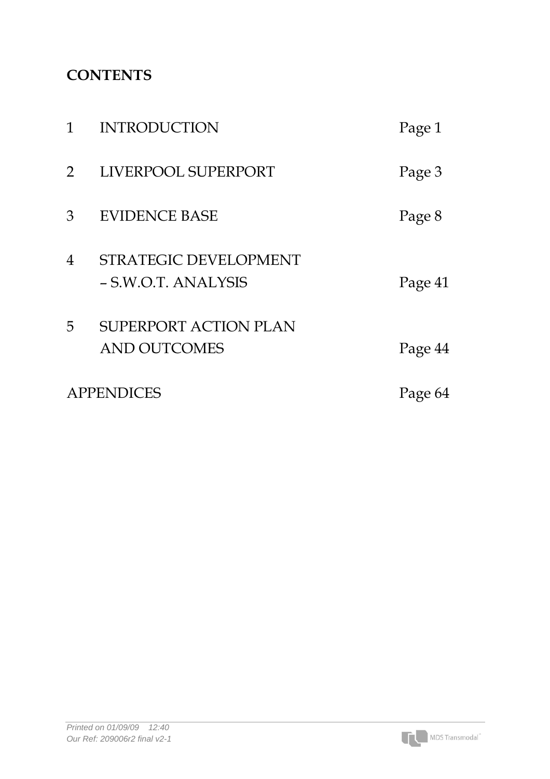## **CONTENTS**

| 1              | <b>INTRODUCTION</b>                                 | Page 1  |
|----------------|-----------------------------------------------------|---------|
| $\overline{2}$ | LIVERPOOL SUPERPORT                                 | Page 3  |
| 3              | <b>EVIDENCE BASE</b>                                | Page 8  |
| 4              | <b>STRATEGIC DEVELOPMENT</b><br>- S.W.O.T. ANALYSIS | Page 41 |
| 5              | <b>SUPERPORT ACTION PLAN</b><br><b>AND OUTCOMES</b> | Page 44 |
|                | <b>APPENDICES</b>                                   | Page 64 |

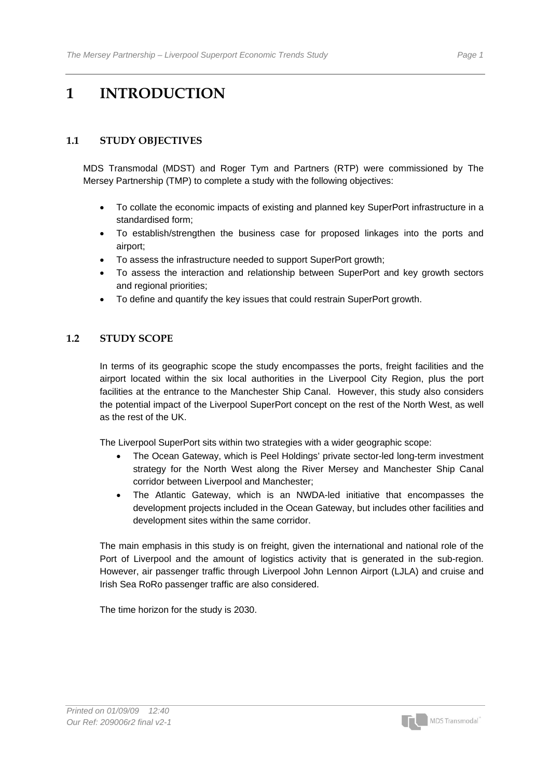## **1 INTRODUCTION**

#### **1.1 STUDY OBJECTIVES**

MDS Transmodal (MDST) and Roger Tym and Partners (RTP) were commissioned by The Mersey Partnership (TMP) to complete a study with the following objectives:

- To collate the economic impacts of existing and planned key SuperPort infrastructure in a standardised form;
- To establish/strengthen the business case for proposed linkages into the ports and airport;
- To assess the infrastructure needed to support SuperPort growth;
- To assess the interaction and relationship between SuperPort and key growth sectors and regional priorities;
- To define and quantify the key issues that could restrain SuperPort growth.

#### 1.2 STUDY SCOPE

In terms of its geographic scope the study encompasses the ports, freight facilities and the airport located within the six local authorities in the Liverpool City Region, plus the port facilities at the entrance to the Manchester Ship Canal. However, this study also considers the potential impact of the Liverpool SuperPort concept on the rest of the North West, as well as the rest of the UK.

The Liverpool SuperPort sits within two strategies with a wider geographic scope:

- The Ocean Gateway, which is Peel Holdings' private sector-led long-term investment strategy for the North West along the River Mersey and Manchester Ship Canal corridor between Liverpool and Manchester;
- The Atlantic Gateway, which is an NWDA-led initiative that encompasses the development projects included in the Ocean Gateway, but includes other facilities and development sites within the same corridor.

The main emphasis in this study is on freight, given the international and national role of the Port of Liverpool and the amount of logistics activity that is generated in the sub-region. However, air passenger traffic through Liverpool John Lennon Airport (LJLA) and cruise and Irish Sea RoRo passenger traffic are also considered.

The time horizon for the study is 2030.

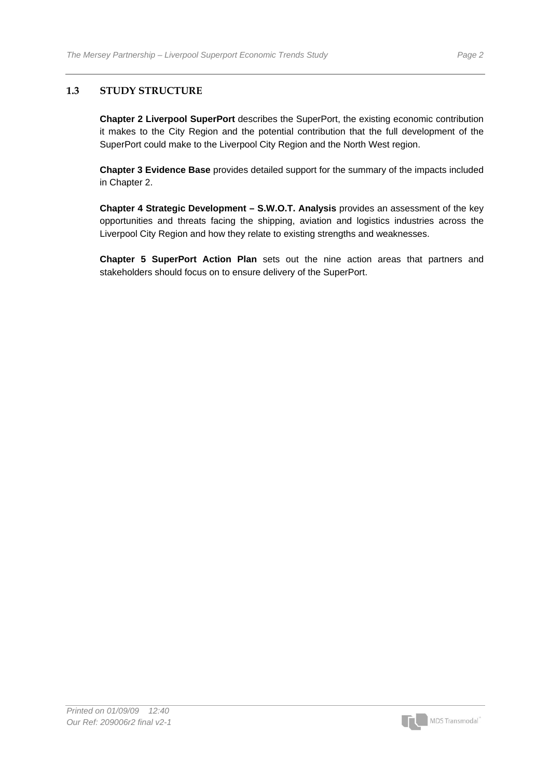#### **1.3 STUDY STRUCTURE**

**Chapter 2 Liverpool SuperPort** describes the SuperPort, the existing economic contribution it makes to the City Region and the potential contribution that the full development of the SuperPort could make to the Liverpool City Region and the North West region.

**Chapter 3 Evidence Base** provides detailed support for the summary of the impacts included in Chapter 2.

**Chapter 4 Strategic Development – S.W.O.T. Analysis** provides an assessment of the key opportunities and threats facing the shipping, aviation and logistics industries across the Liverpool City Region and how they relate to existing strengths and weaknesses.

**Chapter 5 SuperPort Action Plan** sets out the nine action areas that partners and stakeholders should focus on to ensure delivery of the SuperPort.



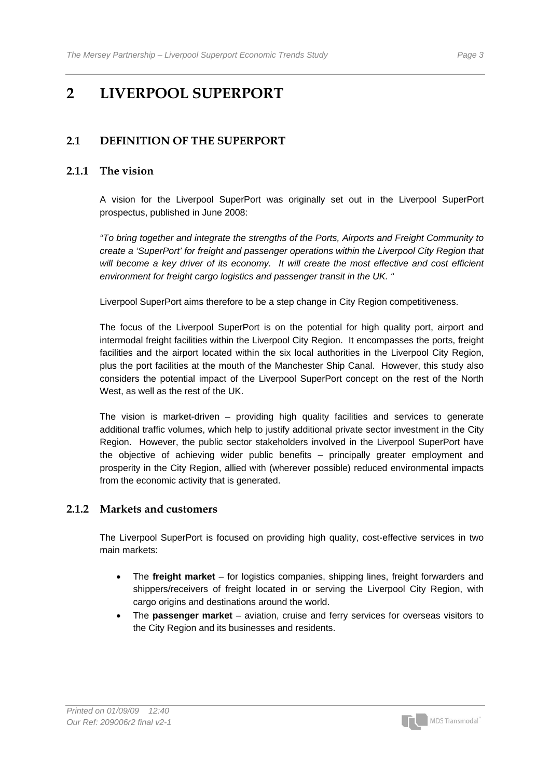## **2 LIVERPOOL SUPERPORT**

#### **2.1 DEFINITION OF THE SUPERPORT**

#### **2.1.1 The vision**

A vision for the Liverpool SuperPort was originally set out in the Liverpool SuperPort prospectus, published in June 2008:

*"To bring together and integrate the strengths of the Ports, Airports and Freight Community to create a 'SuperPort' for freight and passenger operations within the Liverpool City Region that will become a key driver of its economy. It will create the most effective and cost efficient environment for freight cargo logistics and passenger transit in the UK. "* 

Liverpool SuperPort aims therefore to be a step change in City Region competitiveness.

The focus of the Liverpool SuperPort is on the potential for high quality port, airport and intermodal freight facilities within the Liverpool City Region. It encompasses the ports, freight facilities and the airport located within the six local authorities in the Liverpool City Region, plus the port facilities at the mouth of the Manchester Ship Canal. However, this study also considers the potential impact of the Liverpool SuperPort concept on the rest of the North West, as well as the rest of the UK.

The vision is market-driven – providing high quality facilities and services to generate additional traffic volumes, which help to justify additional private sector investment in the City Region. However, the public sector stakeholders involved in the Liverpool SuperPort have the objective of achieving wider public benefits – principally greater employment and prosperity in the City Region, allied with (wherever possible) reduced environmental impacts from the economic activity that is generated.

#### **2.1.2 Markets and customers**

The Liverpool SuperPort is focused on providing high quality, cost-effective services in two main markets:

- The **freight market** for logistics companies, shipping lines, freight forwarders and shippers/receivers of freight located in or serving the Liverpool City Region, with cargo origins and destinations around the world.
- The **passenger market** aviation, cruise and ferry services for overseas visitors to the City Region and its businesses and residents.

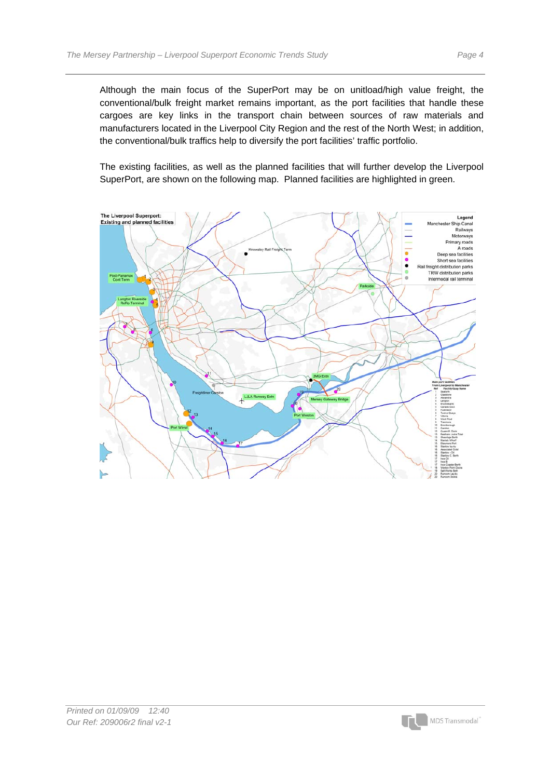Although the main focus of the SuperPort may be on unitload/high value freight, the conventional/bulk freight market remains important, as the port facilities that handle these cargoes are key links in the transport chain between sources of raw materials and manufacturers located in the Liverpool City Region and the rest of the North West; in addition, the conventional/bulk traffics help to diversify the port facilities' traffic portfolio.

The existing facilities, as well as the planned facilities that will further develop the Liverpool SuperPort, are shown on the following map. Planned facilities are highlighted in green.



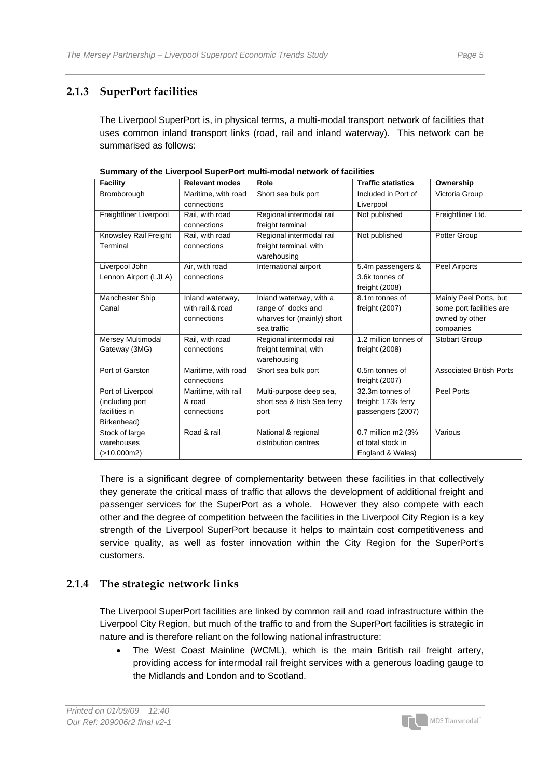#### **2.1.3 SuperPort facilities**

The Liverpool SuperPort is, in physical terms, a multi-modal transport network of facilities that uses common inland transport links (road, rail and inland waterway). This network can be summarised as follows:

| <b>Facility</b>        | <b>Relevant modes</b> | Role                        | <b>Traffic statistics</b> | Ownership                       |
|------------------------|-----------------------|-----------------------------|---------------------------|---------------------------------|
| Bromborough            | Maritime, with road   | Short sea bulk port         | Included in Port of       | Victoria Group                  |
|                        | connections           |                             | Liverpool                 |                                 |
| Freightliner Liverpool | Rail, with road       | Regional intermodal rail    | Not published             | Freightliner Ltd.               |
|                        | connections           | freight terminal            |                           |                                 |
| Knowsley Rail Freight  | Rail, with road       | Regional intermodal rail    | Not published             | Potter Group                    |
| Terminal               | connections           | freight terminal, with      |                           |                                 |
|                        |                       | warehousing                 |                           |                                 |
| Liverpool John         | Air, with road        | International airport       | 5.4m passengers &         | Peel Airports                   |
| Lennon Airport (LJLA)  | connections           |                             | 3.6k tonnes of            |                                 |
|                        |                       |                             | freight $(2008)$          |                                 |
| Manchester Ship        | Inland waterway,      | Inland waterway, with a     | 8.1m tonnes of            | Mainly Peel Ports, but          |
| Canal                  | with rail & road      | range of docks and          | freight (2007)            | some port facilities are        |
|                        | connections           | wharves for (mainly) short  |                           | owned by other                  |
|                        |                       | sea traffic                 |                           | companies                       |
| Mersey Multimodal      | Rail, with road       | Regional intermodal rail    | 1.2 million tonnes of     | <b>Stobart Group</b>            |
| Gateway (3MG)          | connections           | freight terminal, with      | freight (2008)            |                                 |
|                        |                       | warehousing                 |                           |                                 |
| Port of Garston        | Maritime, with road   | Short sea bulk port         | 0.5m tonnes of            | <b>Associated British Ports</b> |
|                        | connections           |                             | freight (2007)            |                                 |
| Port of Liverpool      | Maritime, with rail   | Multi-purpose deep sea,     | 32.3m tonnes of           | <b>Peel Ports</b>               |
| (including port        | & road                | short sea & Irish Sea ferry | freight; 173k ferry       |                                 |
| facilities in          | connections           | port                        | passengers (2007)         |                                 |
| Birkenhead)            |                       |                             |                           |                                 |
| Stock of large         | Road & rail           | National & regional         | 0.7 million m2 (3%        | Various                         |
| warehouses             |                       | distribution centres        | of total stock in         |                                 |
| (>10,000m2)            |                       |                             | England & Wales)          |                                 |

**Summary of the Liverpool SuperPort multi-modal network of facilities** 

There is a significant degree of complementarity between these facilities in that collectively they generate the critical mass of traffic that allows the development of additional freight and passenger services for the SuperPort as a whole. However they also compete with each other and the degree of competition between the facilities in the Liverpool City Region is a key strength of the Liverpool SuperPort because it helps to maintain cost competitiveness and service quality, as well as foster innovation within the City Region for the SuperPort's customers.

#### **2.1.4 The strategic network links**

The Liverpool SuperPort facilities are linked by common rail and road infrastructure within the Liverpool City Region, but much of the traffic to and from the SuperPort facilities is strategic in nature and is therefore reliant on the following national infrastructure:

• The West Coast Mainline (WCML), which is the main British rail freight artery, providing access for intermodal rail freight services with a generous loading gauge to the Midlands and London and to Scotland.

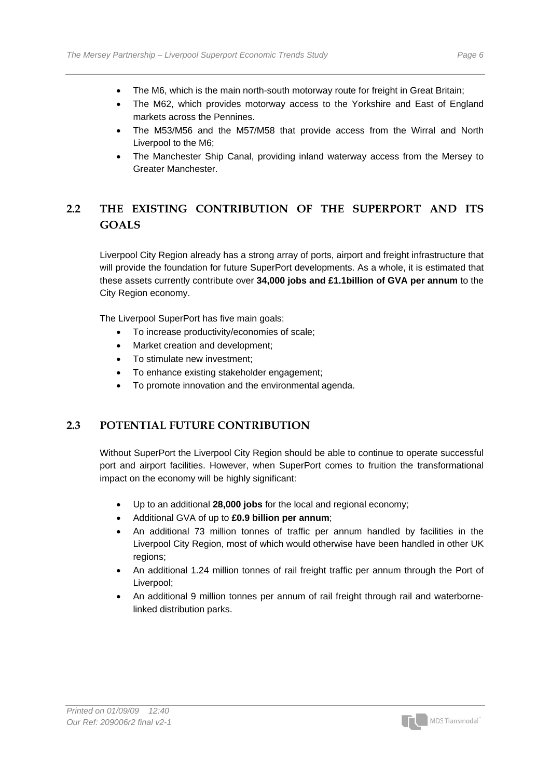- The M6, which is the main north-south motorway route for freight in Great Britain;
- The M62, which provides motorway access to the Yorkshire and East of England markets across the Pennines.
- The M53/M56 and the M57/M58 that provide access from the Wirral and North Liverpool to the M6;
- The Manchester Ship Canal, providing inland waterway access from the Mersey to Greater Manchester.

### **2.2 THE EXISTING CONTRIBUTION OF THE SUPERPORT AND ITS GOALS**

Liverpool City Region already has a strong array of ports, airport and freight infrastructure that will provide the foundation for future SuperPort developments. As a whole, it is estimated that these assets currently contribute over **34,000 jobs and £1.1billion of GVA per annum** to the City Region economy.

The Liverpool SuperPort has five main goals:

- To increase productivity/economies of scale;
- Market creation and development;
- To stimulate new investment:
- To enhance existing stakeholder engagement;
- To promote innovation and the environmental agenda.

#### **2.3 POTENTIAL FUTURE CONTRIBUTION**

Without SuperPort the Liverpool City Region should be able to continue to operate successful port and airport facilities. However, when SuperPort comes to fruition the transformational impact on the economy will be highly significant:

- Up to an additional **28,000 jobs** for the local and regional economy;
- Additional GVA of up to **£0.9 billion per annum**;
- An additional 73 million tonnes of traffic per annum handled by facilities in the Liverpool City Region, most of which would otherwise have been handled in other UK regions;
- An additional 1.24 million tonnes of rail freight traffic per annum through the Port of Liverpool;
- An additional 9 million tonnes per annum of rail freight through rail and waterbornelinked distribution parks.

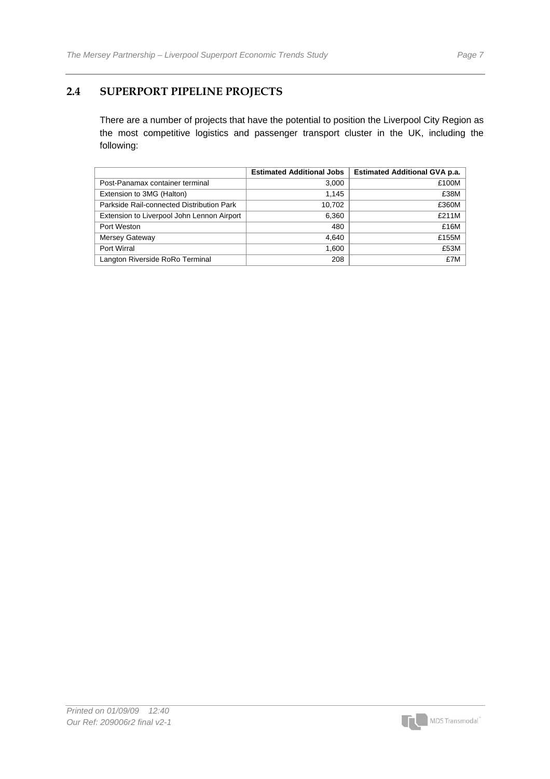#### **2.4 SUPERPORT PIPELINE PROJECTS**

There are a number of projects that have the potential to position the Liverpool City Region as the most competitive logistics and passenger transport cluster in the UK, including the following:

|                                            | <b>Estimated Additional Jobs</b> | <b>Estimated Additional GVA p.a.</b> |
|--------------------------------------------|----------------------------------|--------------------------------------|
| Post-Panamax container terminal            | 3,000                            | £100M                                |
| Extension to 3MG (Halton)                  | 1.145                            | £38M                                 |
| Parkside Rail-connected Distribution Park  | 10,702                           | £360M                                |
| Extension to Liverpool John Lennon Airport | 6,360                            | £211M                                |
| Port Weston                                | 480                              | £16M                                 |
| Mersey Gateway                             | 4.640                            | £155M                                |
| Port Wirral                                | 1,600                            | £53M                                 |
| Langton Riverside RoRo Terminal            | 208                              | £7M                                  |

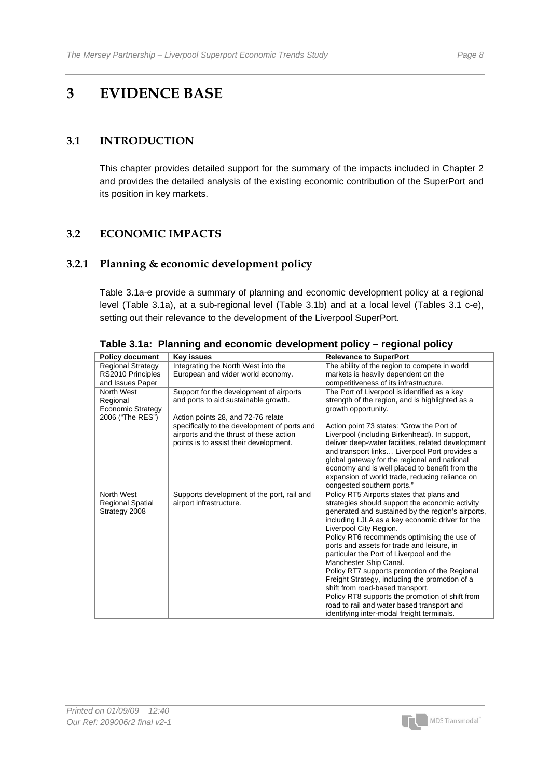## **3 EVIDENCE BASE**

#### **3.1 INTRODUCTION**

This chapter provides detailed support for the summary of the impacts included in Chapter 2 and provides the detailed analysis of the existing economic contribution of the SuperPort and its position in key markets.

#### **3.2 ECONOMIC IMPACTS**

#### **3.2.1 Planning & economic development policy**

Table 3.1a-e provide a summary of planning and economic development policy at a regional level (Table 3.1a), at a sub-regional level (Table 3.1b) and at a local level (Tables 3.1 c-e), setting out their relevance to the development of the Liverpool SuperPort.

| <b>Policy document</b>                                          | Key issues                                                                                                                                                                                                                                                 | <b>Relevance to SuperPort</b>                                                                                                                                                                                                                                                                                                                                                                                                                                                                                                                                                                                                                                                           |
|-----------------------------------------------------------------|------------------------------------------------------------------------------------------------------------------------------------------------------------------------------------------------------------------------------------------------------------|-----------------------------------------------------------------------------------------------------------------------------------------------------------------------------------------------------------------------------------------------------------------------------------------------------------------------------------------------------------------------------------------------------------------------------------------------------------------------------------------------------------------------------------------------------------------------------------------------------------------------------------------------------------------------------------------|
| <b>Regional Strategy</b>                                        | Integrating the North West into the                                                                                                                                                                                                                        | The ability of the region to compete in world                                                                                                                                                                                                                                                                                                                                                                                                                                                                                                                                                                                                                                           |
| RS2010 Principles                                               | European and wider world economy.                                                                                                                                                                                                                          | markets is heavily dependent on the                                                                                                                                                                                                                                                                                                                                                                                                                                                                                                                                                                                                                                                     |
| and Issues Paper                                                |                                                                                                                                                                                                                                                            | competitiveness of its infrastructure.                                                                                                                                                                                                                                                                                                                                                                                                                                                                                                                                                                                                                                                  |
| North West<br>Regional<br>Economic Strategy<br>2006 ("The RES") | Support for the development of airports<br>and ports to aid sustainable growth.<br>Action points 28, and 72-76 relate<br>specifically to the development of ports and<br>airports and the thrust of these action<br>points is to assist their development. | The Port of Liverpool is identified as a key<br>strength of the region, and is highlighted as a<br>growth opportunity.<br>Action point 73 states: "Grow the Port of<br>Liverpool (including Birkenhead). In support,<br>deliver deep-water facilities, related development<br>and transport links Liverpool Port provides a<br>global gateway for the regional and national<br>economy and is well placed to benefit from the<br>expansion of world trade, reducing reliance on                                                                                                                                                                                                         |
|                                                                 |                                                                                                                                                                                                                                                            | congested southern ports."                                                                                                                                                                                                                                                                                                                                                                                                                                                                                                                                                                                                                                                              |
| North West<br><b>Regional Spatial</b><br>Strategy 2008          | Supports development of the port, rail and<br>airport infrastructure.                                                                                                                                                                                      | Policy RT5 Airports states that plans and<br>strategies should support the economic activity<br>generated and sustained by the region's airports,<br>including LJLA as a key economic driver for the<br>Liverpool City Region.<br>Policy RT6 recommends optimising the use of<br>ports and assets for trade and leisure, in<br>particular the Port of Liverpool and the<br>Manchester Ship Canal.<br>Policy RT7 supports promotion of the Regional<br>Freight Strategy, including the promotion of a<br>shift from road-based transport.<br>Policy RT8 supports the promotion of shift from<br>road to rail and water based transport and<br>identifying inter-modal freight terminals. |

**Table 3.1a: Planning and economic development policy – regional policy** 

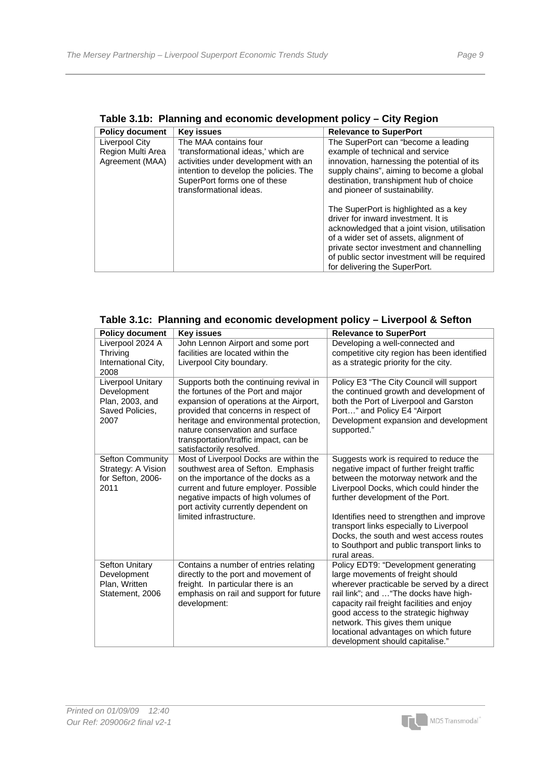| <b>Policy document</b> | <b>Key issues</b>                                                                                                                         | <b>Relevance to SuperPort</b>                                                                                                                                                                                                                                                                         |
|------------------------|-------------------------------------------------------------------------------------------------------------------------------------------|-------------------------------------------------------------------------------------------------------------------------------------------------------------------------------------------------------------------------------------------------------------------------------------------------------|
| Liverpool City         | The MAA contains four                                                                                                                     | The SuperPort can "become a leading                                                                                                                                                                                                                                                                   |
| Region Multi Area      | 'transformational ideas,' which are                                                                                                       | example of technical and service                                                                                                                                                                                                                                                                      |
| Agreement (MAA)        | activities under development with an<br>intention to develop the policies. The<br>SuperPort forms one of these<br>transformational ideas. | innovation, harnessing the potential of its<br>supply chains", aiming to become a global<br>destination, transhipment hub of choice<br>and pioneer of sustainability.                                                                                                                                 |
|                        |                                                                                                                                           | The SuperPort is highlighted as a key<br>driver for inward investment. It is<br>acknowledged that a joint vision, utilisation<br>of a wider set of assets, alignment of<br>private sector investment and channelling<br>of public sector investment will be required<br>for delivering the SuperPort. |

**Table 3.1b: Planning and economic development policy – City Region** 

|  |  |  |  |  | Table 3.1c: Planning and economic development policy - Liverpool & Sefton |
|--|--|--|--|--|---------------------------------------------------------------------------|
|--|--|--|--|--|---------------------------------------------------------------------------|

| <b>Policy document</b>                                                         | <b>Key issues</b>                                                                                                                                                                                                                                                                                                  | <b>Relevance to SuperPort</b>                                                                                                                                                                                                                                                                                                                                                                                 |
|--------------------------------------------------------------------------------|--------------------------------------------------------------------------------------------------------------------------------------------------------------------------------------------------------------------------------------------------------------------------------------------------------------------|---------------------------------------------------------------------------------------------------------------------------------------------------------------------------------------------------------------------------------------------------------------------------------------------------------------------------------------------------------------------------------------------------------------|
| Liverpool 2024 A<br>Thriving<br>International City,<br>2008                    | John Lennon Airport and some port<br>facilities are located within the<br>Liverpool City boundary.                                                                                                                                                                                                                 | Developing a well-connected and<br>competitive city region has been identified<br>as a strategic priority for the city.                                                                                                                                                                                                                                                                                       |
| Liverpool Unitary<br>Development<br>Plan, 2003, and<br>Saved Policies,<br>2007 | Supports both the continuing revival in<br>the fortunes of the Port and major<br>expansion of operations at the Airport,<br>provided that concerns in respect of<br>heritage and environmental protection,<br>nature conservation and surface<br>transportation/traffic impact, can be<br>satisfactorily resolved. | Policy E3 "The City Council will support<br>the continued growth and development of<br>both the Port of Liverpool and Garston<br>Port" and Policy E4 "Airport<br>Development expansion and development<br>supported."                                                                                                                                                                                         |
| <b>Sefton Community</b><br>Strategy: A Vision<br>for Sefton, 2006-<br>2011     | Most of Liverpool Docks are within the<br>southwest area of Sefton. Emphasis<br>on the importance of the docks as a<br>current and future employer. Possible<br>negative impacts of high volumes of<br>port activity currently dependent on<br>limited infrastructure.                                             | Suggests work is required to reduce the<br>negative impact of further freight traffic<br>between the motorway network and the<br>Liverpool Docks, which could hinder the<br>further development of the Port.<br>Identifies need to strengthen and improve<br>transport links especially to Liverpool<br>Docks, the south and west access routes<br>to Southport and public transport links to<br>rural areas. |
| Sefton Unitary<br>Development<br>Plan, Written<br>Statement, 2006              | Contains a number of entries relating<br>directly to the port and movement of<br>freight. In particular there is an<br>emphasis on rail and support for future<br>development:                                                                                                                                     | Policy EDT9: "Development generating<br>large movements of freight should<br>wherever practicable be served by a direct<br>rail link"; and  "The docks have high-<br>capacity rail freight facilities and enjoy<br>good access to the strategic highway<br>network. This gives them unique<br>locational advantages on which future<br>development should capitalise."                                        |

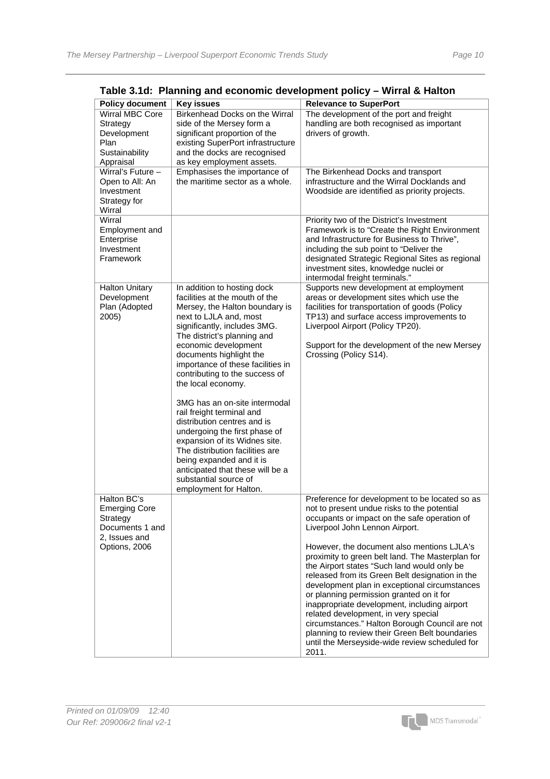| <b>Policy document</b>                                                                               | <b>Key issues</b>                                                                                                                                                                                                                                                                                                                                                                                                                                                                                                                                                                                                                                             | <b>Relevance to SuperPort</b>                                                                                                                                                                                                                                                                                                                                                                                                                                                                                                                                                                                                                                                                                                           |
|------------------------------------------------------------------------------------------------------|---------------------------------------------------------------------------------------------------------------------------------------------------------------------------------------------------------------------------------------------------------------------------------------------------------------------------------------------------------------------------------------------------------------------------------------------------------------------------------------------------------------------------------------------------------------------------------------------------------------------------------------------------------------|-----------------------------------------------------------------------------------------------------------------------------------------------------------------------------------------------------------------------------------------------------------------------------------------------------------------------------------------------------------------------------------------------------------------------------------------------------------------------------------------------------------------------------------------------------------------------------------------------------------------------------------------------------------------------------------------------------------------------------------------|
| Wirral MBC Core<br>Strategy<br>Development<br>Plan<br>Sustainability<br>Appraisal                    | Birkenhead Docks on the Wirral<br>side of the Mersey form a<br>significant proportion of the<br>existing SuperPort infrastructure<br>and the docks are recognised<br>as key employment assets.                                                                                                                                                                                                                                                                                                                                                                                                                                                                | The development of the port and freight<br>handling are both recognised as important<br>drivers of growth.                                                                                                                                                                                                                                                                                                                                                                                                                                                                                                                                                                                                                              |
| Wirral's Future -<br>Open to All: An<br>Investment<br>Strategy for<br>Wirral                         | Emphasises the importance of<br>the maritime sector as a whole.                                                                                                                                                                                                                                                                                                                                                                                                                                                                                                                                                                                               | The Birkenhead Docks and transport<br>infrastructure and the Wirral Docklands and<br>Woodside are identified as priority projects.                                                                                                                                                                                                                                                                                                                                                                                                                                                                                                                                                                                                      |
| Wirral<br>Employment and<br>Enterprise<br>Investment<br>Framework                                    |                                                                                                                                                                                                                                                                                                                                                                                                                                                                                                                                                                                                                                                               | Priority two of the District's Investment<br>Framework is to "Create the Right Environment<br>and Infrastructure for Business to Thrive",<br>including the sub point to "Deliver the<br>designated Strategic Regional Sites as regional<br>investment sites, knowledge nuclei or<br>intermodal freight terminals."                                                                                                                                                                                                                                                                                                                                                                                                                      |
| <b>Halton Unitary</b><br>Development<br>Plan (Adopted<br>2005)                                       | In addition to hosting dock<br>facilities at the mouth of the<br>Mersey, the Halton boundary is<br>next to LJLA and, most<br>significantly, includes 3MG.<br>The district's planning and<br>economic development<br>documents highlight the<br>importance of these facilities in<br>contributing to the success of<br>the local economy.<br>3MG has an on-site intermodal<br>rail freight terminal and<br>distribution centres and is<br>undergoing the first phase of<br>expansion of its Widnes site.<br>The distribution facilities are<br>being expanded and it is<br>anticipated that these will be a<br>substantial source of<br>employment for Halton. | Supports new development at employment<br>areas or development sites which use the<br>facilities for transportation of goods (Policy<br>TP13) and surface access improvements to<br>Liverpool Airport (Policy TP20).<br>Support for the development of the new Mersey<br>Crossing (Policy S14).                                                                                                                                                                                                                                                                                                                                                                                                                                         |
| Halton BC's<br><b>Emerging Core</b><br>Strategy<br>Documents 1 and<br>2, Issues and<br>Options, 2006 |                                                                                                                                                                                                                                                                                                                                                                                                                                                                                                                                                                                                                                                               | Preference for development to be located so as<br>not to present undue risks to the potential<br>occupants or impact on the safe operation of<br>Liverpool John Lennon Airport.<br>However, the document also mentions LJLA's<br>proximity to green belt land. The Masterplan for<br>the Airport states "Such land would only be<br>released from its Green Belt designation in the<br>development plan in exceptional circumstances<br>or planning permission granted on it for<br>inappropriate development, including airport<br>related development, in very special<br>circumstances." Halton Borough Council are not<br>planning to review their Green Belt boundaries<br>until the Merseyside-wide review scheduled for<br>2011. |

**Table 3.1d: Planning and economic development policy – Wirral & Halton** 

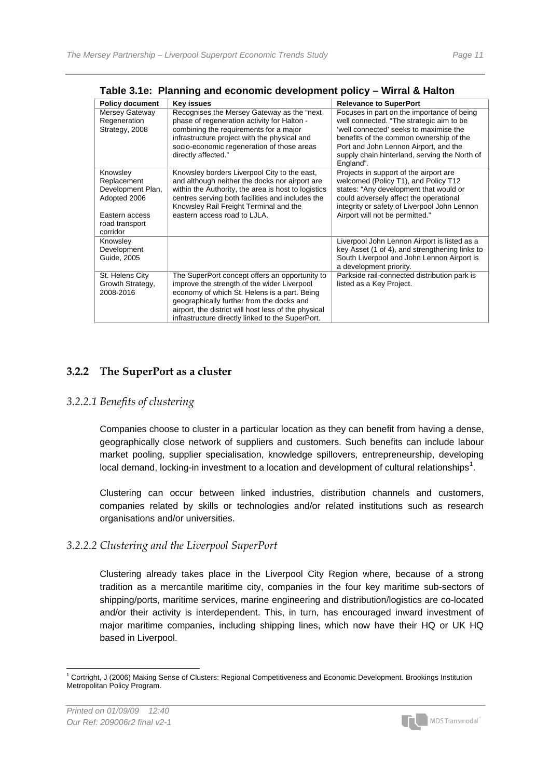| <b>Policy document</b>                                                                                       | Key issues                                                                                                                                                                                                                                                                                             | <b>Relevance to SuperPort</b>                                                                                                                                                                                                                                                      |  |  |  |  |  |  |
|--------------------------------------------------------------------------------------------------------------|--------------------------------------------------------------------------------------------------------------------------------------------------------------------------------------------------------------------------------------------------------------------------------------------------------|------------------------------------------------------------------------------------------------------------------------------------------------------------------------------------------------------------------------------------------------------------------------------------|--|--|--|--|--|--|
| Mersey Gateway<br>Regeneration<br>Strategy, 2008                                                             | Recognises the Mersey Gateway as the "next"<br>phase of regeneration activity for Halton -<br>combining the requirements for a major<br>infrastructure project with the physical and<br>socio-economic regeneration of those areas<br>directly affected."                                              | Focuses in part on the importance of being<br>well connected. "The strategic aim to be<br>'well connected' seeks to maximise the<br>benefits of the common ownership of the<br>Port and John Lennon Airport, and the<br>supply chain hinterland, serving the North of<br>England". |  |  |  |  |  |  |
| Knowsley<br>Replacement<br>Development Plan,<br>Adopted 2006<br>Eastern access<br>road transport<br>corridor | Knowsley borders Liverpool City to the east,<br>and although neither the docks nor airport are<br>within the Authority, the area is host to logistics<br>centres serving both facilities and includes the<br>Knowsley Rail Freight Terminal and the<br>eastern access road to LJLA.                    | Projects in support of the airport are<br>welcomed (Policy T1), and Policy T12<br>states: "Any development that would or<br>could adversely affect the operational<br>integrity or safety of Liverpool John Lennon<br>Airport will not be permitted."                              |  |  |  |  |  |  |
| Knowsley<br>Development<br>Guide, 2005                                                                       |                                                                                                                                                                                                                                                                                                        | Liverpool John Lennon Airport is listed as a<br>key Asset (1 of 4), and strengthening links to<br>South Liverpool and John Lennon Airport is<br>a development priority.                                                                                                            |  |  |  |  |  |  |
| St. Helens City<br>Growth Strategy,<br>2008-2016                                                             | The SuperPort concept offers an opportunity to<br>improve the strength of the wider Liverpool<br>economy of which St. Helens is a part. Being<br>geographically further from the docks and<br>airport, the district will host less of the physical<br>infrastructure directly linked to the SuperPort. | Parkside rail-connected distribution park is<br>listed as a Key Project.                                                                                                                                                                                                           |  |  |  |  |  |  |

**Table 3.1e: Planning and economic development policy – Wirral & Halton**

#### **3.2.2 The SuperPort as a cluster**

#### *3.2.2.1 Benefits of clustering*

Companies choose to cluster in a particular location as they can benefit from having a dense, geographically close network of suppliers and customers. Such benefits can include labour market pooling, supplier specialisation, knowledge spillovers, entrepreneurship, developing local demand, locking-in investment to a location and development of cultural relationships<sup>[1](#page-12-0)</sup>.

Clustering can occur between linked industries, distribution channels and customers, companies related by skills or technologies and/or related institutions such as research organisations and/or universities.

#### *3.2.2.2 Clustering and the Liverpool SuperPort*

Clustering already takes place in the Liverpool City Region where, because of a strong tradition as a mercantile maritime city, companies in the four key maritime sub-sectors of shipping/ports, maritime services, marine engineering and distribution/logistics are co-located and/or their activity is interdependent. This, in turn, has encouraged inward investment of major maritime companies, including shipping lines, which now have their HQ or UK HQ based in Liverpool.



<span id="page-12-0"></span> <sup>1</sup> Cortright, J (2006) Making Sense of Clusters: Regional Competitiveness and Economic Development. Brookings Institution Metropolitan Policy Program.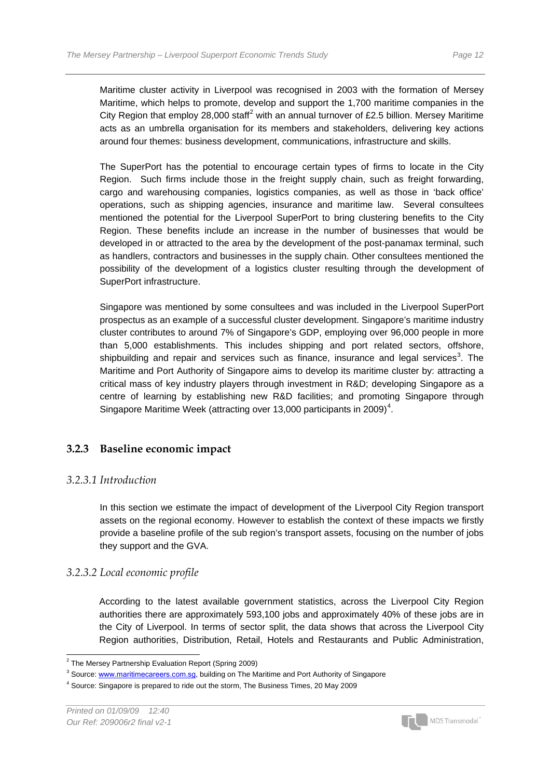Maritime cluster activity in Liverpool was recognised in 2003 with the formation of Mersey Maritime, which helps to promote, develop and support the 1,700 maritime companies in the City Region that employ [2](#page-13-0)8,000 staff<sup>2</sup> with an annual turnover of £2.5 billion. Mersey Maritime acts as an umbrella organisation for its members and stakeholders, delivering key actions around four themes: business development, communications, infrastructure and skills.

The SuperPort has the potential to encourage certain types of firms to locate in the City Region. Such firms include those in the freight supply chain, such as freight forwarding, cargo and warehousing companies, logistics companies, as well as those in 'back office' operations, such as shipping agencies, insurance and maritime law. Several consultees mentioned the potential for the Liverpool SuperPort to bring clustering benefits to the City Region. These benefits include an increase in the number of businesses that would be developed in or attracted to the area by the development of the post-panamax terminal, such as handlers, contractors and businesses in the supply chain. Other consultees mentioned the possibility of the development of a logistics cluster resulting through the development of SuperPort infrastructure.

Singapore was mentioned by some consultees and was included in the Liverpool SuperPort prospectus as an example of a successful cluster development. Singapore's maritime industry cluster contributes to around 7% of Singapore's GDP, employing over 96,000 people in more than 5,000 establishments. This includes shipping and port related sectors, offshore, shipbuilding and repair and services such as finance, insurance and legal services<sup>[3](#page-13-1)</sup>. The Maritime and Port Authority of Singapore aims to develop its maritime cluster by: attracting a critical mass of key industry players through investment in R&D; developing Singapore as a centre of learning by establishing new R&D facilities; and promoting Singapore through Singapore Maritime Week (attracting over 13,000 participants in 2009)<sup>[4](#page-13-2)</sup>.

#### **3.2.3 Baseline economic impact**

#### *3.2.3.1 Introduction*

In this section we estimate the impact of development of the Liverpool City Region transport assets on the regional economy. However to establish the context of these impacts we firstly provide a baseline profile of the sub region's transport assets, focusing on the number of jobs they support and the GVA.

#### *3.2.3.2 Local economic profile*

According to the latest available government statistics, across the Liverpool City Region authorities there are approximately 593,100 jobs and approximately 40% of these jobs are in the City of Liverpool. In terms of sector split, the data shows that across the Liverpool City Region authorities, Distribution, Retail, Hotels and Restaurants and Public Administration,



<span id="page-13-0"></span> 2 The Mersey Partnership Evaluation Report (Spring 2009)

<span id="page-13-1"></span><sup>&</sup>lt;sup>3</sup> Source: **www.maritimecareers.com.sg**, building on The Maritime and Port Authority of Singapore

<span id="page-13-2"></span> $<sup>4</sup>$  Source: Singapore is prepared to ride out the storm, The Business Times, 20 May 2009</sup>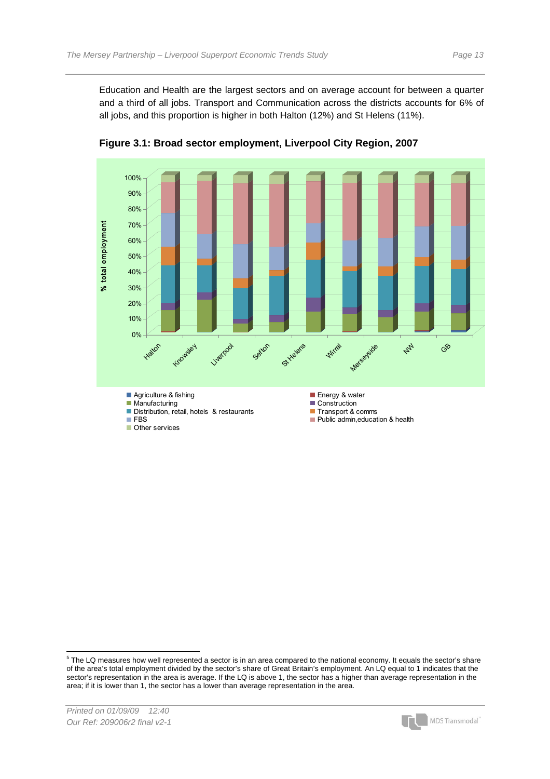Education and Health are the largest sectors and on average account for between a quarter and a third of all jobs. Transport and Communication across the districts accounts for 6% of all jobs, and this proportion is higher in both Halton (12%) and St Helens (11%).



**Figure 3.1: Broad sector employment, Liverpool City Region, 2007** 



<span id="page-14-0"></span> 5 The LQ measures how well represented a sector is in an area compared to the national economy. It equals the sector's share of the area's total employment divided by the sector's share of Great Britain's employment. An LQ equal to 1 indicates that the sector's representation in the area is average. If the LQ is above 1, the sector has a higher than average representation in the area; if it is lower than 1, the sector has a lower than average representation in the area.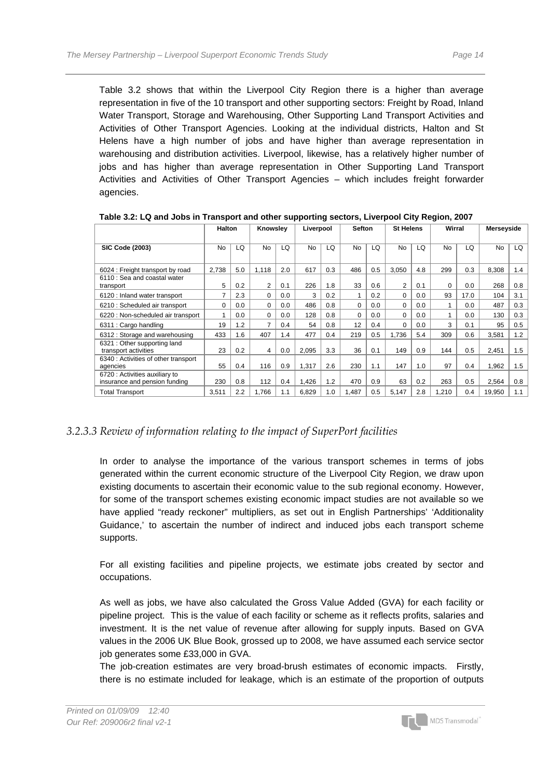Table 3.2 shows that within the Liverpool City Region there is a higher than average representation in five of the 10 transport and other supporting sectors: Freight by Road, Inland Water Transport, Storage and Warehousing, Other Supporting Land Transport Activities and Activities of Other Transport Agencies. Looking at the individual districts, Halton and St Helens have a high number of jobs and have higher than average representation in warehousing and distribution activities. Liverpool, likewise, has a relatively higher number of jobs and has higher than average representation in Other Supporting Land Transport Activities and Activities of Other Transport Agencies – which includes freight forwarder agencies.

|                                                                 | <b>Halton</b> |     | Knowslev       |     | Liverpool |     | <b>Sefton</b> |     | <b>St Helens</b> |     | Wirral |      | Merseyside |     |
|-----------------------------------------------------------------|---------------|-----|----------------|-----|-----------|-----|---------------|-----|------------------|-----|--------|------|------------|-----|
| <b>SIC Code (2003)</b>                                          | <b>No</b>     | LQ. | <b>No</b>      | LQ  | No        | LQ  | No            | LQ  | <b>No</b>        | LQ  | No     | LQ   | <b>No</b>  | LQ  |
| 6024 : Freight transport by road                                | 2.738         | 5.0 | 1.118          | 2.0 | 617       | 0.3 | 486           | 0.5 | 3.050            | 4.8 | 299    | 0.3  | 8.308      | 1.4 |
| 6110 : Sea and coastal water<br>transport                       | 5             | 0.2 | $\overline{2}$ | 0.1 | 226       | 1.8 | 33            | 0.6 | $\overline{2}$   | 0.1 | 0      | 0.0  | 268        | 0.8 |
| 6120 : Inland water transport                                   | 7             | 2.3 | 0              | 0.0 | 3         | 0.2 |               | 0.2 | 0                | 0.0 | 93     | 17.0 | 104        | 3.1 |
| 6210 : Scheduled air transport                                  | 0             | 0.0 | 0              | 0.0 | 486       | 0.8 | $\Omega$      | 0.0 | 0                | 0.0 |        | 0.0  | 487        | 0.3 |
| 6220 : Non-scheduled air transport                              | 1             | 0.0 | 0              | 0.0 | 128       | 0.8 | 0             | 0.0 | $\Omega$         | 0.0 |        | 0.0  | 130        | 0.3 |
| 6311 : Cargo handling                                           | 19            | 1.2 | 7              | 0.4 | 54        | 0.8 | 12            | 0.4 | $\Omega$         | 0.0 | 3      | 0.1  | 95         | 0.5 |
| 6312 : Storage and warehousing                                  | 433           | 1.6 | 407            | .4  | 477       | 0.4 | 219           | 0.5 | 1,736            | 5.4 | 309    | 0.6  | 3,581      | 1.2 |
| 6321 : Other supporting land<br>transport activities            | 23            | 0.2 | 4              | 0.0 | 2,095     | 3.3 | 36            | 0.1 | 149              | 0.9 | 144    | 0.5  | 2,451      | 1.5 |
| 6340 : Activities of other transport<br>agencies                | 55            | 0.4 | 116            | 0.9 | 1,317     | 2.6 | 230           | 1.1 | 147              | 1.0 | 97     | 0.4  | 1.962      | 1.5 |
| 6720 : Activities auxiliary to<br>insurance and pension funding | 230           | 0.8 | 112            | 0.4 | 1,426     | 1.2 | 470           | 0.9 | 63               | 0.2 | 263    | 0.5  | 2,564      | 0.8 |
| <b>Total Transport</b>                                          | 3,511         | 2.2 | 1,766          | 1.1 | 6,829     | 1.0 | 1,487         | 0.5 | 5,147            | 2.8 | 1,210  | 0.4  | 19,950     | 1.1 |

**Table 3.2: LQ and Jobs in Transport and other supporting sectors, Liverpool City Region, 2007** 

#### *3.2.3.3 Review of information relating to the impact of SuperPort facilities*

In order to analyse the importance of the various transport schemes in terms of jobs generated within the current economic structure of the Liverpool City Region, we draw upon existing documents to ascertain their economic value to the sub regional economy. However, for some of the transport schemes existing economic impact studies are not available so we have applied "ready reckoner" multipliers, as set out in English Partnerships' 'Additionality Guidance,' to ascertain the number of indirect and induced jobs each transport scheme supports.

For all existing facilities and pipeline projects, we estimate jobs created by sector and occupations.

As well as jobs, we have also calculated the Gross Value Added (GVA) for each facility or pipeline project. This is the value of each facility or scheme as it reflects profits, salaries and investment. It is the net value of revenue after allowing for supply inputs. Based on GVA values in the 2006 UK Blue Book, grossed up to 2008, we have assumed each service sector job generates some £33,000 in GVA.

The job-creation estimates are very broad-brush estimates of economic impacts. Firstly, there is no estimate included for leakage, which is an estimate of the proportion of outputs

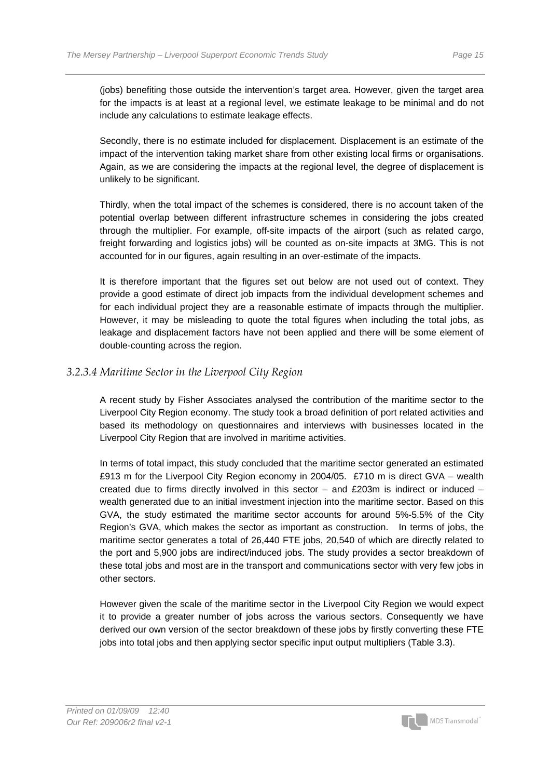(jobs) benefiting those outside the intervention's target area. However, given the target area for the impacts is at least at a regional level, we estimate leakage to be minimal and do not include any calculations to estimate leakage effects.

Secondly, there is no estimate included for displacement. Displacement is an estimate of the impact of the intervention taking market share from other existing local firms or organisations. Again, as we are considering the impacts at the regional level, the degree of displacement is unlikely to be significant.

Thirdly, when the total impact of the schemes is considered, there is no account taken of the potential overlap between different infrastructure schemes in considering the jobs created through the multiplier. For example, off-site impacts of the airport (such as related cargo, freight forwarding and logistics jobs) will be counted as on-site impacts at 3MG. This is not accounted for in our figures, again resulting in an over-estimate of the impacts.

It is therefore important that the figures set out below are not used out of context. They provide a good estimate of direct job impacts from the individual development schemes and for each individual project they are a reasonable estimate of impacts through the multiplier. However, it may be misleading to quote the total figures when including the total jobs, as leakage and displacement factors have not been applied and there will be some element of double-counting across the region.

#### *3.2.3.4 Maritime Sector in the Liverpool City Region*

A recent study by Fisher Associates analysed the contribution of the maritime sector to the Liverpool City Region economy. The study took a broad definition of port related activities and based its methodology on questionnaires and interviews with businesses located in the Liverpool City Region that are involved in maritime activities.

In terms of total impact, this study concluded that the maritime sector generated an estimated £913 m for the Liverpool City Region economy in 2004/05. £710 m is direct GVA – wealth created due to firms directly involved in this sector – and £203m is indirect or induced – wealth generated due to an initial investment injection into the maritime sector. Based on this GVA, the study estimated the maritime sector accounts for around 5%-5.5% of the City Region's GVA, which makes the sector as important as construction. In terms of jobs, the maritime sector generates a total of 26,440 FTE jobs, 20,540 of which are directly related to the port and 5,900 jobs are indirect/induced jobs. The study provides a sector breakdown of these total jobs and most are in the transport and communications sector with very few jobs in other sectors.

However given the scale of the maritime sector in the Liverpool City Region we would expect it to provide a greater number of jobs across the various sectors. Consequently we have derived our own version of the sector breakdown of these jobs by firstly converting these FTE jobs into total jobs and then applying sector specific input output multipliers (Table 3.3).

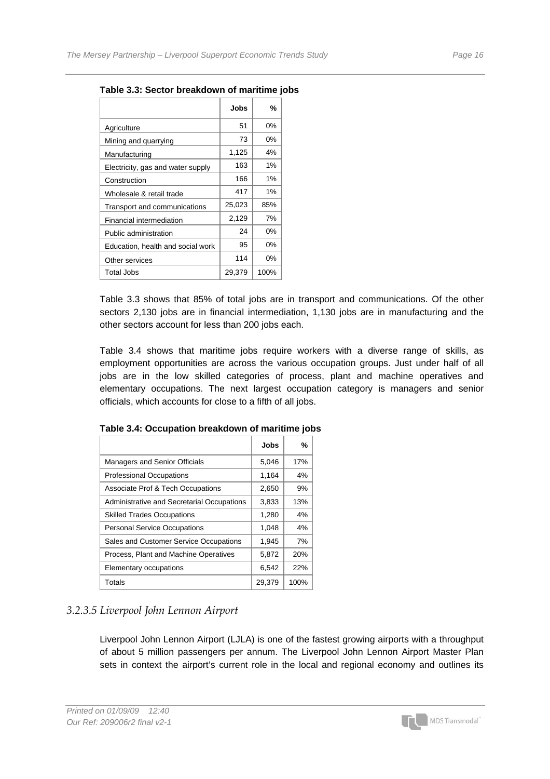|                                   | Jobs   | %     |
|-----------------------------------|--------|-------|
| Agriculture                       | 51     | 0%    |
| Mining and quarrying              | 73     | 0%    |
| Manufacturing                     | 1,125  | 4%    |
| Electricity, gas and water supply | 163    | 1%    |
| Construction                      | 166    | 1%    |
| Wholesale & retail trade          | 417    | 1%    |
| Transport and communications      | 25,023 | 85%   |
| Financial intermediation          | 2,129  | 7%    |
| Public administration             | 24     | $0\%$ |
| Education, health and social work | 95     | 0%    |
| Other services                    | 114    | 0%    |
| Total Jobs                        | 29,379 | 100%  |
|                                   |        |       |

**Table 3.3: Sector breakdown of maritime jobs** 

Table 3.3 shows that 85% of total jobs are in transport and communications. Of the other sectors 2,130 jobs are in financial intermediation, 1,130 jobs are in manufacturing and the other sectors account for less than 200 jobs each.

Table 3.4 shows that maritime jobs require workers with a diverse range of skills, as employment opportunities are across the various occupation groups. Just under half of all jobs are in the low skilled categories of process, plant and machine operatives and elementary occupations. The next largest occupation category is managers and senior officials, which accounts for close to a fifth of all jobs.

|                                            | Jobs   | %    |
|--------------------------------------------|--------|------|
| <b>Managers and Senior Officials</b>       | 5,046  | 17%  |
| <b>Professional Occupations</b>            | 1,164  | 4%   |
| Associate Prof & Tech Occupations          | 2,650  | 9%   |
| Administrative and Secretarial Occupations | 3,833  | 13%  |
| <b>Skilled Trades Occupations</b>          | 1,280  | 4%   |
| <b>Personal Service Occupations</b>        | 1,048  | 4%   |
| Sales and Customer Service Occupations     | 1,945  | 7%   |
| Process, Plant and Machine Operatives      | 5,872  | 20%  |
| Elementary occupations                     | 6,542  | 22%  |
| Totals                                     | 29.379 | 100% |

**Table 3.4: Occupation breakdown of maritime jobs** 

#### *3.2.3.5 Liverpool John Lennon Airport*

Liverpool John Lennon Airport (LJLA) is one of the fastest growing airports with a throughput of about 5 million passengers per annum. The Liverpool John Lennon Airport Master Plan sets in context the airport's current role in the local and regional economy and outlines its

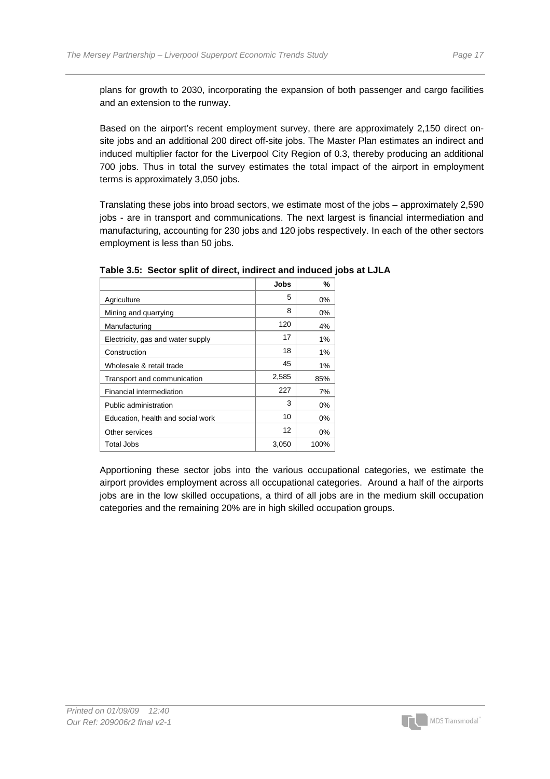plans for growth to 2030, incorporating the expansion of both passenger and cargo facilities and an extension to the runway.

Based on the airport's recent employment survey, there are approximately 2,150 direct onsite jobs and an additional 200 direct off-site jobs. The Master Plan estimates an indirect and induced multiplier factor for the Liverpool City Region of 0.3, thereby producing an additional 700 jobs. Thus in total the survey estimates the total impact of the airport in employment terms is approximately 3,050 jobs.

Translating these jobs into broad sectors, we estimate most of the jobs – approximately 2,590 jobs - are in transport and communications. The next largest is financial intermediation and manufacturing, accounting for 230 jobs and 120 jobs respectively. In each of the other sectors employment is less than 50 jobs.

|                                   | Jobs  | %     |
|-----------------------------------|-------|-------|
| Agriculture                       | 5     | 0%    |
| Mining and quarrying              | 8     | 0%    |
| Manufacturing                     | 120   | 4%    |
| Electricity, gas and water supply | 17    | 1%    |
| Construction                      | 18    | 1%    |
| Wholesale & retail trade          | 45    | 1%    |
| Transport and communication       | 2,585 | 85%   |
| Financial intermediation          | 227   | 7%    |
| Public administration             | 3     | 0%    |
| Education, health and social work | 10    | 0%    |
| Other services                    | 12    | $0\%$ |
| Total Jobs                        | 3,050 | 100%  |

#### **Table 3.5: Sector split of direct, indirect and induced jobs at LJLA**

Apportioning these sector jobs into the various occupational categories, we estimate the airport provides employment across all occupational categories. Around a half of the airports jobs are in the low skilled occupations, a third of all jobs are in the medium skill occupation categories and the remaining 20% are in high skilled occupation groups.

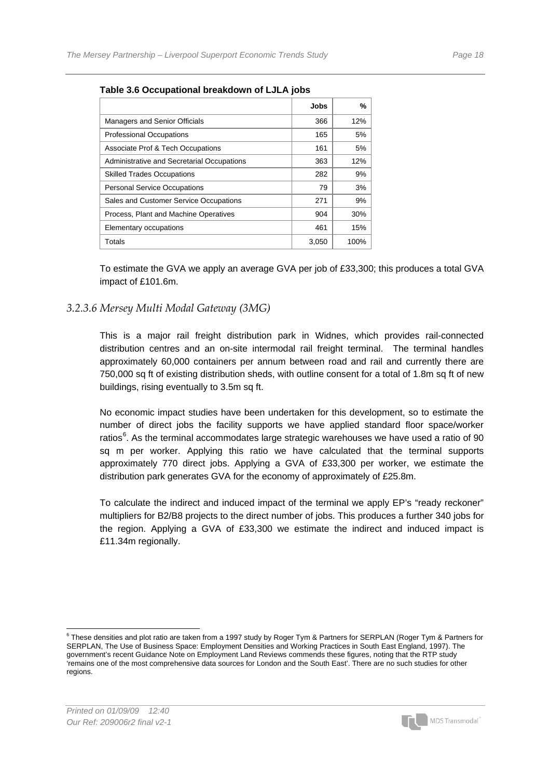|                                            | <b>Jobs</b> | %    |
|--------------------------------------------|-------------|------|
| <b>Managers and Senior Officials</b>       | 366         | 12%  |
| <b>Professional Occupations</b>            | 165         | 5%   |
| Associate Prof & Tech Occupations          | 161         | 5%   |
| Administrative and Secretarial Occupations | 363         | 12%  |
| <b>Skilled Trades Occupations</b>          | 282         | 9%   |
| <b>Personal Service Occupations</b>        | 79          | 3%   |
| Sales and Customer Service Occupations     | 271         | 9%   |
| Process, Plant and Machine Operatives      | 904         | 30%  |
| Elementary occupations                     | 461         | 15%  |
| Totals                                     | 3,050       | 100% |

#### **Table 3.6 Occupational breakdown of LJLA jobs**

To estimate the GVA we apply an average GVA per job of £33,300; this produces a total GVA impact of £101.6m.

#### *3.2.3.6 Mersey Multi Modal Gateway (3MG)*

This is a major rail freight distribution park in Widnes, which provides rail-connected distribution centres and an on-site intermodal rail freight terminal. The terminal handles approximately 60,000 containers per annum between road and rail and currently there are 750,000 sq ft of existing distribution sheds, with outline consent for a total of 1.8m sq ft of new buildings, rising eventually to 3.5m sq ft.

No economic impact studies have been undertaken for this development, so to estimate the number of direct jobs the facility supports we have applied standard floor space/worker ratios<sup>[6](#page-19-0)</sup>. As the terminal accommodates large strategic warehouses we have used a ratio of 90 sq m per worker. Applying this ratio we have calculated that the terminal supports approximately 770 direct jobs. Applying a GVA of £33,300 per worker, we estimate the distribution park generates GVA for the economy of approximately of £25.8m.

To calculate the indirect and induced impact of the terminal we apply EP's "ready reckoner" multipliers for B2/B8 projects to the direct number of jobs. This produces a further 340 jobs for the region. Applying a GVA of £33,300 we estimate the indirect and induced impact is £11.34m regionally.



<span id="page-19-0"></span> 6 These densities and plot ratio are taken from a 1997 study by Roger Tym & Partners for SERPLAN (Roger Tym & Partners for SERPLAN, The Use of Business Space: Employment Densities and Working Practices in South East England, 1997). The government's recent Guidance Note on Employment Land Reviews commends these figures, noting that the RTP study 'remains one of the most comprehensive data sources for London and the South East'. There are no such studies for other regions.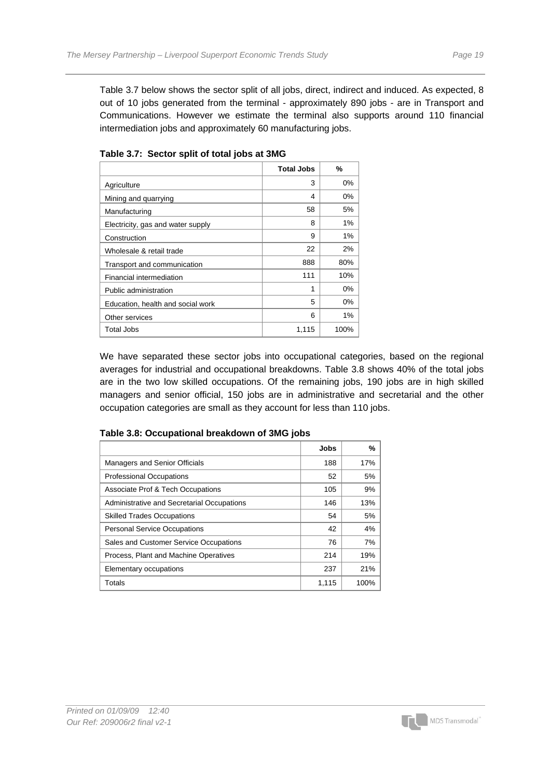Table 3.7 below shows the sector split of all jobs, direct, indirect and induced. As expected, 8 out of 10 jobs generated from the terminal - approximately 890 jobs - are in Transport and Communications. However we estimate the terminal also supports around 110 financial intermediation jobs and approximately 60 manufacturing jobs.

|                                   | <b>Total Jobs</b> | %     |
|-----------------------------------|-------------------|-------|
| Agriculture                       | 3                 | 0%    |
| Mining and quarrying              | 4                 | 0%    |
| Manufacturing                     | 58                | 5%    |
| Electricity, gas and water supply | 8                 | 1%    |
| Construction                      | 9                 | 1%    |
| Wholesale & retail trade          | 22                | 2%    |
| Transport and communication       | 888               | 80%   |
| Financial intermediation          | 111               | 10%   |
| Public administration             | 1                 | $0\%$ |
| Education, health and social work | 5                 | 0%    |
| Other services                    | 6                 | 1%    |
| Total Jobs                        | 1,115             | 100%  |

**Table 3.7: Sector split of total jobs at 3MG** 

We have separated these sector jobs into occupational categories, based on the regional averages for industrial and occupational breakdowns. Table 3.8 shows 40% of the total jobs are in the two low skilled occupations. Of the remaining jobs, 190 jobs are in high skilled managers and senior official, 150 jobs are in administrative and secretarial and the other occupation categories are small as they account for less than 110 jobs.

|                                            | <b>Jobs</b> | %    |
|--------------------------------------------|-------------|------|
| <b>Managers and Senior Officials</b>       | 188         | 17%  |
| <b>Professional Occupations</b>            | 52          | 5%   |
| Associate Prof & Tech Occupations          | 105         | 9%   |
| Administrative and Secretarial Occupations | 146         | 13%  |
| <b>Skilled Trades Occupations</b>          | 54          | 5%   |
| <b>Personal Service Occupations</b>        | 42          | 4%   |
| Sales and Customer Service Occupations     | 76          | 7%   |
| Process, Plant and Machine Operatives      | 214         | 19%  |
| Elementary occupations                     | 237         | 21%  |
| Totals                                     | 1,115       | 100% |

#### **Table 3.8: Occupational breakdown of 3MG jobs**

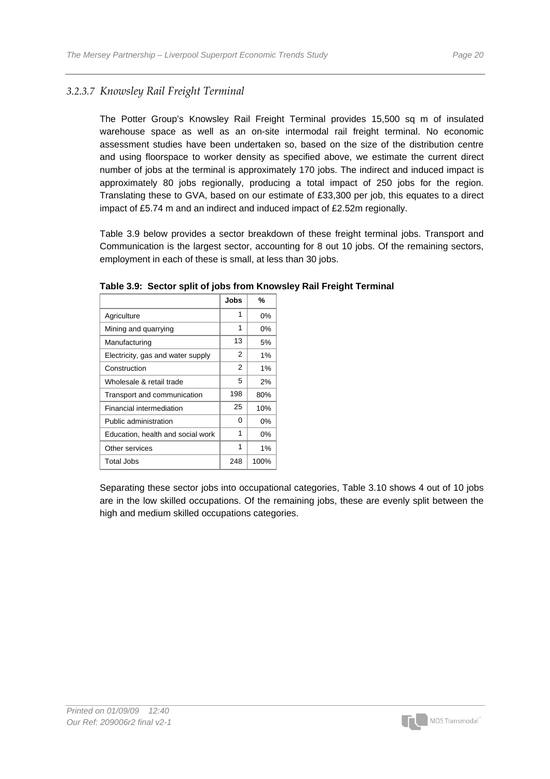#### *3.2.3.7 Knowsley Rail Freight Terminal*

The Potter Group's Knowsley Rail Freight Terminal provides 15,500 sq m of insulated warehouse space as well as an on-site intermodal rail freight terminal. No economic assessment studies have been undertaken so, based on the size of the distribution centre and using floorspace to worker density as specified above, we estimate the current direct number of jobs at the terminal is approximately 170 jobs. The indirect and induced impact is approximately 80 jobs regionally, producing a total impact of 250 jobs for the region. Translating these to GVA, based on our estimate of £33,300 per job, this equates to a direct impact of £5.74 m and an indirect and induced impact of £2.52m regionally.

Table 3.9 below provides a sector breakdown of these freight terminal jobs. Transport and Communication is the largest sector, accounting for 8 out 10 jobs. Of the remaining sectors, employment in each of these is small, at less than 30 jobs.

|                                   | Jobs | %     |
|-----------------------------------|------|-------|
| Agriculture                       | 1    | 0%    |
| Mining and quarrying              | 1    | 0%    |
| Manufacturing                     | 13   | 5%    |
| Electricity, gas and water supply | 2    | $1\%$ |
| Construction                      | 2    | $1\%$ |
| Wholesale & retail trade          | 5    | 2%    |
| Transport and communication       | 198  | 80%   |
| Financial intermediation          | 25   | 10%   |
| Public administration             | 0    | $0\%$ |
| Education, health and social work | 1    | 0%    |
| Other services                    | 1    | $1\%$ |
| Total Jobs                        | 248  | 100%  |

**Table 3.9: Sector split of jobs from Knowsley Rail Freight Terminal** 

Separating these sector jobs into occupational categories, Table 3.10 shows 4 out of 10 jobs are in the low skilled occupations. Of the remaining jobs, these are evenly split between the high and medium skilled occupations categories.

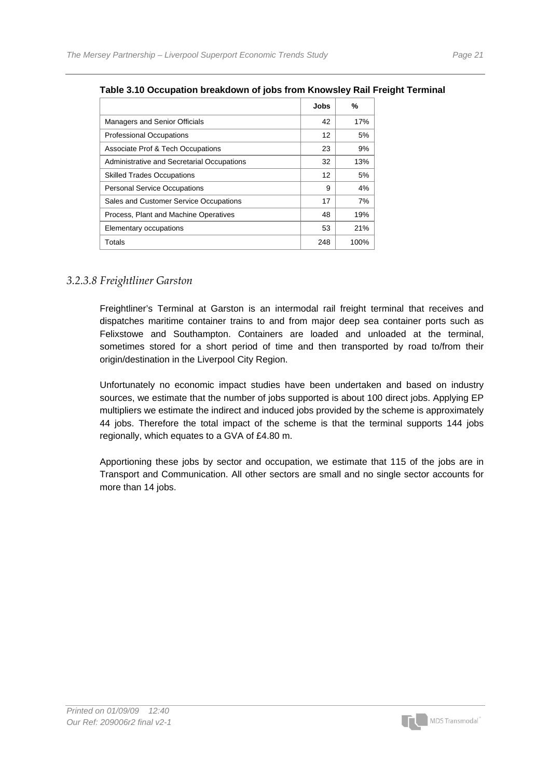|                                            | <b>Jobs</b> | %    |
|--------------------------------------------|-------------|------|
| <b>Managers and Senior Officials</b>       | 42          | 17%  |
| <b>Professional Occupations</b>            | 12          | 5%   |
| Associate Prof & Tech Occupations          | 23          | 9%   |
| Administrative and Secretarial Occupations | 32          | 13%  |
| <b>Skilled Trades Occupations</b>          | 12          | 5%   |
| <b>Personal Service Occupations</b>        | 9           | 4%   |
| Sales and Customer Service Occupations     | 17          | 7%   |
| Process, Plant and Machine Operatives      | 48          | 19%  |
| Elementary occupations                     | 53          | 21%  |
| Totals                                     | 248         | 100% |

#### **Table 3.10 Occupation breakdown of jobs from Knowsley Rail Freight Terminal**

#### *3.2.3.8 Freightliner Garston*

Freightliner's Terminal at Garston is an intermodal rail freight terminal that receives and dispatches maritime container trains to and from major deep sea container ports such as Felixstowe and Southampton. Containers are loaded and unloaded at the terminal, sometimes stored for a short period of time and then transported by road to/from their origin/destination in the Liverpool City Region.

Unfortunately no economic impact studies have been undertaken and based on industry sources, we estimate that the number of jobs supported is about 100 direct jobs. Applying EP multipliers we estimate the indirect and induced jobs provided by the scheme is approximately 44 jobs. Therefore the total impact of the scheme is that the terminal supports 144 jobs regionally, which equates to a GVA of £4.80 m.

Apportioning these jobs by sector and occupation, we estimate that 115 of the jobs are in Transport and Communication. All other sectors are small and no single sector accounts for more than 14 jobs.

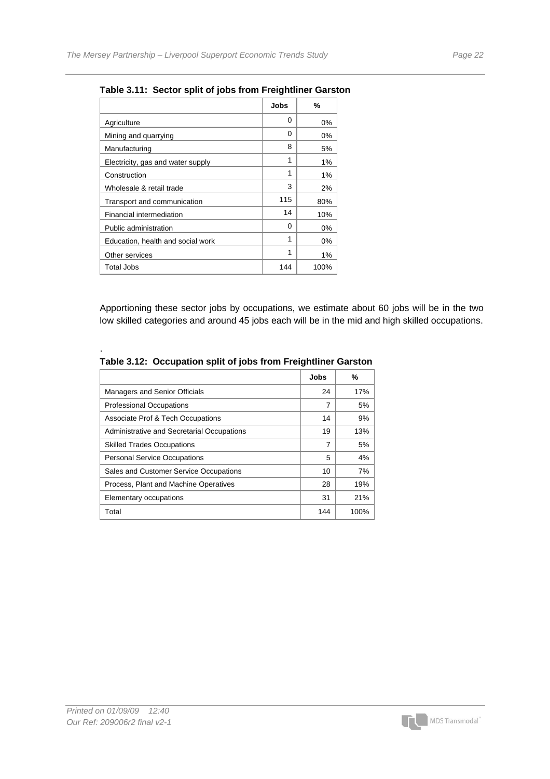|                                   | Jobs | %     |
|-----------------------------------|------|-------|
| Agriculture                       | 0    | 0%    |
| Mining and quarrying              | 0    | 0%    |
| Manufacturing                     | 8    | 5%    |
| Electricity, gas and water supply | 1    | 1%    |
| Construction                      | 1    | 1%    |
| Wholesale & retail trade          | 3    | 2%    |
| Transport and communication       | 115  | 80%   |
| Financial intermediation          | 14   | 10%   |
| Public administration             | 0    | 0%    |
| Education, health and social work | 1    | 0%    |
| Other services                    | 1    | $1\%$ |
| Total Jobs                        | 144  | 100%  |

**Table 3.11: Sector split of jobs from Freightliner Garston** 

Apportioning these sector jobs by occupations, we estimate about 60 jobs will be in the two low skilled categories and around 45 jobs each will be in the mid and high skilled occupations.

|                                            | Jobs | %    |
|--------------------------------------------|------|------|
| <b>Managers and Senior Officials</b>       | 24   | 17%  |
| <b>Professional Occupations</b>            | 7    | 5%   |
| Associate Prof & Tech Occupations          | 14   | 9%   |
| Administrative and Secretarial Occupations | 19   | 13%  |
| <b>Skilled Trades Occupations</b>          | 7    | 5%   |
| <b>Personal Service Occupations</b>        | 5    | 4%   |
| Sales and Customer Service Occupations     | 10   | 7%   |
| Process, Plant and Machine Operatives      | 28   | 19%  |
| Elementary occupations                     | 31   | 21%  |
| Total                                      | 144  | 100% |

**Table 3.12: Occupation split of jobs from Freightliner Garston** 

.

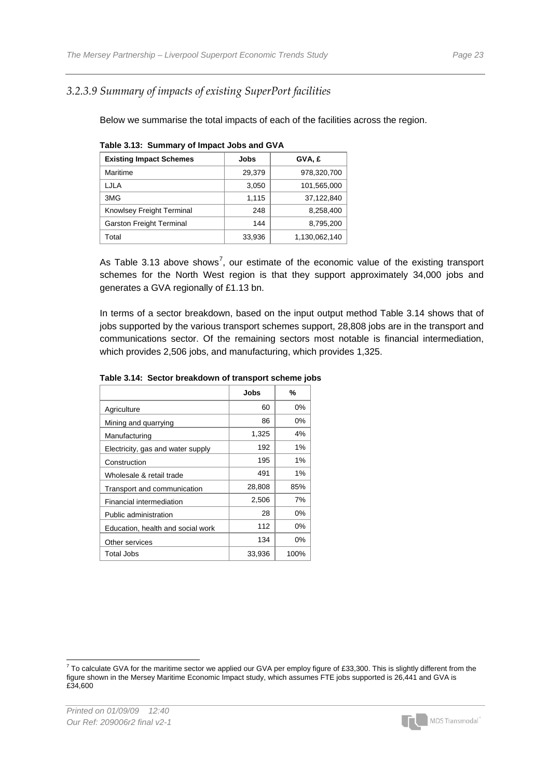#### *3.2.3.9 Summary of impacts of existing SuperPort facilities*

Below we summarise the total impacts of each of the facilities across the region.

| <b>Existing Impact Schemes</b>  | Jobs   | GVA, £        |
|---------------------------------|--------|---------------|
| Maritime                        | 29,379 | 978,320,700   |
| LJLA                            | 3,050  | 101.565.000   |
| 3MG                             | 1,115  | 37,122,840    |
| Knowlsey Freight Terminal       | 248    | 8.258.400     |
| <b>Garston Freight Terminal</b> | 144    | 8,795,200     |
| Total                           | 33,936 | 1,130,062,140 |
|                                 |        |               |

|  | Table 3.13: Summary of Impact Jobs and GVA |
|--|--------------------------------------------|
|  |                                            |

As Table 3.13 above shows<sup>[7](#page-24-0)</sup>, our estimate of the economic value of the existing transport schemes for the North West region is that they support approximately 34,000 jobs and generates a GVA regionally of £1.13 bn.

In terms of a sector breakdown, based on the input output method Table 3.14 shows that of jobs supported by the various transport schemes support, 28,808 jobs are in the transport and communications sector. Of the remaining sectors most notable is financial intermediation, which provides 2,506 jobs, and manufacturing, which provides 1,325.

|                                   | Jobs   | %     |
|-----------------------------------|--------|-------|
| Agriculture                       | 60     | $0\%$ |
| Mining and quarrying              | 86     | $0\%$ |
| Manufacturing                     | 1,325  | 4%    |
| Electricity, gas and water supply | 192    | $1\%$ |
| Construction                      | 195    | 1%    |
| Wholesale & retail trade          | 491    | 1%    |
| Transport and communication       | 28,808 | 85%   |
| Financial intermediation          | 2,506  | 7%    |
| Public administration             | 28     | $0\%$ |
| Education, health and social work | 112    | 0%    |
| Other services                    | 134    | 0%    |
| <b>Total Jobs</b>                 | 33,936 | 100%  |

#### **Table 3.14: Sector breakdown of transport scheme jobs**



<span id="page-24-0"></span> 7 To calculate GVA for the maritime sector we applied our GVA per employ figure of £33,300. This is slightly different from the figure shown in the Mersey Maritime Economic Impact study, which assumes FTE jobs supported is 26,441 and GVA is £34,600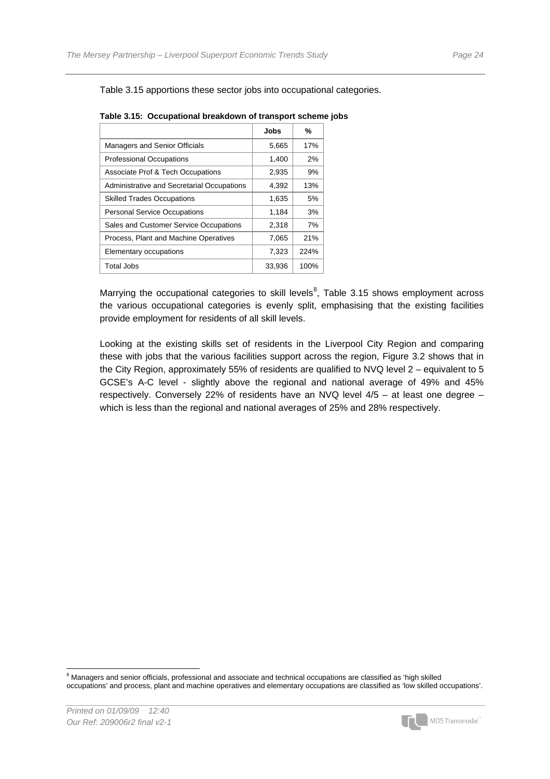Table 3.15 apportions these sector jobs into occupational categories.

|                                            | Jobs   | %    |
|--------------------------------------------|--------|------|
| <b>Managers and Senior Officials</b>       | 5,665  | 17%  |
| <b>Professional Occupations</b>            | 1,400  | 2%   |
| Associate Prof & Tech Occupations          | 2,935  | 9%   |
| Administrative and Secretarial Occupations | 4,392  | 13%  |
| <b>Skilled Trades Occupations</b>          | 1,635  | 5%   |
| <b>Personal Service Occupations</b>        | 1,184  | 3%   |
| Sales and Customer Service Occupations     | 2,318  | 7%   |
| Process, Plant and Machine Operatives      | 7,065  | 21%  |
| Elementary occupations                     | 7,323  | 224% |
| Total Jobs                                 | 33,936 | 100% |

**Table 3.15: Occupational breakdown of transport scheme jobs** 

Marrying the occupational categories to skill levels<sup>[8](#page-25-0)</sup>, Table 3.15 shows employment across the various occupational categories is evenly split, emphasising that the existing facilities provide employment for residents of all skill levels.

Looking at the existing skills set of residents in the Liverpool City Region and comparing these with jobs that the various facilities support across the region, Figure 3.2 shows that in the City Region, approximately 55% of residents are qualified to NVQ level 2 – equivalent to 5 GCSE's A-C level - slightly above the regional and national average of 49% and 45% respectively. Conversely 22% of residents have an NVQ level 4/5 – at least one degree – which is less than the regional and national averages of 25% and 28% respectively.

<span id="page-25-0"></span> 8 Managers and senior officials, professional and associate and technical occupations are classified as 'high skilled occupations' and process, plant and machine operatives and elementary occupations are classified as 'low skilled occupations'.

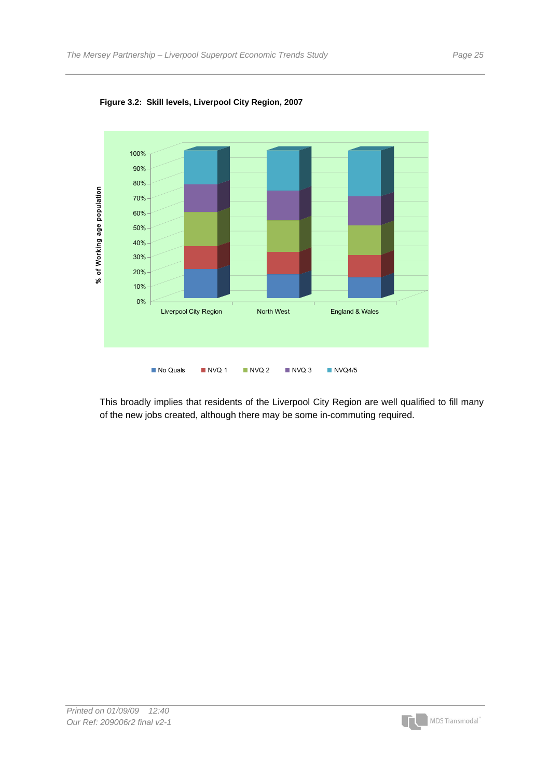

**Figure 3.2: Skill levels, Liverpool City Region, 2007** 

This broadly implies that residents of the Liverpool City Region are well qualified to fill many of the new jobs created, although there may be some in-commuting required.

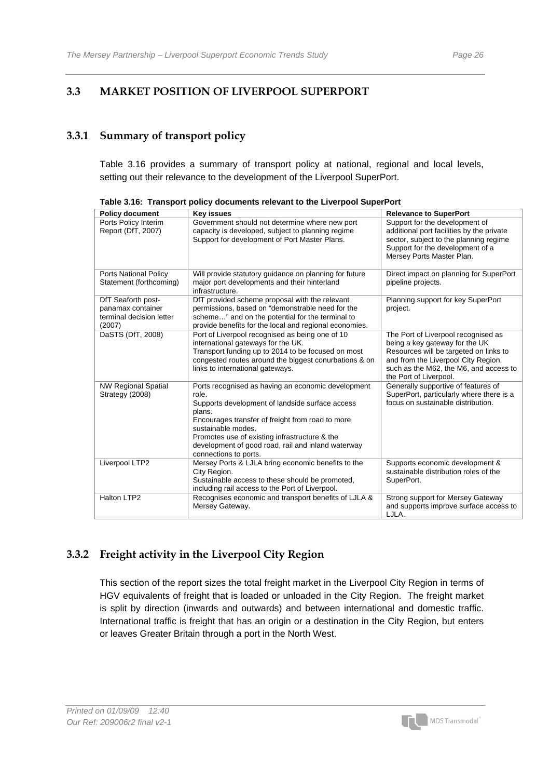#### **3.3 MARKET POSITION OF LIVERPOOL SUPERPORT**

#### **3.3.1 Summary of transport policy**

Table 3.16 provides a summary of transport policy at national, regional and local levels, setting out their relevance to the development of the Liverpool SuperPort.

| <b>Policy document</b>                                                        | <b>Key issues</b>                                                                                                                                                                                                                                                                                                                  | <b>Relevance to SuperPort</b>                                                                                                                                                                                              |
|-------------------------------------------------------------------------------|------------------------------------------------------------------------------------------------------------------------------------------------------------------------------------------------------------------------------------------------------------------------------------------------------------------------------------|----------------------------------------------------------------------------------------------------------------------------------------------------------------------------------------------------------------------------|
| Ports Policy Interim<br>Report (DfT, 2007)                                    | Government should not determine where new port<br>capacity is developed, subject to planning regime<br>Support for development of Port Master Plans.                                                                                                                                                                               | Support for the development of<br>additional port facilities by the private<br>sector, subject to the planning regime<br>Support for the development of a<br>Mersey Ports Master Plan.                                     |
| <b>Ports National Policy</b><br>Statement (forthcoming)                       | Will provide statutory guidance on planning for future<br>major port developments and their hinterland<br>infrastructure.                                                                                                                                                                                                          | Direct impact on planning for SuperPort<br>pipeline projects.                                                                                                                                                              |
| DfT Seaforth post-<br>panamax container<br>terminal decision letter<br>(2007) | DfT provided scheme proposal with the relevant<br>permissions, based on "demonstrable need for the<br>scheme" and on the potential for the terminal to<br>provide benefits for the local and regional economies.                                                                                                                   | Planning support for key SuperPort<br>project.                                                                                                                                                                             |
| DaSTS (DfT, 2008)                                                             | Port of Liverpool recognised as being one of 10<br>international gateways for the UK.<br>Transport funding up to 2014 to be focused on most<br>congested routes around the biggest conurbations & on<br>links to international gateways.                                                                                           | The Port of Liverpool recognised as<br>being a key gateway for the UK<br>Resources will be targeted on links to<br>and from the Liverpool City Region,<br>such as the M62, the M6, and access to<br>the Port of Liverpool. |
| <b>NW Regional Spatial</b><br>Strategy (2008)                                 | Ports recognised as having an economic development<br>role.<br>Supports development of landside surface access<br>plans.<br>Encourages transfer of freight from road to more<br>sustainable modes.<br>Promotes use of existing infrastructure & the<br>development of good road, rail and inland waterway<br>connections to ports. | Generally supportive of features of<br>SuperPort, particularly where there is a<br>focus on sustainable distribution.                                                                                                      |
| Liverpool LTP2                                                                | Mersey Ports & LJLA bring economic benefits to the<br>City Region.<br>Sustainable access to these should be promoted,<br>including rail access to the Port of Liverpool.                                                                                                                                                           | Supports economic development &<br>sustainable distribution roles of the<br>SuperPort.                                                                                                                                     |
| Halton LTP2                                                                   | Recognises economic and transport benefits of LJLA &<br>Mersey Gateway.                                                                                                                                                                                                                                                            | Strong support for Mersey Gateway<br>and supports improve surface access to<br>LJLA.                                                                                                                                       |

**Table 3.16: Transport policy documents relevant to the Liverpool SuperPort** 

#### **3.3.2 Freight activity in the Liverpool City Region**

This section of the report sizes the total freight market in the Liverpool City Region in terms of HGV equivalents of freight that is loaded or unloaded in the City Region. The freight market is split by direction (inwards and outwards) and between international and domestic traffic. International traffic is freight that has an origin or a destination in the City Region, but enters or leaves Greater Britain through a port in the North West.

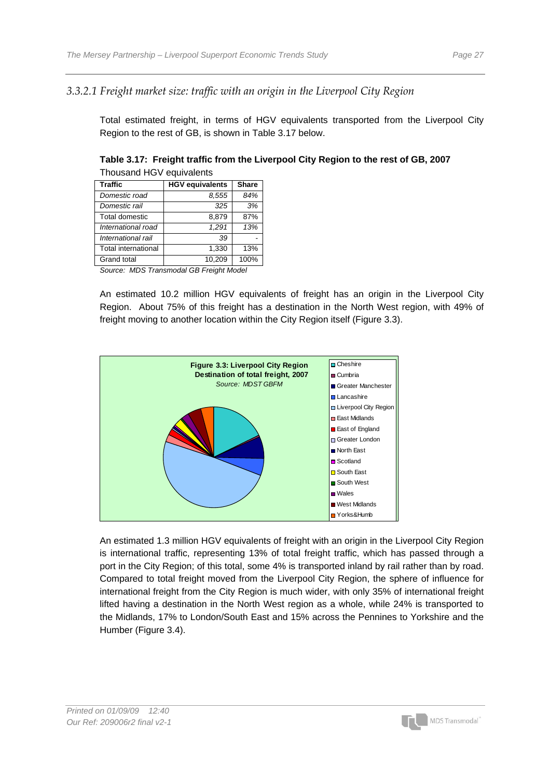#### *3.3.2.1 Freight market size: traffic with an origin in the Liverpool City Region*

Total estimated freight, in terms of HGV equivalents transported from the Liverpool City Region to the rest of GB, is shown in Table 3.17 below.

| <b>Traffic</b>             | <b>HGV equivalents</b> | <b>Share</b> |
|----------------------------|------------------------|--------------|
| Domestic road              | 8,555                  | 84%          |
| Domestic rail              | 325                    | 3%           |
| Total domestic             | 8.879                  | 87%          |
| International road         | 1.291                  | 13%          |
| International rail         | 39                     |              |
| <b>Total international</b> | 1.330                  | 13%          |
| Grand total                | 10.209                 | 100%         |

**Table 3.17: Freight traffic from the Liverpool City Region to the rest of GB, 2007**  Thousand HGV equivalents

*Source: MDS Transmodal GB Freight Model* 

An estimated 10.2 million HGV equivalents of freight has an origin in the Liverpool City Region. About 75% of this freight has a destination in the North West region, with 49% of freight moving to another location within the City Region itself (Figure 3.3).



An estimated 1.3 million HGV equivalents of freight with an origin in the Liverpool City Region is international traffic, representing 13% of total freight traffic, which has passed through a port in the City Region; of this total, some 4% is transported inland by rail rather than by road. Compared to total freight moved from the Liverpool City Region, the sphere of influence for international freight from the City Region is much wider, with only 35% of international freight lifted having a destination in the North West region as a whole, while 24% is transported to the Midlands, 17% to London/South East and 15% across the Pennines to Yorkshire and the Humber (Figure 3.4).

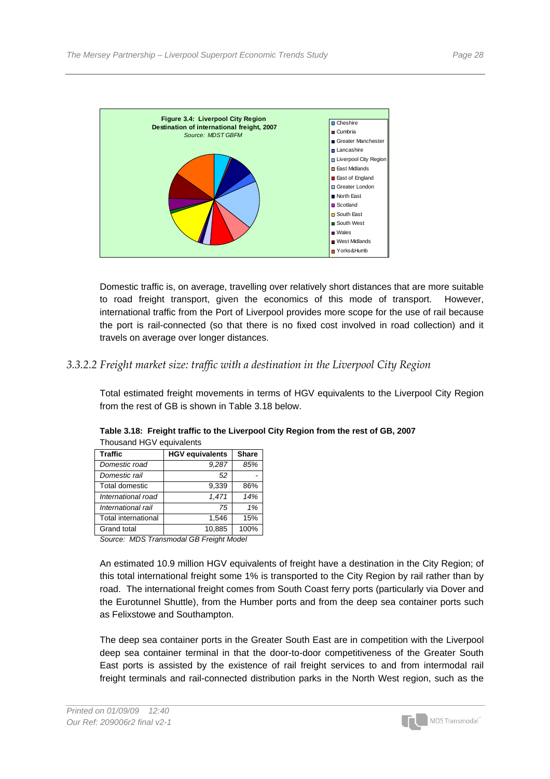

Domestic traffic is, on average, travelling over relatively short distances that are more suitable to road freight transport, given the economics of this mode of transport. However, international traffic from the Port of Liverpool provides more scope for the use of rail because the port is rail-connected (so that there is no fixed cost involved in road collection) and it travels on average over longer distances.

#### *3.3.2.2 Freight market size: traffic with a destination in the Liverpool City Region*

Total estimated freight movements in terms of HGV equivalents to the Liverpool City Region from the rest of GB is shown in Table 3.18 below.

| <b>Traffic</b>             | <b>HGV equivalents</b> | <b>Share</b> |  |  |
|----------------------------|------------------------|--------------|--|--|
| Domestic road              | 9.287                  | 85%          |  |  |
| Domestic rail              | 52                     |              |  |  |
| Total domestic             | 9.339                  | 86%          |  |  |
| International road         | 1.471                  | 14%          |  |  |
| International rail         | 75                     | 1%           |  |  |
| <b>Total international</b> | 1.546                  | 15%          |  |  |
| <b>Grand total</b>         | 10.885                 | 100%         |  |  |

**Table 3.18: Freight traffic to the Liverpool City Region from the rest of GB, 2007**  Thousand HGV equivalents

*Source: MDS Transmodal GB Freight Model* 

An estimated 10.9 million HGV equivalents of freight have a destination in the City Region; of this total international freight some 1% is transported to the City Region by rail rather than by road. The international freight comes from South Coast ferry ports (particularly via Dover and the Eurotunnel Shuttle), from the Humber ports and from the deep sea container ports such as Felixstowe and Southampton.

The deep sea container ports in the Greater South East are in competition with the Liverpool deep sea container terminal in that the door-to-door competitiveness of the Greater South East ports is assisted by the existence of rail freight services to and from intermodal rail freight terminals and rail-connected distribution parks in the North West region, such as the

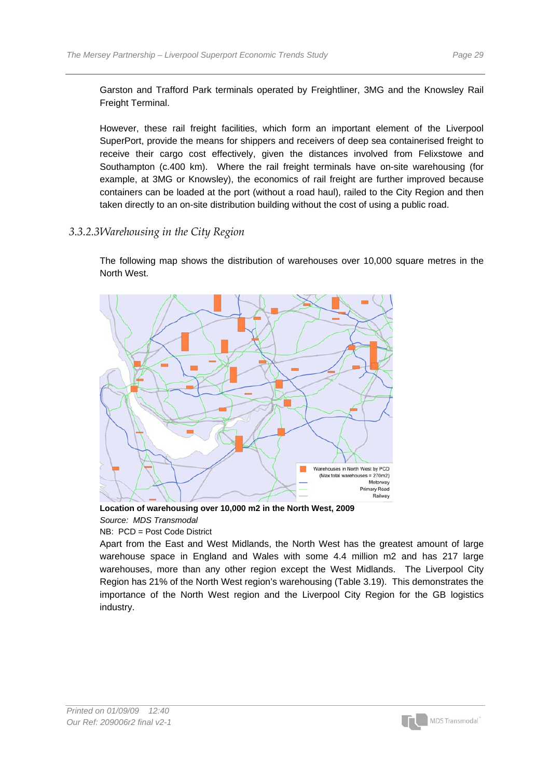Garston and Trafford Park terminals operated by Freightliner, 3MG and the Knowsley Rail Freight Terminal.

However, these rail freight facilities, which form an important element of the Liverpool SuperPort, provide the means for shippers and receivers of deep sea containerised freight to receive their cargo cost effectively, given the distances involved from Felixstowe and Southampton (c.400 km). Where the rail freight terminals have on-site warehousing (for example, at 3MG or Knowsley), the economics of rail freight are further improved because containers can be loaded at the port (without a road haul), railed to the City Region and then taken directly to an on-site distribution building without the cost of using a public road.

#### *3.3.2.3 Warehousing in the City Region*

The following map shows the distribution of warehouses over 10,000 square metres in the North West.



**Location of warehousing over 10,000 m2 in the North West, 2009**  *Source: MDS Transmodal* 

NB: PCD = Post Code District

Apart from the East and West Midlands, the North West has the greatest amount of large warehouse space in England and Wales with some 4.4 million m2 and has 217 large warehouses, more than any other region except the West Midlands. The Liverpool City Region has 21% of the North West region's warehousing (Table 3.19). This demonstrates the importance of the North West region and the Liverpool City Region for the GB logistics industry.

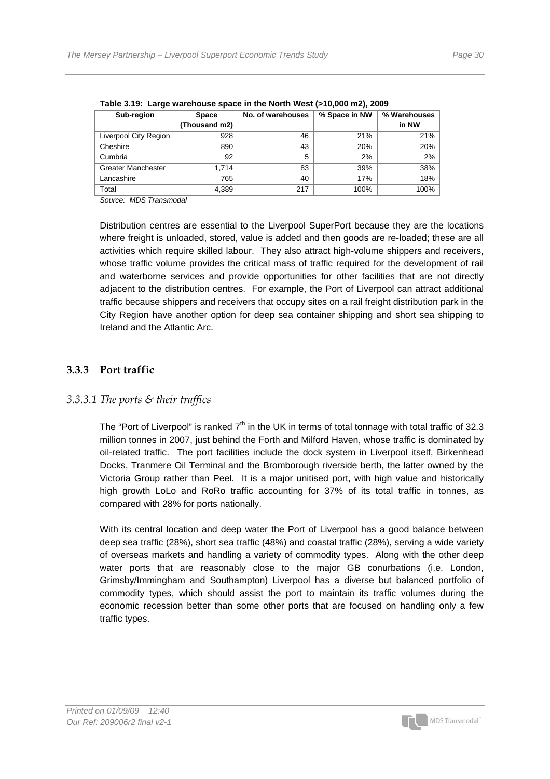| Sub-region                | <b>Space</b>  | No. of warehouses | % Space in NW | % Warehouses |  |  |
|---------------------------|---------------|-------------------|---------------|--------------|--|--|
|                           | (Thousand m2) |                   |               | in NW        |  |  |
| Liverpool City Region     | 928           | 46                | 21%           | 21%          |  |  |
| Cheshire                  | 890           | 43                | 20%           | 20%          |  |  |
| Cumbria                   | 92            | 5                 | 2%            | 2%           |  |  |
| <b>Greater Manchester</b> | 1.714         | 83                | 39%           | 38%          |  |  |
| Lancashire                | 765           | 40                | 17%           | 18%          |  |  |
| Total                     | 4,389         | 217               | 100%          | 100%         |  |  |

**Table 3.19: Large warehouse space in the North West (>10,000 m2), 2009** 

*Source: MDS Transmodal* 

Distribution centres are essential to the Liverpool SuperPort because they are the locations where freight is unloaded, stored, value is added and then goods are re-loaded; these are all activities which require skilled labour. They also attract high-volume shippers and receivers, whose traffic volume provides the critical mass of traffic required for the development of rail and waterborne services and provide opportunities for other facilities that are not directly adjacent to the distribution centres. For example, the Port of Liverpool can attract additional traffic because shippers and receivers that occupy sites on a rail freight distribution park in the City Region have another option for deep sea container shipping and short sea shipping to Ireland and the Atlantic Arc.

#### **3.3.3 Port traffic**

#### *3.3.3.1 The ports & their traffics*

The "Port of Liverpool" is ranked  $7<sup>th</sup>$  in the UK in terms of total tonnage with total traffic of 32.3 million tonnes in 2007, just behind the Forth and Milford Haven, whose traffic is dominated by oil-related traffic. The port facilities include the dock system in Liverpool itself, Birkenhead Docks, Tranmere Oil Terminal and the Bromborough riverside berth, the latter owned by the Victoria Group rather than Peel. It is a major unitised port, with high value and historically high growth LoLo and RoRo traffic accounting for 37% of its total traffic in tonnes, as compared with 28% for ports nationally.

With its central location and deep water the Port of Liverpool has a good balance between deep sea traffic (28%), short sea traffic (48%) and coastal traffic (28%), serving a wide variety of overseas markets and handling a variety of commodity types. Along with the other deep water ports that are reasonably close to the major GB conurbations (i.e. London, Grimsby/Immingham and Southampton) Liverpool has a diverse but balanced portfolio of commodity types, which should assist the port to maintain its traffic volumes during the economic recession better than some other ports that are focused on handling only a few traffic types.

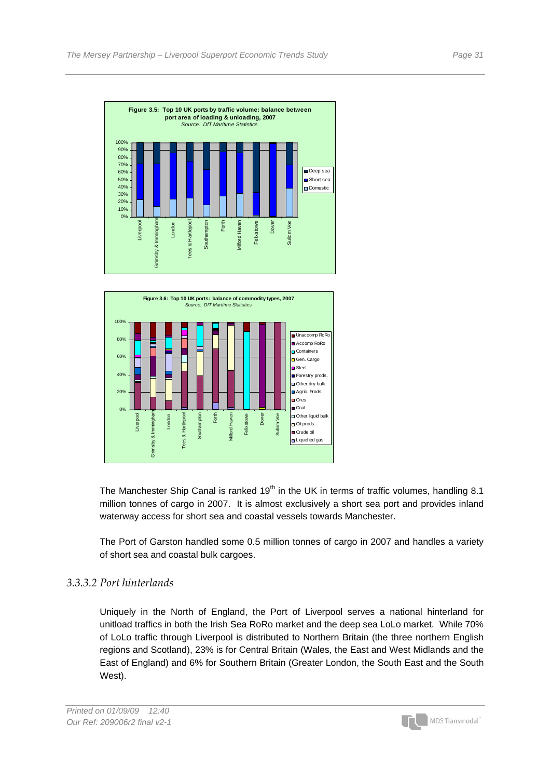



The Manchester Ship Canal is ranked  $19<sup>th</sup>$  in the UK in terms of traffic volumes, handling 8.1 million tonnes of cargo in 2007. It is almost exclusively a short sea port and provides inland waterway access for short sea and coastal vessels towards Manchester.

The Port of Garston handled some 0.5 million tonnes of cargo in 2007 and handles a variety of short sea and coastal bulk cargoes.

#### *3.3.3.2 Port hinterlands*

Uniquely in the North of England, the Port of Liverpool serves a national hinterland for unitload traffics in both the Irish Sea RoRo market and the deep sea LoLo market. While 70% of LoLo traffic through Liverpool is distributed to Northern Britain (the three northern English regions and Scotland), 23% is for Central Britain (Wales, the East and West Midlands and the East of England) and 6% for Southern Britain (Greater London, the South East and the South West).

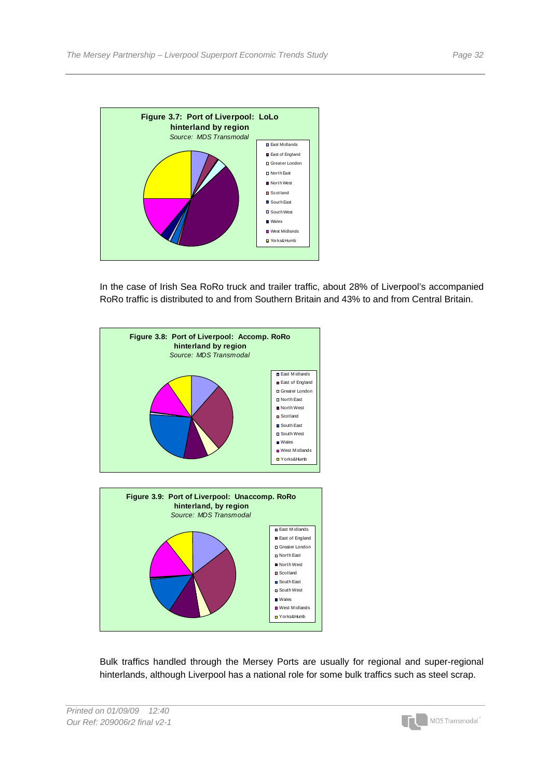

In the case of Irish Sea RoRo truck and trailer traffic, about 28% of Liverpool's accompanied RoRo traffic is distributed to and from Southern Britain and 43% to and from Central Britain.



Bulk traffics handled through the Mersey Ports are usually for regional and super-regional hinterlands, although Liverpool has a national role for some bulk traffics such as steel scrap.



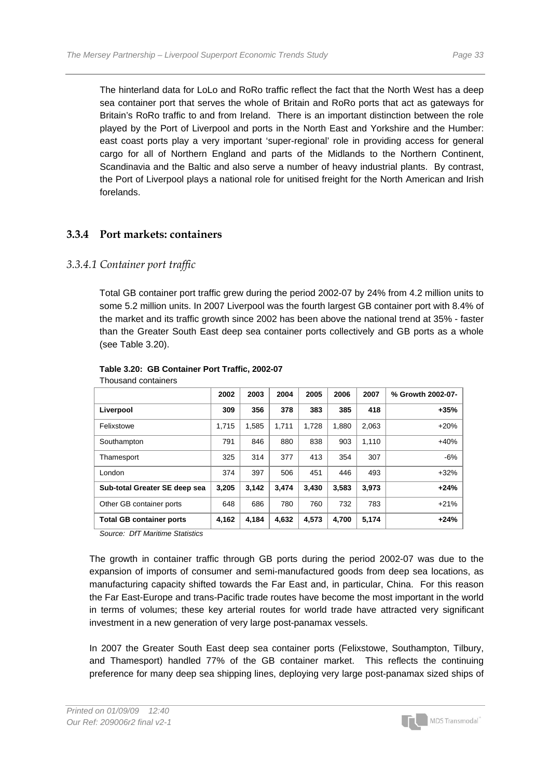The hinterland data for LoLo and RoRo traffic reflect the fact that the North West has a deep sea container port that serves the whole of Britain and RoRo ports that act as gateways for Britain's RoRo traffic to and from Ireland. There is an important distinction between the role played by the Port of Liverpool and ports in the North East and Yorkshire and the Humber: east coast ports play a very important 'super-regional' role in providing access for general cargo for all of Northern England and parts of the Midlands to the Northern Continent, Scandinavia and the Baltic and also serve a number of heavy industrial plants. By contrast, the Port of Liverpool plays a national role for unitised freight for the North American and Irish forelands.

#### **3.3.4 Port markets: containers**

#### *3.3.4.1 Container port traffic*

Total GB container port traffic grew during the period 2002-07 by 24% from 4.2 million units to some 5.2 million units. In 2007 Liverpool was the fourth largest GB container port with 8.4% of the market and its traffic growth since 2002 has been above the national trend at 35% - faster than the Greater South East deep sea container ports collectively and GB ports as a whole (see Table 3.20).

|                                 | 2002  | 2003  | 2004  | 2005  | 2006  | 2007  | % Growth 2002-07- |
|---------------------------------|-------|-------|-------|-------|-------|-------|-------------------|
| Liverpool                       | 309   | 356   | 378   | 383   | 385   | 418   | $+35%$            |
| Felixstowe                      | 1.715 | 1.585 | 1.711 | 1.728 | 1.880 | 2.063 | $+20%$            |
| Southampton                     | 791   | 846   | 880   | 838   | 903   | 1.110 | $+40%$            |
| Thamesport                      | 325   | 314   | 377   | 413   | 354   | 307   | $-6%$             |
| London                          | 374   | 397   | 506   | 451   | 446   | 493   | $+32%$            |
| Sub-total Greater SE deep sea   | 3,205 | 3.142 | 3.474 | 3.430 | 3.583 | 3.973 | $+24%$            |
| Other GB container ports        | 648   | 686   | 780   | 760   | 732   | 783   | $+21%$            |
| <b>Total GB container ports</b> | 4,162 | 4.184 | 4.632 | 4,573 | 4.700 | 5,174 | $+24%$            |

#### **Table 3.20: GB Container Port Traffic, 2002-07**  Thousand containers

*Source: DfT Maritime Statistics* 

The growth in container traffic through GB ports during the period 2002-07 was due to the expansion of imports of consumer and semi-manufactured goods from deep sea locations, as manufacturing capacity shifted towards the Far East and, in particular, China. For this reason the Far East-Europe and trans-Pacific trade routes have become the most important in the world in terms of volumes; these key arterial routes for world trade have attracted very significant investment in a new generation of very large post-panamax vessels.

In 2007 the Greater South East deep sea container ports (Felixstowe, Southampton, Tilbury, and Thamesport) handled 77% of the GB container market. This reflects the continuing preference for many deep sea shipping lines, deploying very large post-panamax sized ships of

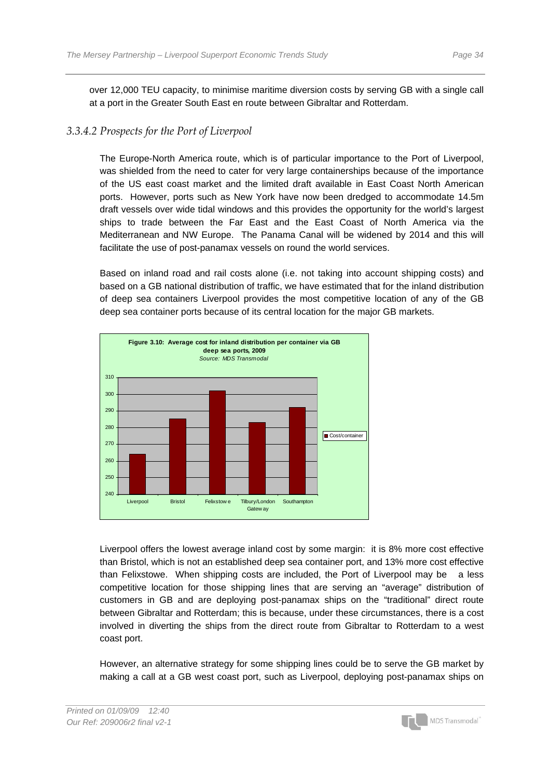over 12,000 TEU capacity, to minimise maritime diversion costs by serving GB with a single call at a port in the Greater South East en route between Gibraltar and Rotterdam.

#### *3.3.4.2 Prospects for the Port of Liverpool*

The Europe-North America route, which is of particular importance to the Port of Liverpool, was shielded from the need to cater for very large containerships because of the importance of the US east coast market and the limited draft available in East Coast North American ports. However, ports such as New York have now been dredged to accommodate 14.5m draft vessels over wide tidal windows and this provides the opportunity for the world's largest ships to trade between the Far East and the East Coast of North America via the Mediterranean and NW Europe. The Panama Canal will be widened by 2014 and this will facilitate the use of post-panamax vessels on round the world services.

Based on inland road and rail costs alone (i.e. not taking into account shipping costs) and based on a GB national distribution of traffic, we have estimated that for the inland distribution of deep sea containers Liverpool provides the most competitive location of any of the GB deep sea container ports because of its central location for the major GB markets.



Liverpool offers the lowest average inland cost by some margin: it is 8% more cost effective than Bristol, which is not an established deep sea container port, and 13% more cost effective than Felixstowe. When shipping costs are included, the Port of Liverpool may be a less competitive location for those shipping lines that are serving an "average" distribution of customers in GB and are deploying post-panamax ships on the "traditional" direct route between Gibraltar and Rotterdam; this is because, under these circumstances, there is a cost involved in diverting the ships from the direct route from Gibraltar to Rotterdam to a west coast port.

However, an alternative strategy for some shipping lines could be to serve the GB market by making a call at a GB west coast port, such as Liverpool, deploying post-panamax ships on

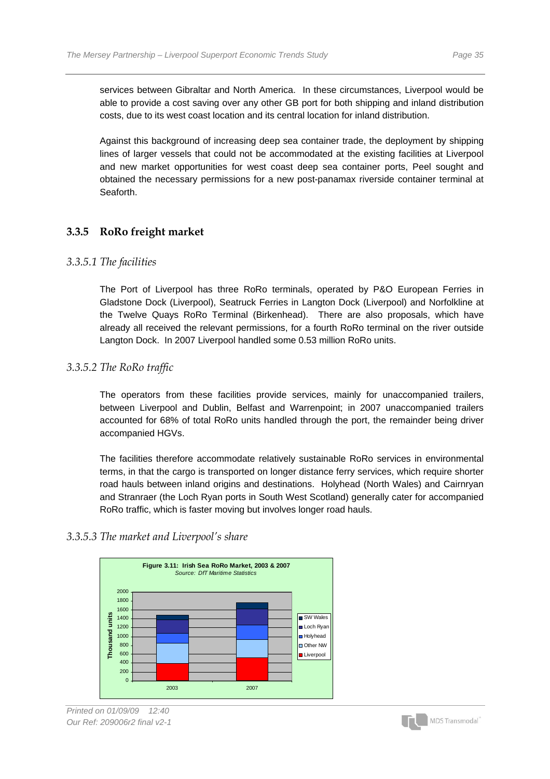services between Gibraltar and North America. In these circumstances, Liverpool would be able to provide a cost saving over any other GB port for both shipping and inland distribution costs, due to its west coast location and its central location for inland distribution.

Against this background of increasing deep sea container trade, the deployment by shipping lines of larger vessels that could not be accommodated at the existing facilities at Liverpool and new market opportunities for west coast deep sea container ports, Peel sought and obtained the necessary permissions for a new post-panamax riverside container terminal at Seaforth.

### **3.3.5 RoRo freight market**

### *3.3.5.1 The facilities*

The Port of Liverpool has three RoRo terminals, operated by P&O European Ferries in Gladstone Dock (Liverpool), Seatruck Ferries in Langton Dock (Liverpool) and Norfolkline at the Twelve Quays RoRo Terminal (Birkenhead). There are also proposals, which have already all received the relevant permissions, for a fourth RoRo terminal on the river outside Langton Dock. In 2007 Liverpool handled some 0.53 million RoRo units.

### *3.3.5.2 The RoRo traffic*

The operators from these facilities provide services, mainly for unaccompanied trailers, between Liverpool and Dublin, Belfast and Warrenpoint; in 2007 unaccompanied trailers accounted for 68% of total RoRo units handled through the port, the remainder being driver accompanied HGVs.

The facilities therefore accommodate relatively sustainable RoRo services in environmental terms, in that the cargo is transported on longer distance ferry services, which require shorter road hauls between inland origins and destinations. Holyhead (North Wales) and Cairnryan and Stranraer (the Loch Ryan ports in South West Scotland) generally cater for accompanied RoRo traffic, which is faster moving but involves longer road hauls.

### *3.3.5.3 The market and Liverpool's share*





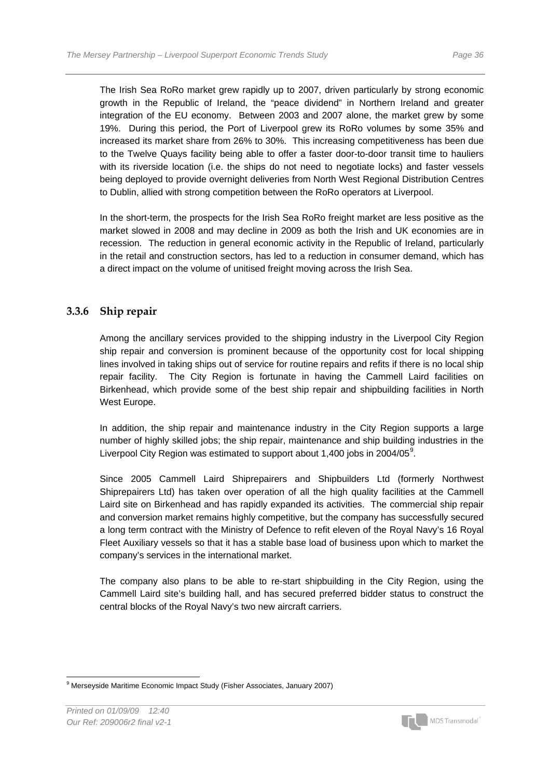The Irish Sea RoRo market grew rapidly up to 2007, driven particularly by strong economic growth in the Republic of Ireland, the "peace dividend" in Northern Ireland and greater integration of the EU economy. Between 2003 and 2007 alone, the market grew by some 19%. During this period, the Port of Liverpool grew its RoRo volumes by some 35% and increased its market share from 26% to 30%. This increasing competitiveness has been due to the Twelve Quays facility being able to offer a faster door-to-door transit time to hauliers with its riverside location (i.e. the ships do not need to negotiate locks) and faster vessels being deployed to provide overnight deliveries from North West Regional Distribution Centres to Dublin, allied with strong competition between the RoRo operators at Liverpool.

In the short-term, the prospects for the Irish Sea RoRo freight market are less positive as the market slowed in 2008 and may decline in 2009 as both the Irish and UK economies are in recession. The reduction in general economic activity in the Republic of Ireland, particularly in the retail and construction sectors, has led to a reduction in consumer demand, which has a direct impact on the volume of unitised freight moving across the Irish Sea.

### **3.3.6 Ship repair**

Among the ancillary services provided to the shipping industry in the Liverpool City Region ship repair and conversion is prominent because of the opportunity cost for local shipping lines involved in taking ships out of service for routine repairs and refits if there is no local ship repair facility. The City Region is fortunate in having the Cammell Laird facilities on Birkenhead, which provide some of the best ship repair and shipbuilding facilities in North West Europe.

In addition, the ship repair and maintenance industry in the City Region supports a large number of highly skilled jobs; the ship repair, maintenance and ship building industries in the Liverpool City Region was estimated to support about 1,400 jobs in 2004/05 $^9$  $^9$ .

Since 2005 Cammell Laird Shiprepairers and Shipbuilders Ltd (formerly Northwest Shiprepairers Ltd) has taken over operation of all the high quality facilities at the Cammell Laird site on Birkenhead and has rapidly expanded its activities. The commercial ship repair and conversion market remains highly competitive, but the company has successfully secured a long term contract with the Ministry of Defence to refit eleven of the Royal Navy's 16 Royal Fleet Auxiliary vessels so that it has a stable base load of business upon which to market the company's services in the international market.

The company also plans to be able to re-start shipbuilding in the City Region, using the Cammell Laird site's building hall, and has secured preferred bidder status to construct the central blocks of the Royal Navy's two new aircraft carriers.



<span id="page-37-0"></span> $\overline{a}$ <sup>9</sup> Merseyside Maritime Economic Impact Study (Fisher Associates, January 2007)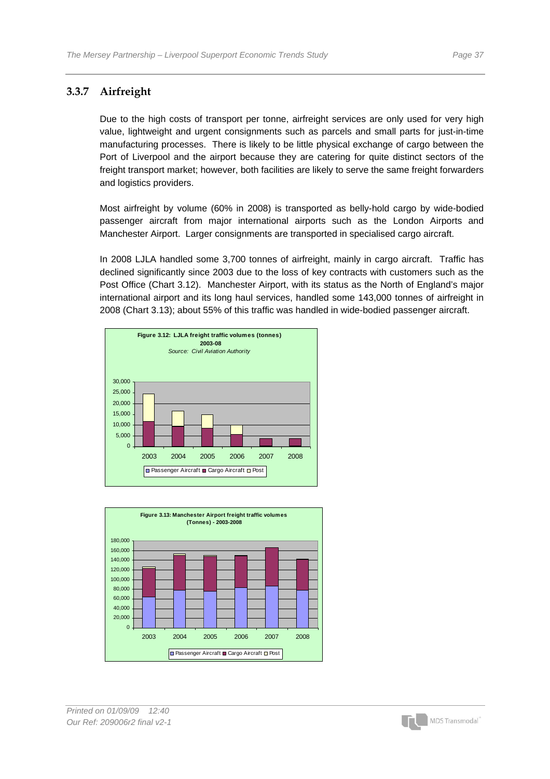### **3.3.7 Airfreight**

Due to the high costs of transport per tonne, airfreight services are only used for very high value, lightweight and urgent consignments such as parcels and small parts for just-in-time manufacturing processes. There is likely to be little physical exchange of cargo between the Port of Liverpool and the airport because they are catering for quite distinct sectors of the freight transport market; however, both facilities are likely to serve the same freight forwarders and logistics providers.

Most airfreight by volume (60% in 2008) is transported as belly-hold cargo by wide-bodied passenger aircraft from major international airports such as the London Airports and Manchester Airport. Larger consignments are transported in specialised cargo aircraft.

In 2008 LJLA handled some 3,700 tonnes of airfreight, mainly in cargo aircraft. Traffic has declined significantly since 2003 due to the loss of key contracts with customers such as the Post Office (Chart 3.12). Manchester Airport, with its status as the North of England's major international airport and its long haul services, handled some 143,000 tonnes of airfreight in 2008 (Chart 3.13); about 55% of this traffic was handled in wide-bodied passenger aircraft.





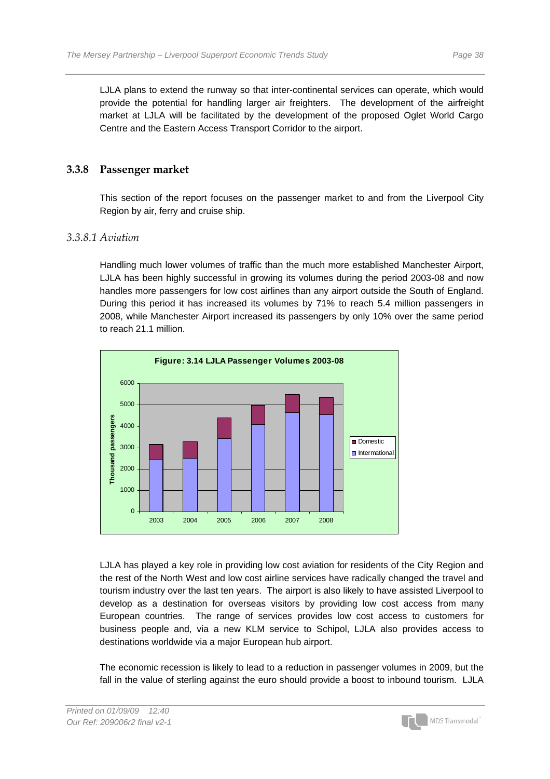LJLA plans to extend the runway so that inter-continental services can operate, which would provide the potential for handling larger air freighters. The development of the airfreight market at LJLA will be facilitated by the development of the proposed Oglet World Cargo Centre and the Eastern Access Transport Corridor to the airport.

### **3.3.8 Passenger market**

This section of the report focuses on the passenger market to and from the Liverpool City Region by air, ferry and cruise ship.

### *3.3.8.1 Aviation*

Handling much lower volumes of traffic than the much more established Manchester Airport, LJLA has been highly successful in growing its volumes during the period 2003-08 and now handles more passengers for low cost airlines than any airport outside the South of England. During this period it has increased its volumes by 71% to reach 5.4 million passengers in 2008, while Manchester Airport increased its passengers by only 10% over the same period to reach 21.1 million.



LJLA has played a key role in providing low cost aviation for residents of the City Region and the rest of the North West and low cost airline services have radically changed the travel and tourism industry over the last ten years. The airport is also likely to have assisted Liverpool to develop as a destination for overseas visitors by providing low cost access from many European countries. The range of services provides low cost access to customers for business people and, via a new KLM service to Schipol, LJLA also provides access to destinations worldwide via a major European hub airport.

The economic recession is likely to lead to a reduction in passenger volumes in 2009, but the fall in the value of sterling against the euro should provide a boost to inbound tourism. LJLA

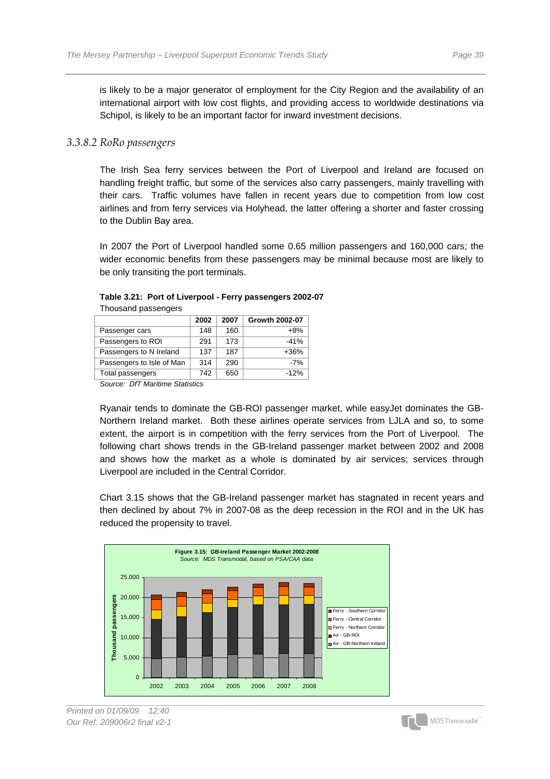is likely to be a major generator of employment for the City Region and the availability of an international airport with low cost flights, and providing access to worldwide destinations via Schipol, is likely to be an important factor for inward investment decisions.

#### *3.3.8.2 RoRo passengers*

The Irish Sea ferry services between the Port of Liverpool and Ireland are focused on handling freight traffic, but some of the services also carry passengers, mainly travelling with their cars. Traffic volumes have fallen in recent years due to competition from low cost airlines and from ferry services via Holyhead, the latter offering a shorter and faster crossing to the Dublin Bay area.

In 2007 the Port of Liverpool handled some 0.65 million passengers and 160,000 cars; the wider economic benefits from these passengers may be minimal because most are likely to be only transiting the port terminals.

| oaoana paooongoro         |      |      |                       |
|---------------------------|------|------|-----------------------|
|                           | 2002 | 2007 | <b>Growth 2002-07</b> |
| Passenger cars            | 148  | 160  | $+8%$                 |
| Passengers to ROI         | 291  | 173  | $-41%$                |
| Passengers to N Ireland   | 137  | 187  | $+36%$                |
| Passengers to Isle of Man | 314  | 290  | $-7%$                 |
| Total passengers          | 742  | 650  | $-12%$                |
|                           |      |      |                       |

#### **Table 3.21: Port of Liverpool - Ferry passengers 2002-07**  Thousand passengers

*Source: DfT Maritime Statistics* 

Ryanair tends to dominate the GB-ROI passenger market, while easyJet dominates the GB-Northern Ireland market. Both these airlines operate services from LJLA and so, to some extent, the airport is in competition with the ferry services from the Port of Liverpool. The following chart shows trends in the GB-Ireland passenger market between 2002 and 2008 and shows how the market as a whole is dominated by air services; services through Liverpool are included in the Central Corridor.

Chart 3.15 shows that the GB-Ireland passenger market has stagnated in recent years and then declined by about 7% in 2007-08 as the deep recession in the ROI and in the UK has reduced the propensity to travel.



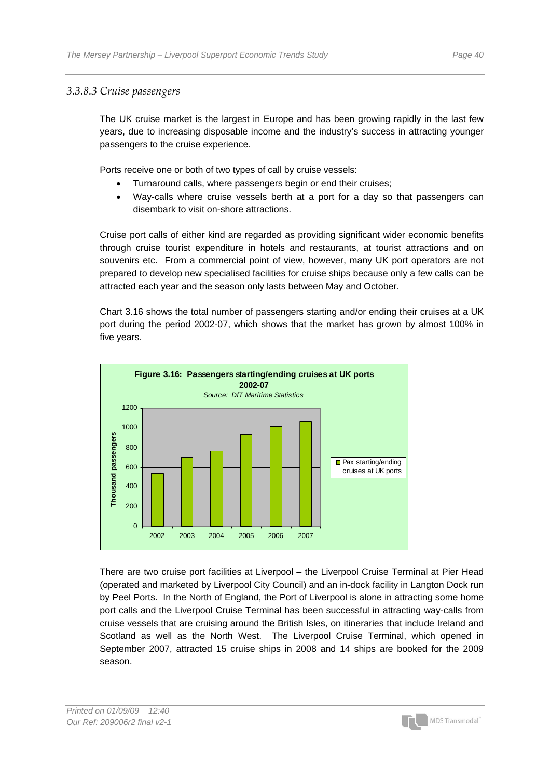### *3.3.8.3 Cruise passengers*

The UK cruise market is the largest in Europe and has been growing rapidly in the last few years, due to increasing disposable income and the industry's success in attracting younger passengers to the cruise experience.

Ports receive one or both of two types of call by cruise vessels:

- Turnaround calls, where passengers begin or end their cruises;
- Way-calls where cruise vessels berth at a port for a day so that passengers can disembark to visit on-shore attractions.

Cruise port calls of either kind are regarded as providing significant wider economic benefits through cruise tourist expenditure in hotels and restaurants, at tourist attractions and on souvenirs etc. From a commercial point of view, however, many UK port operators are not prepared to develop new specialised facilities for cruise ships because only a few calls can be attracted each year and the season only lasts between May and October.

Chart 3.16 shows the total number of passengers starting and/or ending their cruises at a UK port during the period 2002-07, which shows that the market has grown by almost 100% in five years.



There are two cruise port facilities at Liverpool – the Liverpool Cruise Terminal at Pier Head (operated and marketed by Liverpool City Council) and an in-dock facility in Langton Dock run by Peel Ports. In the North of England, the Port of Liverpool is alone in attracting some home port calls and the Liverpool Cruise Terminal has been successful in attracting way-calls from cruise vessels that are cruising around the British Isles, on itineraries that include Ireland and Scotland as well as the North West. The Liverpool Cruise Terminal, which opened in September 2007, attracted 15 cruise ships in 2008 and 14 ships are booked for the 2009 season.

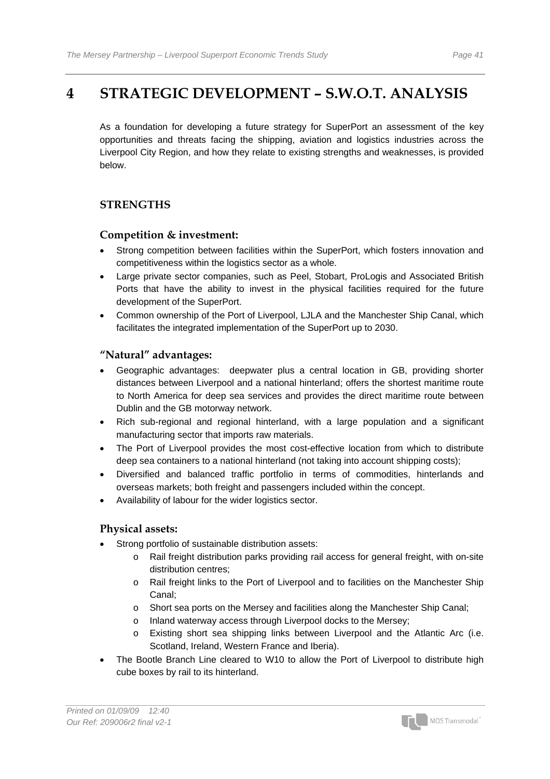# **4 STRATEGIC DEVELOPMENT – S.W.O.T. ANALYSIS**

As a foundation for developing a future strategy for SuperPort an assessment of the key opportunities and threats facing the shipping, aviation and logistics industries across the Liverpool City Region, and how they relate to existing strengths and weaknesses, is provided below.

### **STRENGTHS**

### **Competition & investment:**

- Strong competition between facilities within the SuperPort, which fosters innovation and competitiveness within the logistics sector as a whole.
- Large private sector companies, such as Peel, Stobart, ProLogis and Associated British Ports that have the ability to invest in the physical facilities required for the future development of the SuperPort.
- Common ownership of the Port of Liverpool, LJLA and the Manchester Ship Canal, which facilitates the integrated implementation of the SuperPort up to 2030.

### **"Natural" advantages:**

- Geographic advantages: deepwater plus a central location in GB, providing shorter distances between Liverpool and a national hinterland; offers the shortest maritime route to North America for deep sea services and provides the direct maritime route between Dublin and the GB motorway network.
- Rich sub-regional and regional hinterland, with a large population and a significant manufacturing sector that imports raw materials.
- The Port of Liverpool provides the most cost-effective location from which to distribute deep sea containers to a national hinterland (not taking into account shipping costs);
- Diversified and balanced traffic portfolio in terms of commodities, hinterlands and overseas markets; both freight and passengers included within the concept.
- Availability of labour for the wider logistics sector.

### **Physical assets:**

- Strong portfolio of sustainable distribution assets:
	- o Rail freight distribution parks providing rail access for general freight, with on-site distribution centres;
	- o Rail freight links to the Port of Liverpool and to facilities on the Manchester Ship Canal;
	- o Short sea ports on the Mersey and facilities along the Manchester Ship Canal;
	- o Inland waterway access through Liverpool docks to the Mersey;
	- Existing short sea shipping links between Liverpool and the Atlantic Arc (i.e. Scotland, Ireland, Western France and Iberia).
- The Bootle Branch Line cleared to W10 to allow the Port of Liverpool to distribute high cube boxes by rail to its hinterland.

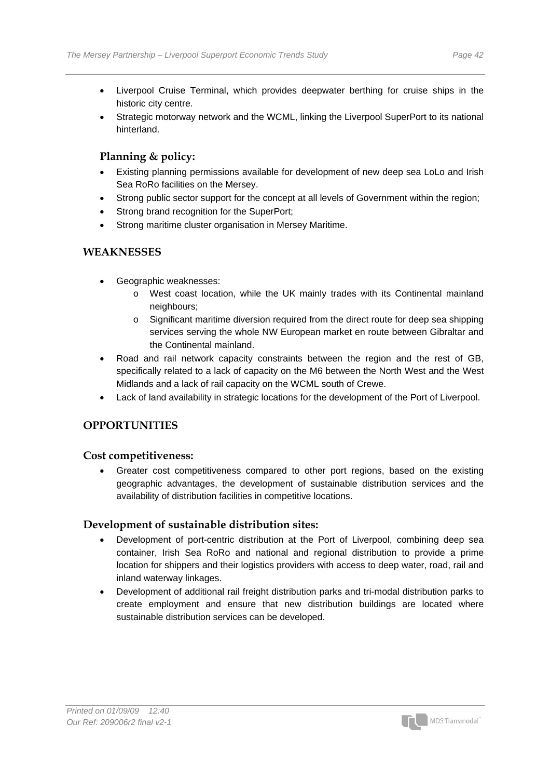- Liverpool Cruise Terminal, which provides deepwater berthing for cruise ships in the historic city centre.
- Strategic motorway network and the WCML, linking the Liverpool SuperPort to its national hinterland.

### **Planning & policy:**

- Existing planning permissions available for development of new deep sea LoLo and Irish Sea RoRo facilities on the Mersey.
- Strong public sector support for the concept at all levels of Government within the region;
- Strong brand recognition for the SuperPort;
- Strong maritime cluster organisation in Mersey Maritime.

### **WEAKNESSES**

- Geographic weaknesses:
	- o West coast location, while the UK mainly trades with its Continental mainland neighbours;
	- o Significant maritime diversion required from the direct route for deep sea shipping services serving the whole NW European market en route between Gibraltar and the Continental mainland.
- Road and rail network capacity constraints between the region and the rest of GB, specifically related to a lack of capacity on the M6 between the North West and the West Midlands and a lack of rail capacity on the WCML south of Crewe.
- Lack of land availability in strategic locations for the development of the Port of Liverpool.

### **OPPORTUNITIES**

#### **Cost competitiveness:**

• Greater cost competitiveness compared to other port regions, based on the existing geographic advantages, the development of sustainable distribution services and the availability of distribution facilities in competitive locations.

### **Development of sustainable distribution sites:**

- Development of port-centric distribution at the Port of Liverpool, combining deep sea container, Irish Sea RoRo and national and regional distribution to provide a prime location for shippers and their logistics providers with access to deep water, road, rail and inland waterway linkages.
- Development of additional rail freight distribution parks and tri-modal distribution parks to create employment and ensure that new distribution buildings are located where sustainable distribution services can be developed.

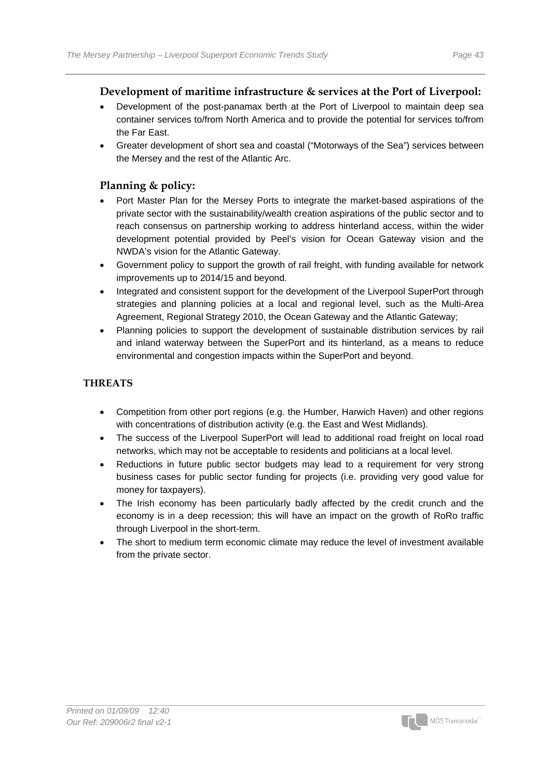### **Development of maritime infrastructure & services at the Port of Liverpool:**

- Development of the post-panamax berth at the Port of Liverpool to maintain deep sea container services to/from North America and to provide the potential for services to/from the Far East.
- Greater development of short sea and coastal ("Motorways of the Sea") services between the Mersey and the rest of the Atlantic Arc.

### **Planning & policy:**

- Port Master Plan for the Mersey Ports to integrate the market-based aspirations of the private sector with the sustainability/wealth creation aspirations of the public sector and to reach consensus on partnership working to address hinterland access, within the wider development potential provided by Peel's vision for Ocean Gateway vision and the NWDA's vision for the Atlantic Gateway.
- Government policy to support the growth of rail freight, with funding available for network improvements up to 2014/15 and beyond.
- Integrated and consistent support for the development of the Liverpool SuperPort through strategies and planning policies at a local and regional level, such as the Multi-Area Agreement, Regional Strategy 2010, the Ocean Gateway and the Atlantic Gateway;
- Planning policies to support the development of sustainable distribution services by rail and inland waterway between the SuperPort and its hinterland, as a means to reduce environmental and congestion impacts within the SuperPort and beyond.

### **THREATS**

- Competition from other port regions (e.g. the Humber, Harwich Haven) and other regions with concentrations of distribution activity (e.g. the East and West Midlands).
- The success of the Liverpool SuperPort will lead to additional road freight on local road networks, which may not be acceptable to residents and politicians at a local level.
- Reductions in future public sector budgets may lead to a requirement for very strong business cases for public sector funding for projects (i.e. providing very good value for money for taxpayers).
- The Irish economy has been particularly badly affected by the credit crunch and the economy is in a deep recession; this will have an impact on the growth of RoRo traffic through Liverpool in the short-term.
- The short to medium term economic climate may reduce the level of investment available from the private sector.

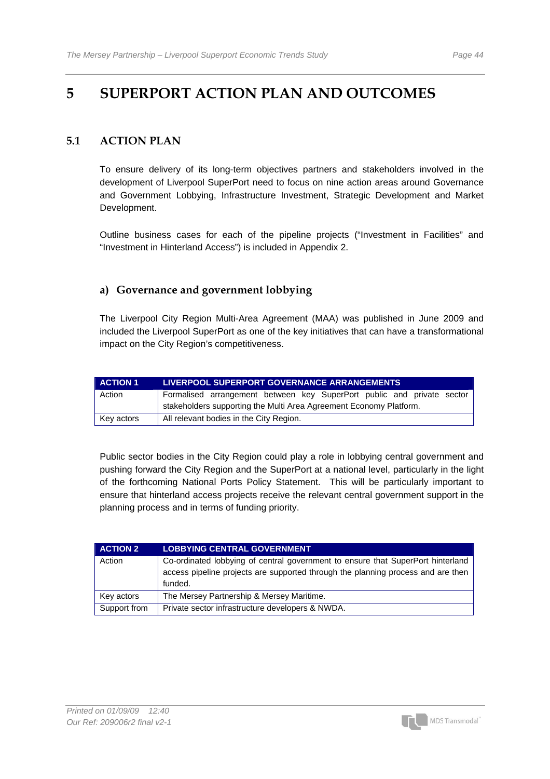# **5 SUPERPORT ACTION PLAN AND OUTCOMES**

### **5.1 ACTION PLAN**

To ensure delivery of its long-term objectives partners and stakeholders involved in the development of Liverpool SuperPort need to focus on nine action areas around Governance and Government Lobbying, Infrastructure Investment, Strategic Development and Market Development.

Outline business cases for each of the pipeline projects ("Investment in Facilities" and "Investment in Hinterland Access") is included in Appendix 2.

### **a) Governance and government lobbying**

The Liverpool City Region Multi-Area Agreement (MAA) was published in June 2009 and included the Liverpool SuperPort as one of the key initiatives that can have a transformational impact on the City Region's competitiveness.

| <b>ACTION 1</b> | <b>LIVERPOOL SUPERPORT GOVERNANCE ARRANGEMENTS</b>                     |  |  |
|-----------------|------------------------------------------------------------------------|--|--|
| Action          | Formalised arrangement between key SuperPort public and private sector |  |  |
|                 | stakeholders supporting the Multi Area Agreement Economy Platform.     |  |  |
| Key actors      | All relevant bodies in the City Region.                                |  |  |

Public sector bodies in the City Region could play a role in lobbying central government and pushing forward the City Region and the SuperPort at a national level, particularly in the light of the forthcoming National Ports Policy Statement. This will be particularly important to ensure that hinterland access projects receive the relevant central government support in the planning process and in terms of funding priority.

| <b>ACTION 2</b> | <b>LOBBYING CENTRAL GOVERNMENT</b>                                                                                                                                             |
|-----------------|--------------------------------------------------------------------------------------------------------------------------------------------------------------------------------|
| Action          | Co-ordinated lobbying of central government to ensure that SuperPort hinterland<br>access pipeline projects are supported through the planning process and are then<br>funded. |
| Key actors      | The Mersey Partnership & Mersey Maritime.                                                                                                                                      |
| Support from    | Private sector infrastructure developers & NWDA.                                                                                                                               |

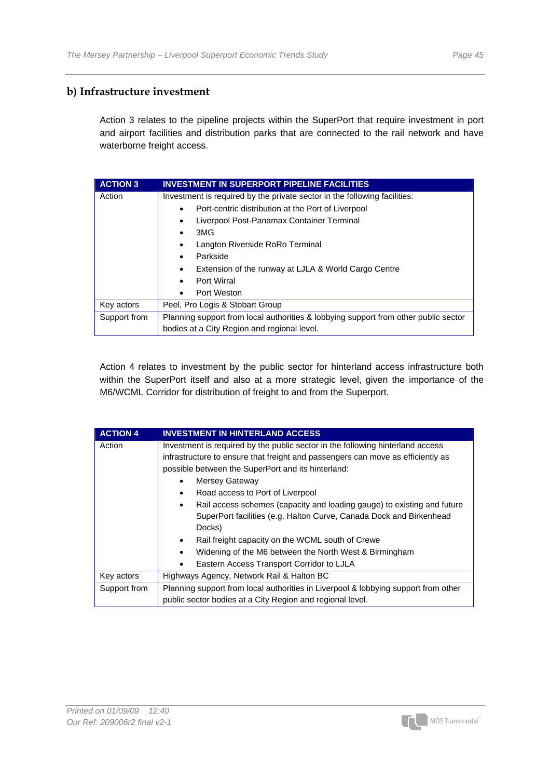### **b) Infrastructure investment**

Action 3 relates to the pipeline projects within the SuperPort that require investment in port and airport facilities and distribution parks that are connected to the rail network and have waterborne freight access.

| <b>ACTION 3</b> | <b>INVESTMENT IN SUPERPORT PIPELINE FACILITIES</b>                                  |  |  |
|-----------------|-------------------------------------------------------------------------------------|--|--|
| Action          | Investment is required by the private sector in the following facilities:           |  |  |
|                 | Port-centric distribution at the Port of Liverpool                                  |  |  |
|                 | Liverpool Post-Panamax Container Terminal                                           |  |  |
|                 | 3MG<br>٠                                                                            |  |  |
|                 | Langton Riverside RoRo Terminal                                                     |  |  |
|                 | Parkside                                                                            |  |  |
|                 | Extension of the runway at LJLA & World Cargo Centre<br>$\bullet$                   |  |  |
|                 | Port Wirral                                                                         |  |  |
|                 | Port Weston                                                                         |  |  |
| Key actors      | Peel, Pro Logis & Stobart Group                                                     |  |  |
| Support from    | Planning support from local authorities & lobbying support from other public sector |  |  |
|                 | bodies at a City Region and regional level.                                         |  |  |

Action 4 relates to investment by the public sector for hinterland access infrastructure both within the SuperPort itself and also at a more strategic level, given the importance of the M6/WCML Corridor for distribution of freight to and from the Superport.

| <b>ACTION 4</b> | <b>INVESTMENT IN HINTERLAND ACCESS</b>                                               |  |  |
|-----------------|--------------------------------------------------------------------------------------|--|--|
| Action          | Investment is required by the public sector in the following hinterland access       |  |  |
|                 | infrastructure to ensure that freight and passengers can move as efficiently as      |  |  |
|                 | possible between the SuperPort and its hinterland:                                   |  |  |
|                 | Mersey Gateway                                                                       |  |  |
|                 | Road access to Port of Liverpool<br>$\bullet$                                        |  |  |
|                 | Rail access schemes (capacity and loading gauge) to existing and future<br>$\bullet$ |  |  |
|                 | SuperPort facilities (e.g. Halton Curve, Canada Dock and Birkenhead                  |  |  |
|                 | Docks)                                                                               |  |  |
|                 | Rail freight capacity on the WCML south of Crewe                                     |  |  |
|                 | Widening of the M6 between the North West & Birmingham                               |  |  |
|                 | Eastern Access Transport Corridor to LJLA                                            |  |  |
| Key actors      | Highways Agency, Network Rail & Halton BC                                            |  |  |
| Support from    | Planning support from local authorities in Liverpool & lobbying support from other   |  |  |
|                 | public sector bodies at a City Region and regional level.                            |  |  |

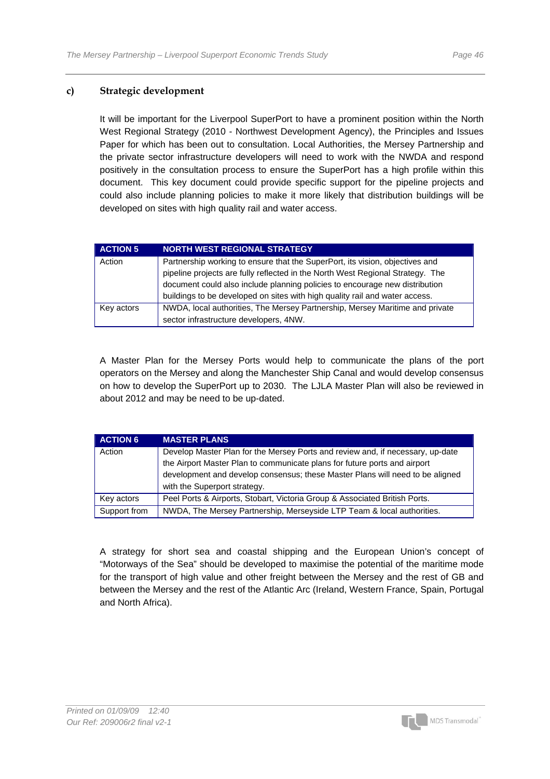### **c) Strategic development**

It will be important for the Liverpool SuperPort to have a prominent position within the North West Regional Strategy (2010 - Northwest Development Agency), the Principles and Issues Paper for which has been out to consultation. Local Authorities, the Mersey Partnership and the private sector infrastructure developers will need to work with the NWDA and respond positively in the consultation process to ensure the SuperPort has a high profile within this document. This key document could provide specific support for the pipeline projects and could also include planning policies to make it more likely that distribution buildings will be developed on sites with high quality rail and water access.

| <b>ACTION 5</b> | <b>NORTH WEST REGIONAL STRATEGY</b>                                            |  |  |
|-----------------|--------------------------------------------------------------------------------|--|--|
| Action          | Partnership working to ensure that the SuperPort, its vision, objectives and   |  |  |
|                 | pipeline projects are fully reflected in the North West Regional Strategy. The |  |  |
|                 | document could also include planning policies to encourage new distribution    |  |  |
|                 | buildings to be developed on sites with high quality rail and water access.    |  |  |
| Key actors      | NWDA, local authorities, The Mersey Partnership, Mersey Maritime and private   |  |  |
|                 | sector infrastructure developers, 4NW.                                         |  |  |

A Master Plan for the Mersey Ports would help to communicate the plans of the port operators on the Mersey and along the Manchester Ship Canal and would develop consensus on how to develop the SuperPort up to 2030. The LJLA Master Plan will also be reviewed in about 2012 and may be need to be up-dated.

| <b>ACTION 6</b> | <b>MASTER PLANS</b>                                                            |  |  |
|-----------------|--------------------------------------------------------------------------------|--|--|
| Action          | Develop Master Plan for the Mersey Ports and review and, if necessary, up-date |  |  |
|                 | the Airport Master Plan to communicate plans for future ports and airport      |  |  |
|                 | development and develop consensus; these Master Plans will need to be aligned  |  |  |
|                 | with the Superport strategy.                                                   |  |  |
| Key actors      | Peel Ports & Airports, Stobart, Victoria Group & Associated British Ports.     |  |  |
| Support from    | NWDA, The Mersey Partnership, Merseyside LTP Team & local authorities.         |  |  |

A strategy for short sea and coastal shipping and the European Union's concept of "Motorways of the Sea" should be developed to maximise the potential of the maritime mode for the transport of high value and other freight between the Mersey and the rest of GB and between the Mersey and the rest of the Atlantic Arc (Ireland, Western France, Spain, Portugal and North Africa).

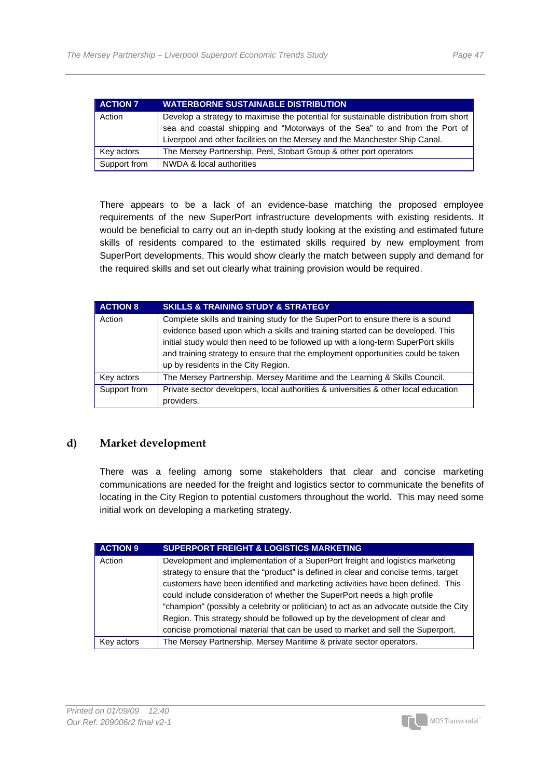| <b>ACTION 7</b> | <b>WATERBORNE SUSTAINABLE DISTRIBUTION</b>                                           |  |  |
|-----------------|--------------------------------------------------------------------------------------|--|--|
| Action          | Develop a strategy to maximise the potential for sustainable distribution from short |  |  |
|                 | sea and coastal shipping and "Motorways of the Sea" to and from the Port of          |  |  |
|                 | Liverpool and other facilities on the Mersey and the Manchester Ship Canal.          |  |  |
| Key actors      | The Mersey Partnership, Peel, Stobart Group & other port operators                   |  |  |
| Support from    | NWDA & local authorities                                                             |  |  |

There appears to be a lack of an evidence-base matching the proposed employee requirements of the new SuperPort infrastructure developments with existing residents. It would be beneficial to carry out an in-depth study looking at the existing and estimated future skills of residents compared to the estimated skills required by new employment from SuperPort developments. This would show clearly the match between supply and demand for the required skills and set out clearly what training provision would be required.

| <b>ACTION 8</b> | <b>SKILLS &amp; TRAINING STUDY &amp; STRATEGY</b>                                                                                                                                                            |  |  |
|-----------------|--------------------------------------------------------------------------------------------------------------------------------------------------------------------------------------------------------------|--|--|
| Action          | Complete skills and training study for the SuperPort to ensure there is a sound<br>evidence based upon which a skills and training started can be developed. This                                            |  |  |
|                 | initial study would then need to be followed up with a long-term SuperPort skills<br>and training strategy to ensure that the employment opportunities could be taken<br>up by residents in the City Region. |  |  |
| Key actors      | The Mersey Partnership, Mersey Maritime and the Learning & Skills Council.                                                                                                                                   |  |  |
| Support from    | Private sector developers, local authorities & universities & other local education                                                                                                                          |  |  |
|                 | providers.                                                                                                                                                                                                   |  |  |

### **d) Market development**

There was a feeling among some stakeholders that clear and concise marketing communications are needed for the freight and logistics sector to communicate the benefits of locating in the City Region to potential customers throughout the world. This may need some initial work on developing a marketing strategy.

| <b>ACTION 9</b> | <b>SUPERPORT FREIGHT &amp; LOGISTICS MARKETING</b>                                     |  |  |  |
|-----------------|----------------------------------------------------------------------------------------|--|--|--|
| Action          | Development and implementation of a SuperPort freight and logistics marketing          |  |  |  |
|                 | strategy to ensure that the "product" is defined in clear and concise terms, target    |  |  |  |
|                 | customers have been identified and marketing activities have been defined. This        |  |  |  |
|                 | could include consideration of whether the SuperPort needs a high profile              |  |  |  |
|                 | "champion" (possibly a celebrity or politician) to act as an advocate outside the City |  |  |  |
|                 | Region. This strategy should be followed up by the development of clear and            |  |  |  |
|                 | concise promotional material that can be used to market and sell the Superport.        |  |  |  |
| Key actors      | The Mersey Partnership, Mersey Maritime & private sector operators.                    |  |  |  |

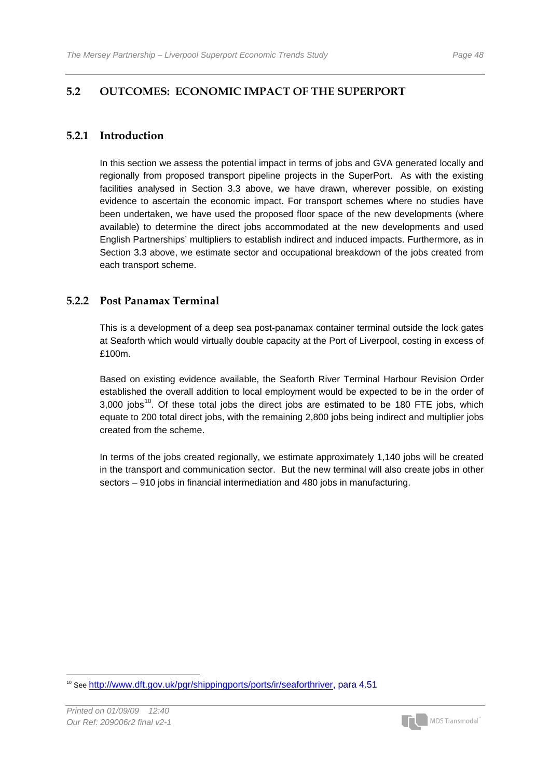# **5.2 OUTCOMES: ECONOMIC IMPACT OF THE SUPERPORT**

### **5.2.1 Introduction**

In this section we assess the potential impact in terms of jobs and GVA generated locally and regionally from proposed transport pipeline projects in the SuperPort. As with the existing facilities analysed in Section 3.3 above, we have drawn, wherever possible, on existing evidence to ascertain the economic impact. For transport schemes where no studies have been undertaken, we have used the proposed floor space of the new developments (where available) to determine the direct jobs accommodated at the new developments and used English Partnerships' multipliers to establish indirect and induced impacts. Furthermore, as in Section 3.3 above, we estimate sector and occupational breakdown of the jobs created from each transport scheme.

### **5.2.2 Post Panamax Terminal**

This is a development of a deep sea post-panamax container terminal outside the lock gates at Seaforth which would virtually double capacity at the Port of Liverpool, costing in excess of £100m.

Based on existing evidence available, the Seaforth River Terminal Harbour Revision Order established the overall addition to local employment would be expected to be in the order of  $3,000$  jobs<sup>[1](#page-49-0)0</sup>. Of these total jobs the direct jobs are estimated to be 180 FTE jobs, which equate to 200 total direct jobs, with the remaining 2,800 jobs being indirect and multiplier jobs created from the scheme.

In terms of the jobs created regionally, we estimate approximately 1,140 jobs will be created in the transport and communication sector. But the new terminal will also create jobs in other sectors – 910 jobs in financial intermediation and 480 jobs in manufacturing.



<span id="page-49-0"></span> <sup>10</sup> See http://www.dft.gov.uk/pgr/shippingports/ports/ir/seaforthriver, para 4.51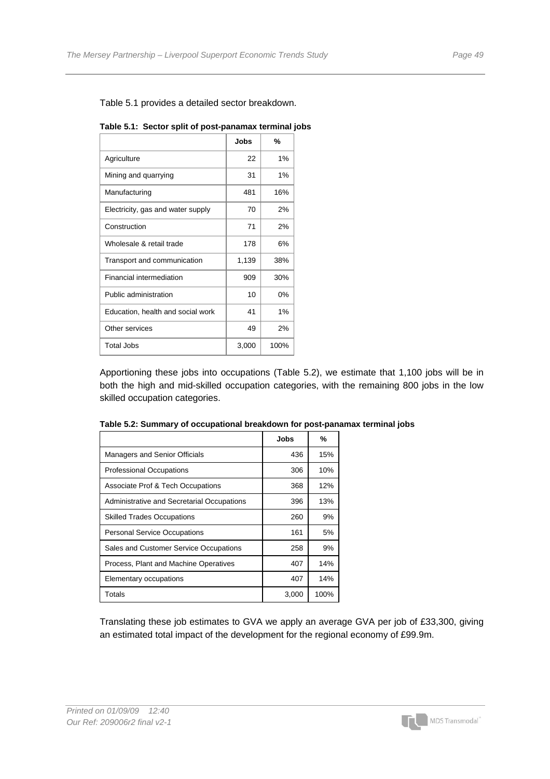|  |  | Table 5.1: Sector split of post-panamax terminal jobs |  |
|--|--|-------------------------------------------------------|--|
|--|--|-------------------------------------------------------|--|

|                                   | Jobs  | %     |
|-----------------------------------|-------|-------|
| Agriculture                       | 22    | 1%    |
| Mining and quarrying              | 31    | 1%    |
| Manufacturing                     | 481   | 16%   |
| Electricity, gas and water supply | 70    | 2%    |
| Construction                      | 71    | 2%    |
| Wholesale & retail trade          | 178   | 6%    |
| Transport and communication       | 1,139 | 38%   |
| <b>Financial intermediation</b>   | 909   | 30%   |
| Public administration             | 10    | $0\%$ |
| Education, health and social work | 41    | 1%    |
| Other services                    | 49    | 2%    |
| Total Jobs                        | 3,000 | 100%  |

Apportioning these jobs into occupations (Table 5.2), we estimate that 1,100 jobs will be in both the high and mid-skilled occupation categories, with the remaining 800 jobs in the low skilled occupation categories.

|                                            | Jobs  | %    |
|--------------------------------------------|-------|------|
| <b>Managers and Senior Officials</b>       | 436   | 15%  |
| <b>Professional Occupations</b>            | 306   | 10%  |
| Associate Prof & Tech Occupations          | 368   | 12%  |
| Administrative and Secretarial Occupations | 396   | 13%  |
| <b>Skilled Trades Occupations</b>          | 260   | 9%   |
| <b>Personal Service Occupations</b>        | 161   | 5%   |
| Sales and Customer Service Occupations     | 258   | 9%   |
| Process, Plant and Machine Operatives      | 407   | 14%  |
| Elementary occupations                     | 407   | 14%  |
| Totals                                     | 3,000 | 100% |

| Table 5.2: Summary of occupational breakdown for post-panamax terminal jobs |  |  |  |  |  |  |
|-----------------------------------------------------------------------------|--|--|--|--|--|--|
|-----------------------------------------------------------------------------|--|--|--|--|--|--|

Translating these job estimates to GVA we apply an average GVA per job of £33,300, giving an estimated total impact of the development for the regional economy of £99.9m.

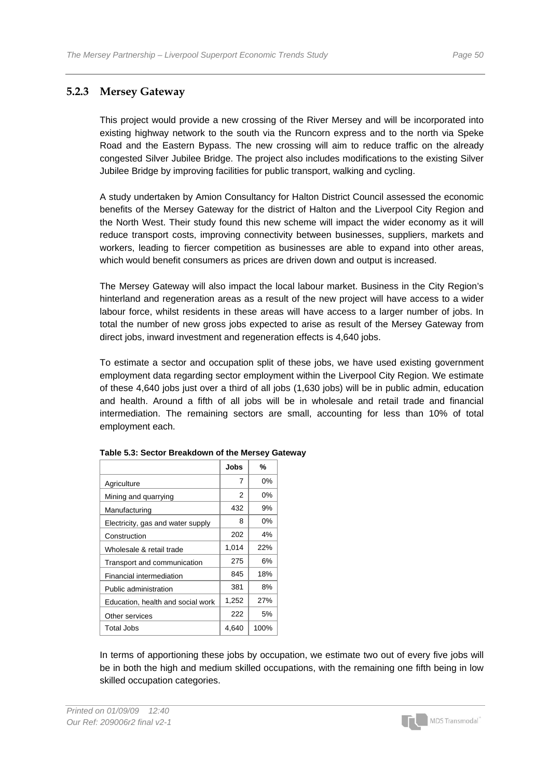### **5.2.3 Mersey Gateway**

This project would provide a new crossing of the River Mersey and will be incorporated into existing highway network to the south via the Runcorn express and to the north via Speke Road and the Eastern Bypass. The new crossing will aim to reduce traffic on the already congested Silver Jubilee Bridge. The project also includes modifications to the existing Silver Jubilee Bridge by improving facilities for public transport, walking and cycling.

A study undertaken by Amion Consultancy for Halton District Council assessed the economic benefits of the Mersey Gateway for the district of Halton and the Liverpool City Region and the North West. Their study found this new scheme will impact the wider economy as it will reduce transport costs, improving connectivity between businesses, suppliers, markets and workers, leading to fiercer competition as businesses are able to expand into other areas, which would benefit consumers as prices are driven down and output is increased.

The Mersey Gateway will also impact the local labour market. Business in the City Region's hinterland and regeneration areas as a result of the new project will have access to a wider labour force, whilst residents in these areas will have access to a larger number of jobs. In total the number of new gross jobs expected to arise as result of the Mersey Gateway from direct jobs, inward investment and regeneration effects is 4,640 jobs.

To estimate a sector and occupation split of these jobs, we have used existing government employment data regarding sector employment within the Liverpool City Region. We estimate of these 4,640 jobs just over a third of all jobs (1,630 jobs) will be in public admin, education and health. Around a fifth of all jobs will be in wholesale and retail trade and financial intermediation. The remaining sectors are small, accounting for less than 10% of total employment each.

|                                   | Jobs  | %     |
|-----------------------------------|-------|-------|
| Agriculture                       | 7     | 0%    |
| Mining and quarrying              | 2     | $0\%$ |
| Manufacturing                     | 432   | 9%    |
| Electricity, gas and water supply | 8     | 0%    |
| Construction                      | 202   | 4%    |
| Wholesale & retail trade          | 1,014 | 22%   |
| Transport and communication       | 275   | 6%    |
| Financial intermediation          | 845   | 18%   |
| Public administration             | 381   | 8%    |
| Education, health and social work | 1,252 | 27%   |
| Other services                    | 222   | 5%    |
| Total Jobs                        | 4.640 | 100%  |

#### **Table 5.3: Sector Breakdown of the Mersey Gateway**

In terms of apportioning these jobs by occupation, we estimate two out of every five jobs will be in both the high and medium skilled occupations, with the remaining one fifth being in low skilled occupation categories.

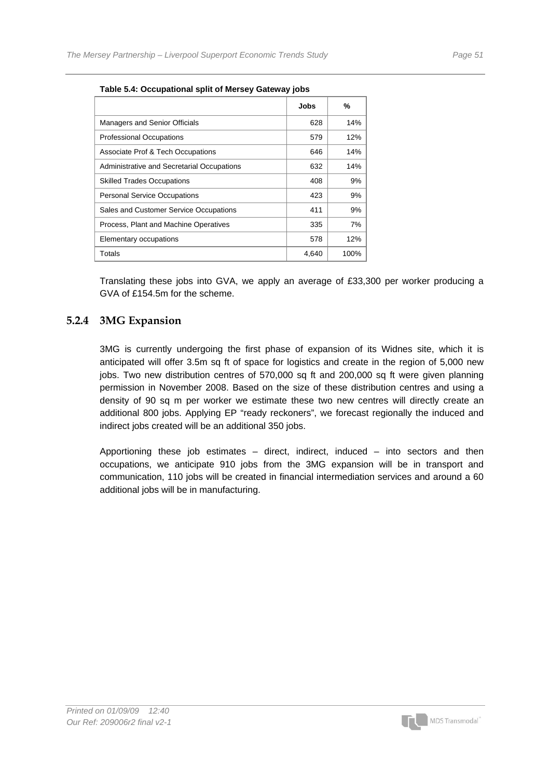|                                            | Jobs  | %    |  |  |
|--------------------------------------------|-------|------|--|--|
| <b>Managers and Senior Officials</b>       | 628   | 14%  |  |  |
| <b>Professional Occupations</b>            | 579   | 12%  |  |  |
| Associate Prof & Tech Occupations          | 646   | 14%  |  |  |
| Administrative and Secretarial Occupations | 632   | 14%  |  |  |
| <b>Skilled Trades Occupations</b>          | 408   | 9%   |  |  |
| <b>Personal Service Occupations</b>        | 423   | 9%   |  |  |
| Sales and Customer Service Occupations     | 411   | 9%   |  |  |
| Process, Plant and Machine Operatives      | 335   | 7%   |  |  |
| Elementary occupations                     | 578   | 12%  |  |  |
| Totals                                     | 4,640 | 100% |  |  |
|                                            |       |      |  |  |

#### **Table 5.4: Occupational split of Mersey Gateway jobs**

Translating these jobs into GVA, we apply an average of £33,300 per worker producing a GVA of £154.5m for the scheme.

### **5.2.4 3MG Expansion**

3MG is currently undergoing the first phase of expansion of its Widnes site, which it is anticipated will offer 3.5m sq ft of space for logistics and create in the region of 5,000 new jobs. Two new distribution centres of 570,000 sq ft and 200,000 sq ft were given planning permission in November 2008. Based on the size of these distribution centres and using a density of 90 sq m per worker we estimate these two new centres will directly create an additional 800 jobs. Applying EP "ready reckoners", we forecast regionally the induced and indirect jobs created will be an additional 350 jobs.

Apportioning these job estimates – direct, indirect, induced – into sectors and then occupations, we anticipate 910 jobs from the 3MG expansion will be in transport and communication, 110 jobs will be created in financial intermediation services and around a 60 additional jobs will be in manufacturing.

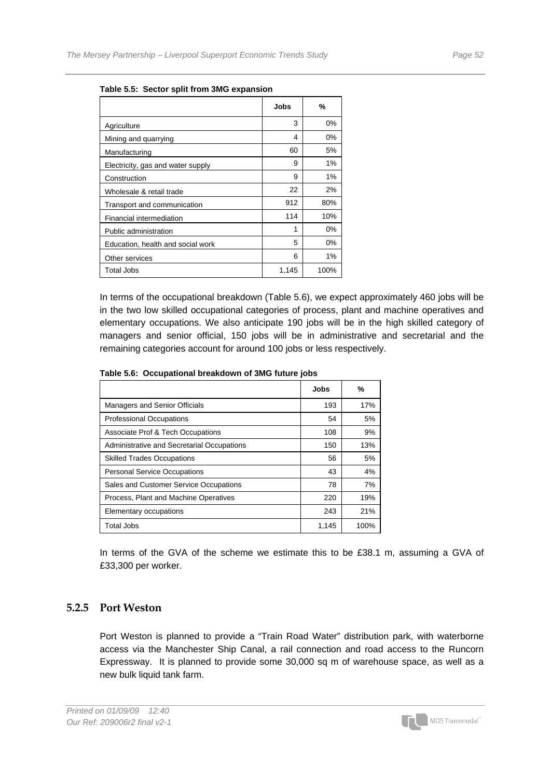|                                   | Jobs  | %     |
|-----------------------------------|-------|-------|
| Agriculture                       | 3     | $0\%$ |
| Mining and quarrying              | 4     | 0%    |
| Manufacturing                     | 60    | 5%    |
| Electricity, gas and water supply | 9     | $1\%$ |
| Construction                      | 9     | 1%    |
| Wholesale & retail trade          | 22    | 2%    |
| Transport and communication       | 912   | 80%   |
| Financial intermediation          | 114   | 10%   |
| Public administration             | 1     | $0\%$ |
| Education, health and social work | 5     | $0\%$ |
| Other services                    | 6     | 1%    |
| <b>Total Jobs</b>                 | 1,145 | 100%  |

**Table 5.5: Sector split from 3MG expansion** 

In terms of the occupational breakdown (Table 5.6), we expect approximately 460 jobs will be in the two low skilled occupational categories of process, plant and machine operatives and elementary occupations. We also anticipate 190 jobs will be in the high skilled category of managers and senior official, 150 jobs will be in administrative and secretarial and the remaining categories account for around 100 jobs or less respectively.

|                                            | <b>Jobs</b> | %    |
|--------------------------------------------|-------------|------|
| <b>Managers and Senior Officials</b>       | 193         | 17%  |
| <b>Professional Occupations</b>            | 54          | 5%   |
| Associate Prof & Tech Occupations          | 108         | 9%   |
| Administrative and Secretarial Occupations | 150         | 13%  |
| <b>Skilled Trades Occupations</b>          | 56          | 5%   |
| <b>Personal Service Occupations</b>        | 43          | 4%   |
| Sales and Customer Service Occupations     | 78          | 7%   |
| Process, Plant and Machine Operatives      | 220         | 19%  |
| Elementary occupations                     | 243         | 21%  |
| <b>Total Jobs</b>                          | 1,145       | 100% |

**Table 5.6: Occupational breakdown of 3MG future jobs** 

In terms of the GVA of the scheme we estimate this to be £38.1 m, assuming a GVA of £33,300 per worker.

### **5.2.5 Port Weston**

Port Weston is planned to provide a "Train Road Water" distribution park, with waterborne access via the Manchester Ship Canal, a rail connection and road access to the Runcorn Expressway. It is planned to provide some 30,000 sq m of warehouse space, as well as a new bulk liquid tank farm.

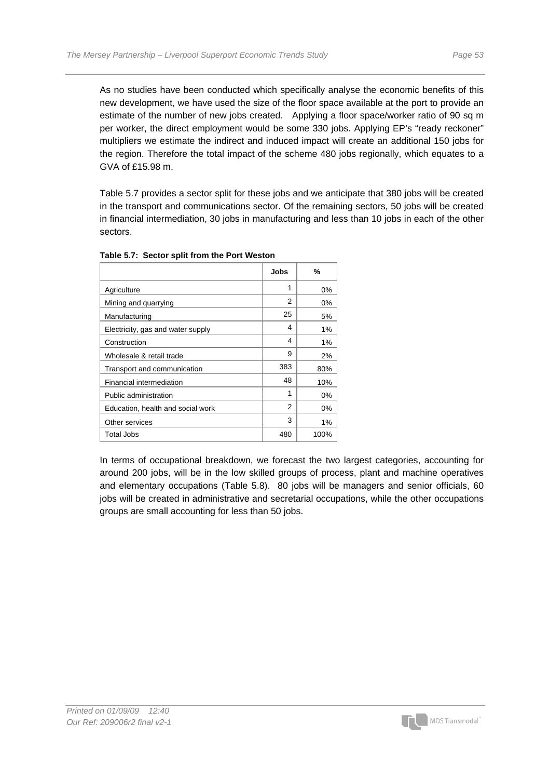As no studies have been conducted which specifically analyse the economic benefits of this new development, we have used the size of the floor space available at the port to provide an estimate of the number of new jobs created. Applying a floor space/worker ratio of 90 sq m per worker, the direct employment would be some 330 jobs. Applying EP's "ready reckoner" multipliers we estimate the indirect and induced impact will create an additional 150 jobs for the region. Therefore the total impact of the scheme 480 jobs regionally, which equates to a GVA of £15.98 m.

Table 5.7 provides a sector split for these jobs and we anticipate that 380 jobs will be created in the transport and communications sector. Of the remaining sectors, 50 jobs will be created in financial intermediation, 30 jobs in manufacturing and less than 10 jobs in each of the other sectors.

|                                   | Jobs | %     |
|-----------------------------------|------|-------|
| Agriculture                       | 1    | 0%    |
| Mining and quarrying              | 2    | 0%    |
| Manufacturing                     | 25   | 5%    |
| Electricity, gas and water supply | 4    | 1%    |
| Construction                      | 4    | $1\%$ |
| Wholesale & retail trade          | 9    | 2%    |
| Transport and communication       | 383  | 80%   |
| Financial intermediation          | 48   | 10%   |
| Public administration             | 1    | $0\%$ |
| Education, health and social work | 2    | 0%    |
| Other services                    | 3    | $1\%$ |
| Total Jobs                        | 480  | 100%  |

#### **Table 5.7: Sector split from the Port Weston**

In terms of occupational breakdown, we forecast the two largest categories, accounting for around 200 jobs, will be in the low skilled groups of process, plant and machine operatives and elementary occupations (Table 5.8). 80 jobs will be managers and senior officials, 60 jobs will be created in administrative and secretarial occupations, while the other occupations groups are small accounting for less than 50 jobs.

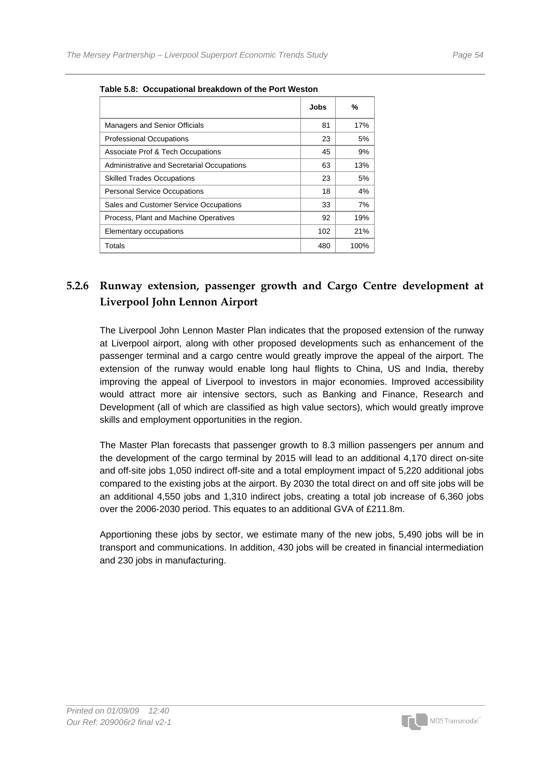|                                            | Jobs | ℅    |
|--------------------------------------------|------|------|
| Managers and Senior Officials              | 81   | 17%  |
| <b>Professional Occupations</b>            | 23   | 5%   |
| Associate Prof & Tech Occupations          | 45   | 9%   |
| Administrative and Secretarial Occupations | 63   | 13%  |
| <b>Skilled Trades Occupations</b>          | 23   | 5%   |
| <b>Personal Service Occupations</b>        | 18   | 4%   |
| Sales and Customer Service Occupations     | 33   | 7%   |
| Process, Plant and Machine Operatives      | 92   | 19%  |
| Elementary occupations                     | 102  | 21%  |
| Totals                                     | 480  | 100% |

**Table 5.8: Occupational breakdown of the Port Weston** 

# **5.2.6 Runway extension, passenger growth and Cargo Centre development at Liverpool John Lennon Airport**

The Liverpool John Lennon Master Plan indicates that the proposed extension of the runway at Liverpool airport, along with other proposed developments such as enhancement of the passenger terminal and a cargo centre would greatly improve the appeal of the airport. The extension of the runway would enable long haul flights to China, US and India, thereby improving the appeal of Liverpool to investors in major economies. Improved accessibility would attract more air intensive sectors, such as Banking and Finance, Research and Development (all of which are classified as high value sectors), which would greatly improve skills and employment opportunities in the region.

The Master Plan forecasts that passenger growth to 8.3 million passengers per annum and the development of the cargo terminal by 2015 will lead to an additional 4,170 direct on-site and off-site jobs 1,050 indirect off-site and a total employment impact of 5,220 additional jobs compared to the existing jobs at the airport. By 2030 the total direct on and off site jobs will be an additional 4,550 jobs and 1,310 indirect jobs, creating a total job increase of 6,360 jobs over the 2006-2030 period. This equates to an additional GVA of £211.8m.

Apportioning these jobs by sector, we estimate many of the new jobs, 5,490 jobs will be in transport and communications. In addition, 430 jobs will be created in financial intermediation and 230 jobs in manufacturing.

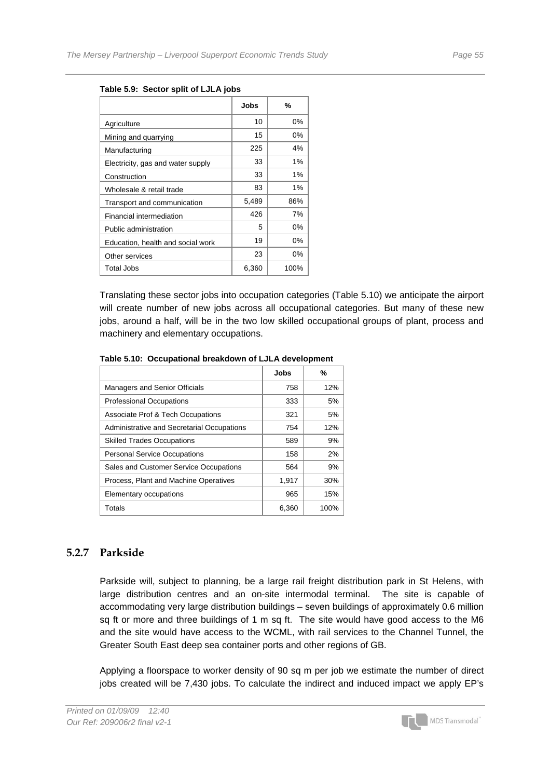|                                   | Jobs  | %     |
|-----------------------------------|-------|-------|
| Agriculture                       | 10    | 0%    |
| Mining and quarrying              | 15    | 0%    |
| Manufacturing                     | 225   | 4%    |
| Electricity, gas and water supply | 33    | $1\%$ |
| Construction                      | 33    | 1%    |
| Wholesale & retail trade          | 83    | $1\%$ |
| Transport and communication       | 5,489 | 86%   |
| Financial intermediation          | 426   | 7%    |
| Public administration             | 5     | 0%    |
| Education, health and social work | 19    | $0\%$ |
| Other services                    | 23    | $0\%$ |
| Total Jobs                        | 6,360 | 100%  |

#### **Table 5.9: Sector split of LJLA jobs**

Translating these sector jobs into occupation categories (Table 5.10) we anticipate the airport will create number of new jobs across all occupational categories. But many of these new jobs, around a half, will be in the two low skilled occupational groups of plant, process and machinery and elementary occupations.

|                                            | Jobs  | %    |
|--------------------------------------------|-------|------|
| <b>Managers and Senior Officials</b>       | 758   | 12%  |
| <b>Professional Occupations</b>            | 333   | 5%   |
| Associate Prof & Tech Occupations          | 321   | 5%   |
| Administrative and Secretarial Occupations | 754   | 12%  |
| <b>Skilled Trades Occupations</b>          | 589   | 9%   |
| <b>Personal Service Occupations</b>        | 158   | 2%   |
| Sales and Customer Service Occupations     | 564   | 9%   |
| Process, Plant and Machine Operatives      | 1,917 | 30%  |
| Elementary occupations                     | 965   | 15%  |
| Totals                                     | 6,360 | 100% |

#### **Table 5.10: Occupational breakdown of LJLA development**

### **5.2.7 Parkside**

Parkside will, subject to planning, be a large rail freight distribution park in St Helens, with large distribution centres and an on-site intermodal terminal. The site is capable of accommodating very large distribution buildings – seven buildings of approximately 0.6 million sq ft or more and three buildings of 1 m sq ft. The site would have good access to the M6 and the site would have access to the WCML, with rail services to the Channel Tunnel, the Greater South East deep sea container ports and other regions of GB.

Applying a floorspace to worker density of 90 sq m per job we estimate the number of direct jobs created will be 7,430 jobs. To calculate the indirect and induced impact we apply EP's

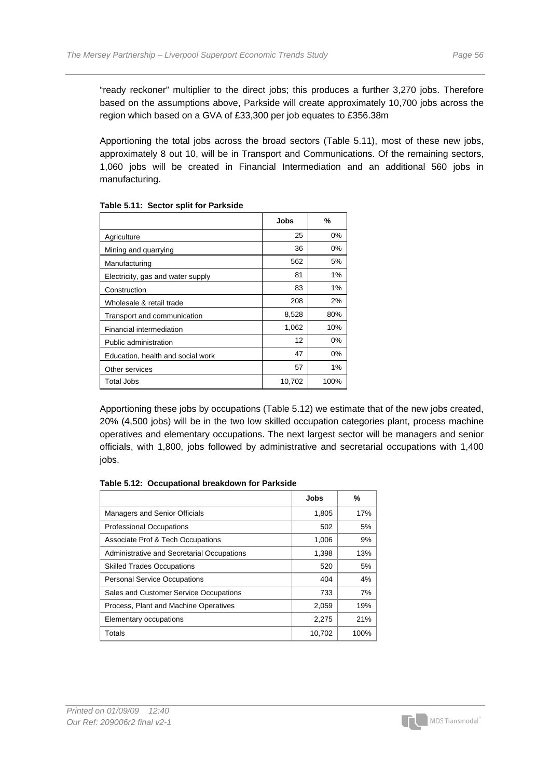"ready reckoner" multiplier to the direct jobs; this produces a further 3,270 jobs. Therefore based on the assumptions above, Parkside will create approximately 10,700 jobs across the region which based on a GVA of £33,300 per job equates to £356.38m

Apportioning the total jobs across the broad sectors (Table 5.11), most of these new jobs, approximately 8 out 10, will be in Transport and Communications. Of the remaining sectors, 1,060 jobs will be created in Financial Intermediation and an additional 560 jobs in manufacturing.

|                                   | Jobs   | %     |
|-----------------------------------|--------|-------|
| Agriculture                       | 25     | 0%    |
| Mining and quarrying              | 36     | 0%    |
| Manufacturing                     | 562    | 5%    |
| Electricity, gas and water supply | 81     | $1\%$ |
| Construction                      | 83     | $1\%$ |
| Wholesale & retail trade          | 208    | 2%    |
| Transport and communication       | 8,528  | 80%   |
| Financial intermediation          | 1,062  | 10%   |
| Public administration             | 12     | 0%    |
| Education, health and social work | 47     | 0%    |
| Other services                    | 57     | 1%    |
| Total Jobs                        | 10,702 | 100%  |

#### **Table 5.11: Sector split for Parkside**

Apportioning these jobs by occupations (Table 5.12) we estimate that of the new jobs created, 20% (4,500 jobs) will be in the two low skilled occupation categories plant, process machine operatives and elementary occupations. The next largest sector will be managers and senior officials, with 1,800, jobs followed by administrative and secretarial occupations with 1,400 jobs.

#### **Table 5.12: Occupational breakdown for Parkside**

|                                            | Jobs   | %    |
|--------------------------------------------|--------|------|
| <b>Managers and Senior Officials</b>       | 1,805  | 17%  |
| <b>Professional Occupations</b>            | 502    | 5%   |
| Associate Prof & Tech Occupations          | 1,006  | 9%   |
| Administrative and Secretarial Occupations | 1,398  | 13%  |
| <b>Skilled Trades Occupations</b>          | 520    | 5%   |
| <b>Personal Service Occupations</b>        | 404    | 4%   |
| Sales and Customer Service Occupations     | 733    | 7%   |
| Process, Plant and Machine Operatives      | 2,059  | 19%  |
| Elementary occupations                     | 2,275  | 21%  |
| Totals                                     | 10.702 | 100% |

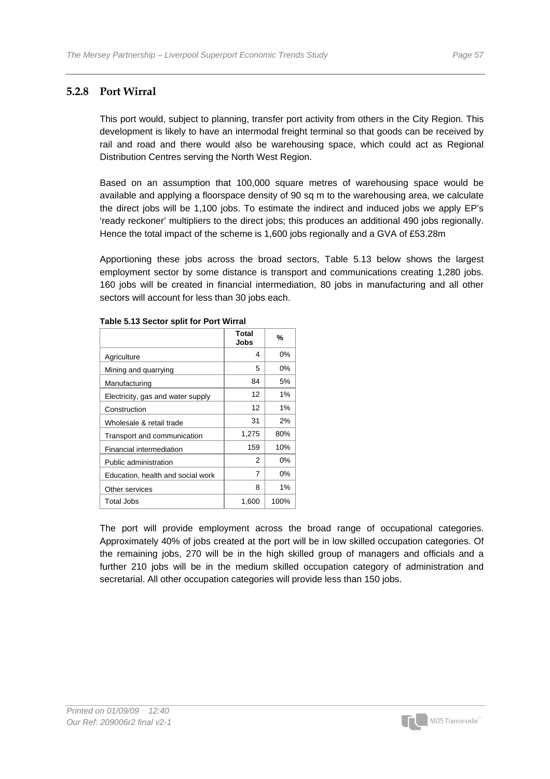### **5.2.8 Port Wirral**

This port would, subject to planning, transfer port activity from others in the City Region. This development is likely to have an intermodal freight terminal so that goods can be received by rail and road and there would also be warehousing space, which could act as Regional Distribution Centres serving the North West Region.

Based on an assumption that 100,000 square metres of warehousing space would be available and applying a floorspace density of 90 sq m to the warehousing area, we calculate the direct jobs will be 1,100 jobs. To estimate the indirect and induced jobs we apply EP's 'ready reckoner' multipliers to the direct jobs; this produces an additional 490 jobs regionally. Hence the total impact of the scheme is 1,600 jobs regionally and a GVA of £53.28m

Apportioning these jobs across the broad sectors, Table 5.13 below shows the largest employment sector by some distance is transport and communications creating 1,280 jobs. 160 jobs will be created in financial intermediation, 80 jobs in manufacturing and all other sectors will account for less than 30 jobs each.

|                                   | Total<br>Jobs | %     |
|-----------------------------------|---------------|-------|
| Agriculture                       | 4             | $0\%$ |
| Mining and quarrying              | 5             | $0\%$ |
| Manufacturing                     | 84            | 5%    |
| Electricity, gas and water supply | 12            | $1\%$ |
| Construction                      | 12            | 1%    |
| Wholesale & retail trade          | 31            | 2%    |
| Transport and communication       | 1,275         | 80%   |
| Financial intermediation          | 159           | 10%   |
| Public administration             | 2             | $0\%$ |
| Education, health and social work | 7             | $0\%$ |
| Other services                    | 8             | 1%    |
| Total Jobs                        | 1,600         | 100%  |

#### **Table 5.13 Sector split for Port Wirral**

The port will provide employment across the broad range of occupational categories. Approximately 40% of jobs created at the port will be in low skilled occupation categories. Of the remaining jobs, 270 will be in the high skilled group of managers and officials and a further 210 jobs will be in the medium skilled occupation category of administration and secretarial. All other occupation categories will provide less than 150 jobs.

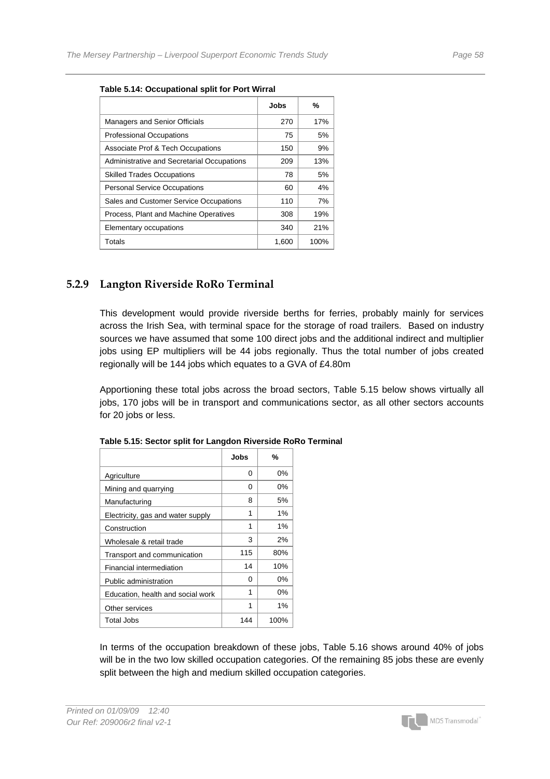|                                            | Jobs  | %    |
|--------------------------------------------|-------|------|
| <b>Managers and Senior Officials</b>       | 270   | 17%  |
| <b>Professional Occupations</b>            | 75    | 5%   |
| Associate Prof & Tech Occupations          | 150   | 9%   |
| Administrative and Secretarial Occupations | 209   | 13%  |
| <b>Skilled Trades Occupations</b>          | 78    | 5%   |
| <b>Personal Service Occupations</b>        | 60    | 4%   |
| Sales and Customer Service Occupations     | 110   | 7%   |
| Process, Plant and Machine Operatives      | 308   | 19%  |
| Elementary occupations                     | 340   | 21%  |
| Totals                                     | 1,600 | 100% |

#### **Table 5.14: Occupational split for Port Wirral**

### **5.2.9 Langton Riverside RoRo Terminal**

This development would provide riverside berths for ferries, probably mainly for services across the Irish Sea, with terminal space for the storage of road trailers. Based on industry sources we have assumed that some 100 direct jobs and the additional indirect and multiplier jobs using EP multipliers will be 44 jobs regionally. Thus the total number of jobs created regionally will be 144 jobs which equates to a GVA of £4.80m

Apportioning these total jobs across the broad sectors, Table 5.15 below shows virtually all jobs, 170 jobs will be in transport and communications sector, as all other sectors accounts for 20 jobs or less.

|                                   | Jobs | %    |
|-----------------------------------|------|------|
| Agriculture                       | 0    | 0%   |
| Mining and quarrying              | 0    | 0%   |
| Manufacturing                     | 8    | 5%   |
| Electricity, gas and water supply | 1    | 1%   |
| Construction                      | 1    | 1%   |
| Wholesale & retail trade          | 3    | 2%   |
| Transport and communication       | 115  | 80%  |
| Financial intermediation          | 14   | 10%  |
| Public administration             | 0    | 0%   |
| Education, health and social work | 1    | 0%   |
| Other services                    | 1    | 1%   |
| Total Jobs                        | 144  | 100% |

| Table 5.15: Sector split for Langdon Riverside RoRo Terminal |  |
|--------------------------------------------------------------|--|
|--------------------------------------------------------------|--|

In terms of the occupation breakdown of these jobs, Table 5.16 shows around 40% of jobs will be in the two low skilled occupation categories. Of the remaining 85 jobs these are evenly split between the high and medium skilled occupation categories.

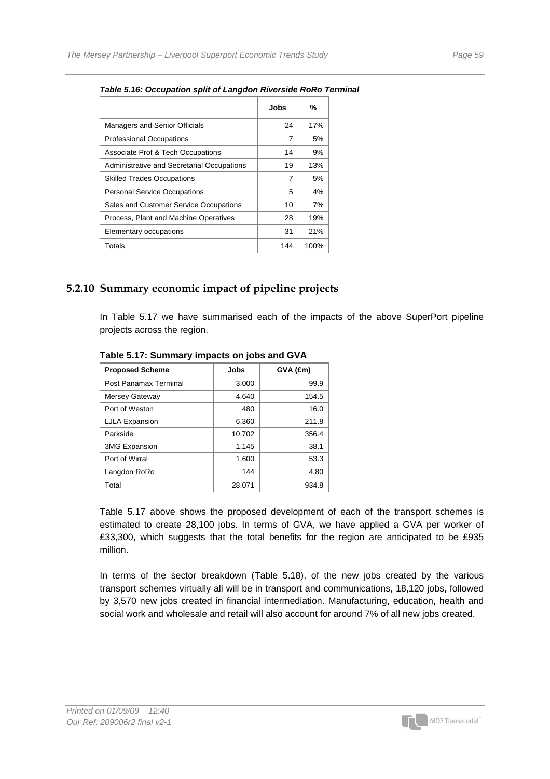|                                            | Jobs | %    |
|--------------------------------------------|------|------|
| <b>Managers and Senior Officials</b>       | 24   | 17%  |
| <b>Professional Occupations</b>            | 7    | 5%   |
| Associate Prof & Tech Occupations          | 14   | 9%   |
| Administrative and Secretarial Occupations | 19   | 13%  |
| <b>Skilled Trades Occupations</b>          | 7    | 5%   |
| <b>Personal Service Occupations</b>        | 5    | 4%   |
| Sales and Customer Service Occupations     | 10   | 7%   |
| Process, Plant and Machine Operatives      | 28   | 19%  |
| Elementary occupations                     | 31   | 21%  |
| Totals                                     | 144  | 100% |

#### *Table 5.16: Occupation split of Langdon Riverside RoRo Terminal*

### **5.2.10 Summary economic impact of pipeline projects**

In Table 5.17 we have summarised each of the impacts of the above SuperPort pipeline projects across the region.

| <b>Proposed Scheme</b> | Jobs   | GVA (£m) |
|------------------------|--------|----------|
| Post Panamax Terminal  | 3,000  | 99.9     |
| <b>Mersey Gateway</b>  | 4,640  | 154.5    |
| Port of Weston         | 480    | 16.0     |
| <b>LJLA Expansion</b>  | 6,360  | 211.8    |
| Parkside               | 10,702 | 356.4    |
| <b>3MG Expansion</b>   | 1,145  | 38.1     |
| Port of Wirral         | 1,600  | 53.3     |
| Langdon RoRo           | 144    | 4.80     |
| Total                  | 28.071 | 934.8    |

**Table 5.17: Summary impacts on jobs and GVA** 

Table 5.17 above shows the proposed development of each of the transport schemes is estimated to create 28,100 jobs. In terms of GVA, we have applied a GVA per worker of £33,300, which suggests that the total benefits for the region are anticipated to be £935 million.

In terms of the sector breakdown (Table 5.18), of the new jobs created by the various transport schemes virtually all will be in transport and communications, 18,120 jobs, followed by 3,570 new jobs created in financial intermediation. Manufacturing, education, health and social work and wholesale and retail will also account for around 7% of all new jobs created.

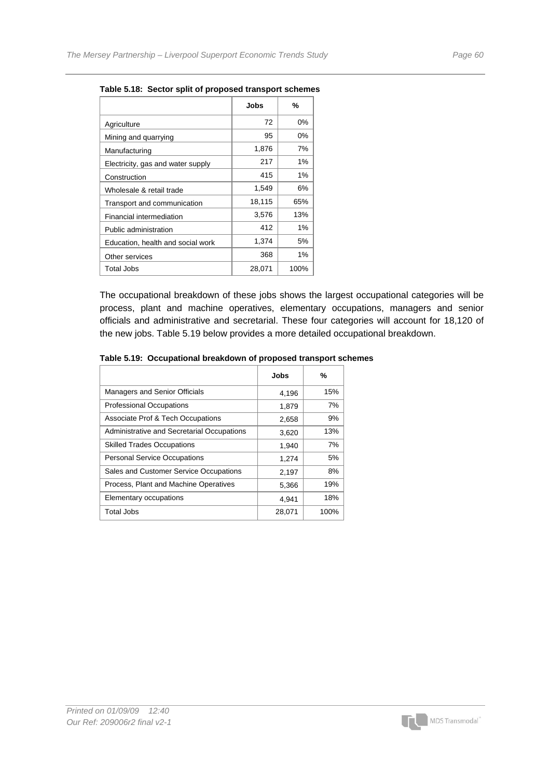|                                   | Jobs   | %    |
|-----------------------------------|--------|------|
| Agriculture                       | 72     | 0%   |
| Mining and quarrying              | 95     | 0%   |
| Manufacturing                     | 1,876  | 7%   |
| Electricity, gas and water supply | 217    | 1%   |
| Construction                      | 415    | 1%   |
| Wholesale & retail trade          | 1,549  | 6%   |
| Transport and communication       | 18,115 | 65%  |
| Financial intermediation          | 3,576  | 13%  |
| Public administration             | 412    | 1%   |
| Education, health and social work | 1,374  | 5%   |
| Other services                    | 368    | 1%   |
| <b>Total Jobs</b>                 | 28,071 | 100% |

**Table 5.18: Sector split of proposed transport schemes** 

The occupational breakdown of these jobs shows the largest occupational categories will be process, plant and machine operatives, elementary occupations, managers and senior officials and administrative and secretarial. These four categories will account for 18,120 of the new jobs. Table 5.19 below provides a more detailed occupational breakdown.

|                                            | Jobs   | %    |
|--------------------------------------------|--------|------|
| Managers and Senior Officials              | 4,196  | 15%  |
| <b>Professional Occupations</b>            | 1,879  | 7%   |
| Associate Prof & Tech Occupations          | 2,658  | 9%   |
| Administrative and Secretarial Occupations | 3,620  | 13%  |
| <b>Skilled Trades Occupations</b>          | 1,940  | 7%   |
| <b>Personal Service Occupations</b>        | 1,274  | 5%   |
| Sales and Customer Service Occupations     | 2,197  | 8%   |
| Process, Plant and Machine Operatives      | 5,366  | 19%  |
| Elementary occupations                     | 4,941  | 18%  |
| Total Jobs                                 | 28,071 | 100% |

**Table 5.19: Occupational breakdown of proposed transport schemes** 

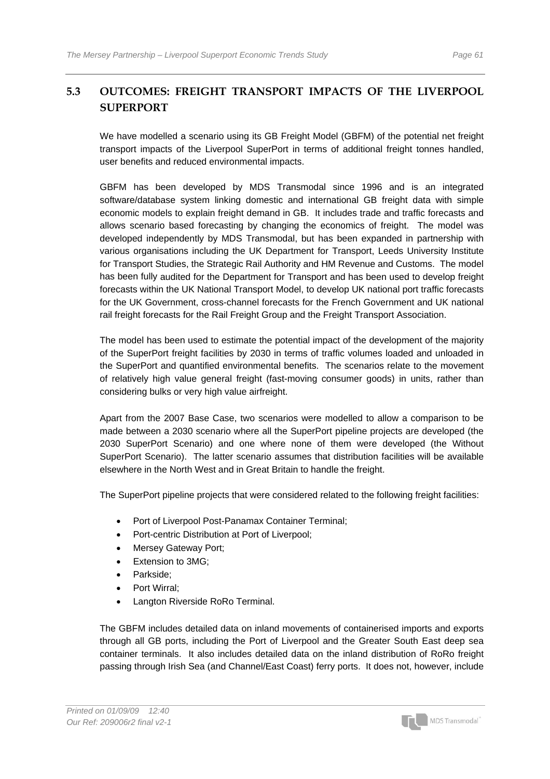## **5.3 OUTCOMES: FREIGHT TRANSPORT IMPACTS OF THE LIVERPOOL SUPERPORT**

We have modelled a scenario using its GB Freight Model (GBFM) of the potential net freight transport impacts of the Liverpool SuperPort in terms of additional freight tonnes handled, user benefits and reduced environmental impacts.

GBFM has been developed by MDS Transmodal since 1996 and is an integrated software/database system linking domestic and international GB freight data with simple economic models to explain freight demand in GB. It includes trade and traffic forecasts and allows scenario based forecasting by changing the economics of freight. The model was developed independently by MDS Transmodal, but has been expanded in partnership with various organisations including the UK Department for Transport, Leeds University Institute for Transport Studies, the Strategic Rail Authority and HM Revenue and Customs. The model has been fully [audited](http://www.dft.gov.uk/stellent/groups/dft_econappr/documents/page/dft_econappr_610499.pdf) for the Department for Transport and has been used to develop freight forecasts within the UK National Transport Model, to develop UK national port traffic forecasts for the UK Government, cross-channel forecasts for the French Government and UK national rail freight forecasts for the Rail Freight Group and the Freight Transport Association.

The model has been used to estimate the potential impact of the development of the majority of the SuperPort freight facilities by 2030 in terms of traffic volumes loaded and unloaded in the SuperPort and quantified environmental benefits. The scenarios relate to the movement of relatively high value general freight (fast-moving consumer goods) in units, rather than considering bulks or very high value airfreight.

Apart from the 2007 Base Case, two scenarios were modelled to allow a comparison to be made between a 2030 scenario where all the SuperPort pipeline projects are developed (the 2030 SuperPort Scenario) and one where none of them were developed (the Without SuperPort Scenario). The latter scenario assumes that distribution facilities will be available elsewhere in the North West and in Great Britain to handle the freight.

The SuperPort pipeline projects that were considered related to the following freight facilities:

- Port of Liverpool Post-Panamax Container Terminal;
- Port-centric Distribution at Port of Liverpool;
- Mersey Gateway Port;
- Extension to 3MG;
- Parkside;
- Port Wirral:
- Langton Riverside RoRo Terminal.

The GBFM includes detailed data on inland movements of containerised imports and exports through all GB ports, including the Port of Liverpool and the Greater South East deep sea container terminals. It also includes detailed data on the inland distribution of RoRo freight passing through Irish Sea (and Channel/East Coast) ferry ports. It does not, however, include

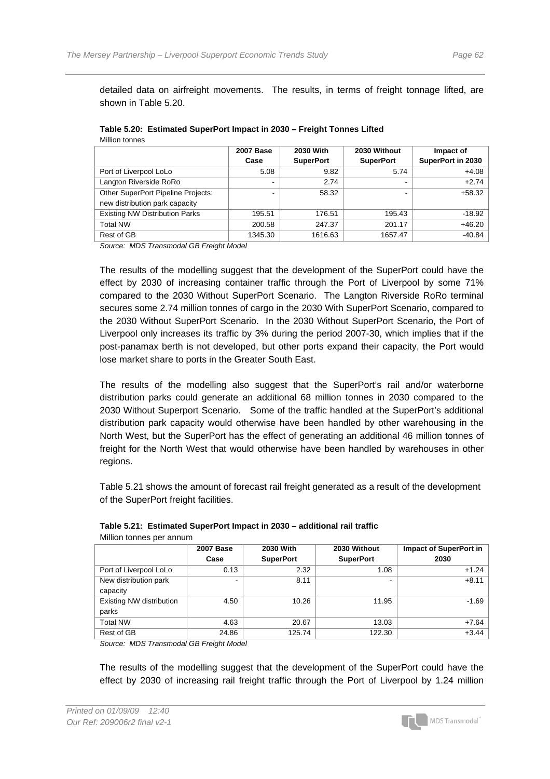detailed data on airfreight movements. The results, in terms of freight tonnage lifted, are shown in Table 5.20.

| טטווושו ושהווועו                                                     | <b>2007 Base</b><br>Case | 2030 With<br><b>SuperPort</b> | 2030 Without<br><b>SuperPort</b> | Impact of<br>SuperPort in 2030 |
|----------------------------------------------------------------------|--------------------------|-------------------------------|----------------------------------|--------------------------------|
| Port of Liverpool LoLo                                               | 5.08                     | 9.82                          | 5.74                             | $+4.08$                        |
| Langton Riverside RoRo                                               |                          | 2.74                          | ۰                                | $+2.74$                        |
| Other SuperPort Pipeline Projects:<br>new distribution park capacity |                          | 58.32                         |                                  | $+58.32$                       |
| <b>Existing NW Distribution Parks</b>                                | 195.51                   | 176.51                        | 195.43                           | $-18.92$                       |
| <b>Total NW</b>                                                      | 200.58                   | 247.37                        | 201.17                           | $+46.20$                       |
| Rest of GB                                                           | 1345.30                  | 1616.63                       | 1657.47                          | $-40.84$                       |

#### **Table 5.20: Estimated SuperPort Impact in 2030 – Freight Tonnes Lifted**  Million tonnes

*Source: MDS Transmodal GB Freight Model* 

The results of the modelling suggest that the development of the SuperPort could have the effect by 2030 of increasing container traffic through the Port of Liverpool by some 71% compared to the 2030 Without SuperPort Scenario. The Langton Riverside RoRo terminal secures some 2.74 million tonnes of cargo in the 2030 With SuperPort Scenario, compared to the 2030 Without SuperPort Scenario. In the 2030 Without SuperPort Scenario, the Port of Liverpool only increases its traffic by 3% during the period 2007-30, which implies that if the post-panamax berth is not developed, but other ports expand their capacity, the Port would lose market share to ports in the Greater South East.

The results of the modelling also suggest that the SuperPort's rail and/or waterborne distribution parks could generate an additional 68 million tonnes in 2030 compared to the 2030 Without Superport Scenario. Some of the traffic handled at the SuperPort's additional distribution park capacity would otherwise have been handled by other warehousing in the North West, but the SuperPort has the effect of generating an additional 46 million tonnes of freight for the North West that would otherwise have been handled by warehouses in other regions.

Table 5.21 shows the amount of forecast rail freight generated as a result of the development of the SuperPort freight facilities.

| <b>TVINING IT LOTTINGS DUT QUITTON I</b> |                  |                  |                  |                               |  |  |
|------------------------------------------|------------------|------------------|------------------|-------------------------------|--|--|
|                                          | <b>2007 Base</b> | 2030 With        | 2030 Without     | <b>Impact of SuperPort in</b> |  |  |
|                                          | Case             | <b>SuperPort</b> | <b>SuperPort</b> | 2030                          |  |  |
| Port of Liverpool LoLo                   | 0.13             | 2.32             | 1.08             | $+1.24$                       |  |  |
| New distribution park                    |                  | 8.11             | $\sim$           | $+8.11$                       |  |  |
| capacity                                 |                  |                  |                  |                               |  |  |
| Existing NW distribution                 | 4.50             | 10.26            | 11.95            | $-1.69$                       |  |  |
| parks                                    |                  |                  |                  |                               |  |  |
| <b>Total NW</b>                          | 4.63             | 20.67            | 13.03            | $+7.64$                       |  |  |
| Rest of GB                               | 24.86            | 125.74           | 122.30           | $+3.44$                       |  |  |
|                                          |                  |                  |                  |                               |  |  |

| Table 5.21: Estimated SuperPort Impact in 2030 - additional rail traffic |  |  |  |  |  |
|--------------------------------------------------------------------------|--|--|--|--|--|
|--------------------------------------------------------------------------|--|--|--|--|--|

*Source: MDS Transmodal GB Freight Model* 

Million tonnes per annum

The results of the modelling suggest that the development of the SuperPort could have the effect by 2030 of increasing rail freight traffic through the Port of Liverpool by 1.24 million

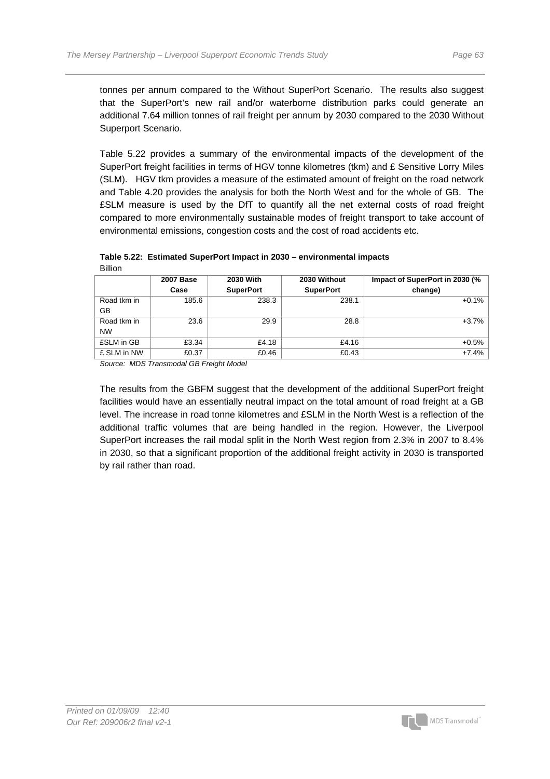tonnes per annum compared to the Without SuperPort Scenario. The results also suggest that the SuperPort's new rail and/or waterborne distribution parks could generate an additional 7.64 million tonnes of rail freight per annum by 2030 compared to the 2030 Without Superport Scenario.

Table 5.22 provides a summary of the environmental impacts of the development of the SuperPort freight facilities in terms of HGV tonne kilometres (tkm) and £ Sensitive Lorry Miles (SLM). HGV tkm provides a measure of the estimated amount of freight on the road network and Table 4.20 provides the analysis for both the North West and for the whole of GB. The £SLM measure is used by the DfT to quantify all the net external costs of road freight compared to more environmentally sustainable modes of freight transport to take account of environmental emissions, congestion costs and the cost of road accidents etc.

| <b>DIIIUI</b> |                  |                  |                  |                                |
|---------------|------------------|------------------|------------------|--------------------------------|
|               | <b>2007 Base</b> | 2030 With        | 2030 Without     | Impact of SuperPort in 2030 (% |
|               | Case             | <b>SuperPort</b> | <b>SuperPort</b> | change)                        |
| Road tkm in   | 185.6            | 238.3            | 238.1            | $+0.1%$                        |
| GВ            |                  |                  |                  |                                |
| Road tkm in   | 23.6             | 29.9             | 28.8             | $+3.7%$                        |
| <b>NW</b>     |                  |                  |                  |                                |
| £SLM in GB    | £3.34            | £4.18            | £4.16            | $+0.5%$                        |
| £ SLM in NW   | £0.37            | £0.46            | £0.43            | $+7.4%$                        |

**Table 5.22: Estimated SuperPort Impact in 2030 – environmental impacts**  Billion

*Source: MDS Transmodal GB Freight Model* 

The results from the GBFM suggest that the development of the additional SuperPort freight facilities would have an essentially neutral impact on the total amount of road freight at a GB level. The increase in road tonne kilometres and £SLM in the North West is a reflection of the additional traffic volumes that are being handled in the region. However, the Liverpool SuperPort increases the rail modal split in the North West region from 2.3% in 2007 to 8.4% in 2030, so that a significant proportion of the additional freight activity in 2030 is transported by rail rather than road.

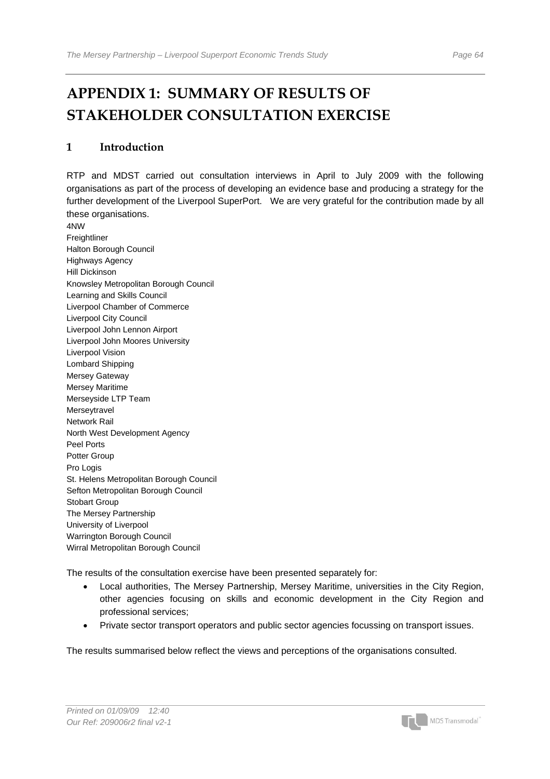# **APPENDIX 1: SUMMARY OF RESULTS OF STAKEHOLDER CONSULTATION EXERCISE**

### **1 Introduction**

RTP and MDST carried out consultation interviews in April to July 2009 with the following organisations as part of the process of developing an evidence base and producing a strategy for the further development of the Liverpool SuperPort. We are very grateful for the contribution made by all these organisations.

4NW Freightliner Halton Borough Council Highways Agency Hill Dickinson Knowsley Metropolitan Borough Council Learning and Skills Council Liverpool Chamber of Commerce Liverpool City Council Liverpool John Lennon Airport Liverpool John Moores University Liverpool Vision Lombard Shipping Mersey Gateway Mersey Maritime Merseyside LTP Team Merseytravel Network Rail North West Development Agency Peel Ports Potter Group Pro Logis St. Helens Metropolitan Borough Council Sefton Metropolitan Borough Council Stobart Group The Mersey Partnership University of Liverpool Warrington Borough Council Wirral Metropolitan Borough Council

The results of the consultation exercise have been presented separately for:

- Local authorities, The Mersey Partnership, Mersey Maritime, universities in the City Region, other agencies focusing on skills and economic development in the City Region and professional services;
- Private sector transport operators and public sector agencies focussing on transport issues.

The results summarised below reflect the views and perceptions of the organisations consulted.

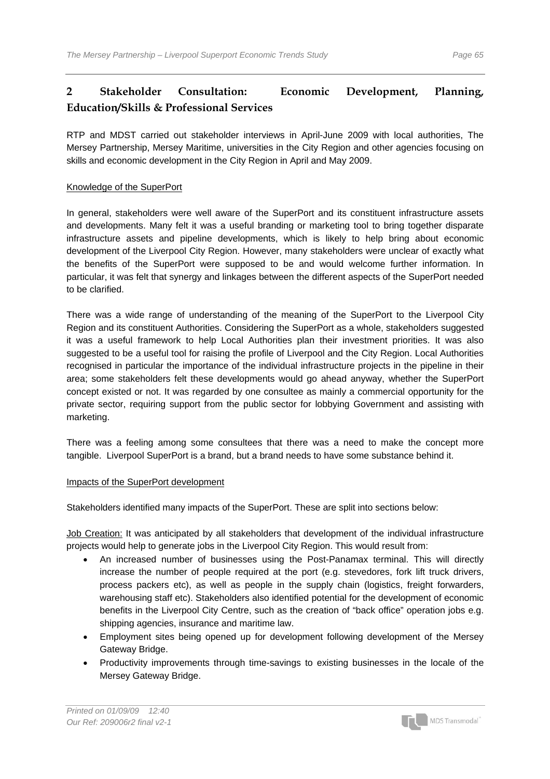# **2 Stakeholder Consultation: Economic Development, Planning, Education/Skills & Professional Services**

RTP and MDST carried out stakeholder interviews in April-June 2009 with local authorities, The Mersey Partnership, Mersey Maritime, universities in the City Region and other agencies focusing on skills and economic development in the City Region in April and May 2009.

### Knowledge of the SuperPort

In general, stakeholders were well aware of the SuperPort and its constituent infrastructure assets and developments. Many felt it was a useful branding or marketing tool to bring together disparate infrastructure assets and pipeline developments, which is likely to help bring about economic development of the Liverpool City Region. However, many stakeholders were unclear of exactly what the benefits of the SuperPort were supposed to be and would welcome further information. In particular, it was felt that synergy and linkages between the different aspects of the SuperPort needed to be clarified.

There was a wide range of understanding of the meaning of the SuperPort to the Liverpool City Region and its constituent Authorities. Considering the SuperPort as a whole, stakeholders suggested it was a useful framework to help Local Authorities plan their investment priorities. It was also suggested to be a useful tool for raising the profile of Liverpool and the City Region. Local Authorities recognised in particular the importance of the individual infrastructure projects in the pipeline in their area; some stakeholders felt these developments would go ahead anyway, whether the SuperPort concept existed or not. It was regarded by one consultee as mainly a commercial opportunity for the private sector, requiring support from the public sector for lobbying Government and assisting with marketing.

There was a feeling among some consultees that there was a need to make the concept more tangible. Liverpool SuperPort is a brand, but a brand needs to have some substance behind it.

### Impacts of the SuperPort development

Stakeholders identified many impacts of the SuperPort. These are split into sections below:

Job Creation: It was anticipated by all stakeholders that development of the individual infrastructure projects would help to generate jobs in the Liverpool City Region. This would result from:

- An increased number of businesses using the Post-Panamax terminal. This will directly increase the number of people required at the port (e.g. stevedores, fork lift truck drivers, process packers etc), as well as people in the supply chain (logistics, freight forwarders, warehousing staff etc). Stakeholders also identified potential for the development of economic benefits in the Liverpool City Centre, such as the creation of "back office" operation jobs e.g. shipping agencies, insurance and maritime law.
- Employment sites being opened up for development following development of the Mersey Gateway Bridge.
- Productivity improvements through time-savings to existing businesses in the locale of the Mersey Gateway Bridge.

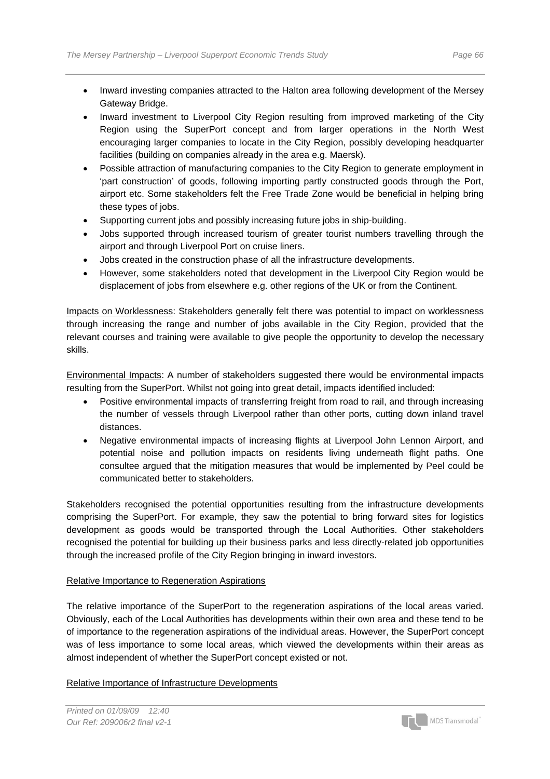- Inward investing companies attracted to the Halton area following development of the Mersey Gateway Bridge.
- Inward investment to Liverpool City Region resulting from improved marketing of the City Region using the SuperPort concept and from larger operations in the North West encouraging larger companies to locate in the City Region, possibly developing headquarter facilities (building on companies already in the area e.g. Maersk).
- Possible attraction of manufacturing companies to the City Region to generate employment in 'part construction' of goods, following importing partly constructed goods through the Port, airport etc. Some stakeholders felt the Free Trade Zone would be beneficial in helping bring these types of jobs.
- Supporting current jobs and possibly increasing future jobs in ship-building.
- Jobs supported through increased tourism of greater tourist numbers travelling through the airport and through Liverpool Port on cruise liners.
- Jobs created in the construction phase of all the infrastructure developments.
- However, some stakeholders noted that development in the Liverpool City Region would be displacement of jobs from elsewhere e.g. other regions of the UK or from the Continent.

Impacts on Worklessness: Stakeholders generally felt there was potential to impact on worklessness through increasing the range and number of jobs available in the City Region, provided that the relevant courses and training were available to give people the opportunity to develop the necessary skills.

Environmental Impacts: A number of stakeholders suggested there would be environmental impacts resulting from the SuperPort. Whilst not going into great detail, impacts identified included:

- Positive environmental impacts of transferring freight from road to rail, and through increasing the number of vessels through Liverpool rather than other ports, cutting down inland travel distances.
- Negative environmental impacts of increasing flights at Liverpool John Lennon Airport, and potential noise and pollution impacts on residents living underneath flight paths. One consultee argued that the mitigation measures that would be implemented by Peel could be communicated better to stakeholders.

Stakeholders recognised the potential opportunities resulting from the infrastructure developments comprising the SuperPort. For example, they saw the potential to bring forward sites for logistics development as goods would be transported through the Local Authorities. Other stakeholders recognised the potential for building up their business parks and less directly-related job opportunities through the increased profile of the City Region bringing in inward investors.

### Relative Importance to Regeneration Aspirations

The relative importance of the SuperPort to the regeneration aspirations of the local areas varied. Obviously, each of the Local Authorities has developments within their own area and these tend to be of importance to the regeneration aspirations of the individual areas. However, the SuperPort concept was of less importance to some local areas, which viewed the developments within their areas as almost independent of whether the SuperPort concept existed or not.

### Relative Importance of Infrastructure Developments

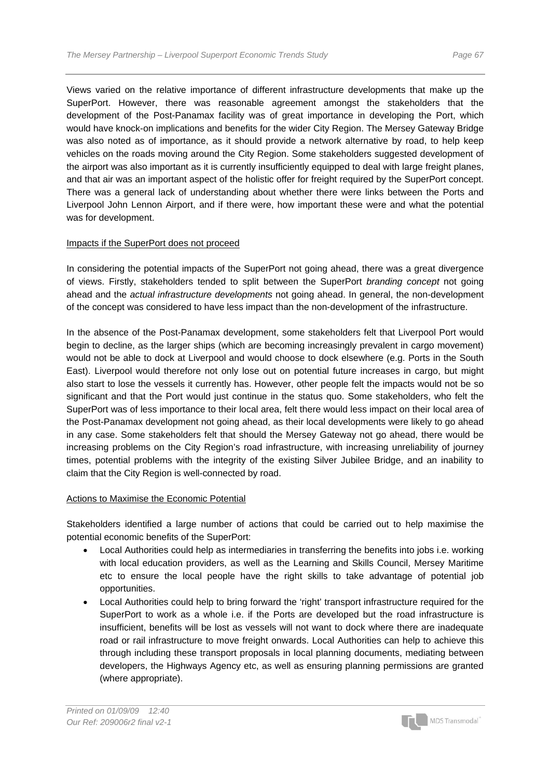Views varied on the relative importance of different infrastructure developments that make up the SuperPort. However, there was reasonable agreement amongst the stakeholders that the development of the Post-Panamax facility was of great importance in developing the Port, which would have knock-on implications and benefits for the wider City Region. The Mersey Gateway Bridge was also noted as of importance, as it should provide a network alternative by road, to help keep vehicles on the roads moving around the City Region. Some stakeholders suggested development of the airport was also important as it is currently insufficiently equipped to deal with large freight planes, and that air was an important aspect of the holistic offer for freight required by the SuperPort concept. There was a general lack of understanding about whether there were links between the Ports and Liverpool John Lennon Airport, and if there were, how important these were and what the potential was for development.

### Impacts if the SuperPort does not proceed

In considering the potential impacts of the SuperPort not going ahead, there was a great divergence of views. Firstly, stakeholders tended to split between the SuperPort *branding concept* not going ahead and the *actual infrastructure developments* not going ahead. In general, the non-development of the concept was considered to have less impact than the non-development of the infrastructure.

In the absence of the Post-Panamax development, some stakeholders felt that Liverpool Port would begin to decline, as the larger ships (which are becoming increasingly prevalent in cargo movement) would not be able to dock at Liverpool and would choose to dock elsewhere (e.g. Ports in the South East). Liverpool would therefore not only lose out on potential future increases in cargo, but might also start to lose the vessels it currently has. However, other people felt the impacts would not be so significant and that the Port would just continue in the status quo. Some stakeholders, who felt the SuperPort was of less importance to their local area, felt there would less impact on their local area of the Post-Panamax development not going ahead, as their local developments were likely to go ahead in any case. Some stakeholders felt that should the Mersey Gateway not go ahead, there would be increasing problems on the City Region's road infrastructure, with increasing unreliability of journey times, potential problems with the integrity of the existing Silver Jubilee Bridge, and an inability to claim that the City Region is well-connected by road.

#### Actions to Maximise the Economic Potential

Stakeholders identified a large number of actions that could be carried out to help maximise the potential economic benefits of the SuperPort:

- Local Authorities could help as intermediaries in transferring the benefits into jobs i.e. working with local education providers, as well as the Learning and Skills Council, Mersey Maritime etc to ensure the local people have the right skills to take advantage of potential job opportunities.
- Local Authorities could help to bring forward the 'right' transport infrastructure required for the SuperPort to work as a whole i.e. if the Ports are developed but the road infrastructure is insufficient, benefits will be lost as vessels will not want to dock where there are inadequate road or rail infrastructure to move freight onwards. Local Authorities can help to achieve this through including these transport proposals in local planning documents, mediating between developers, the Highways Agency etc, as well as ensuring planning permissions are granted (where appropriate).

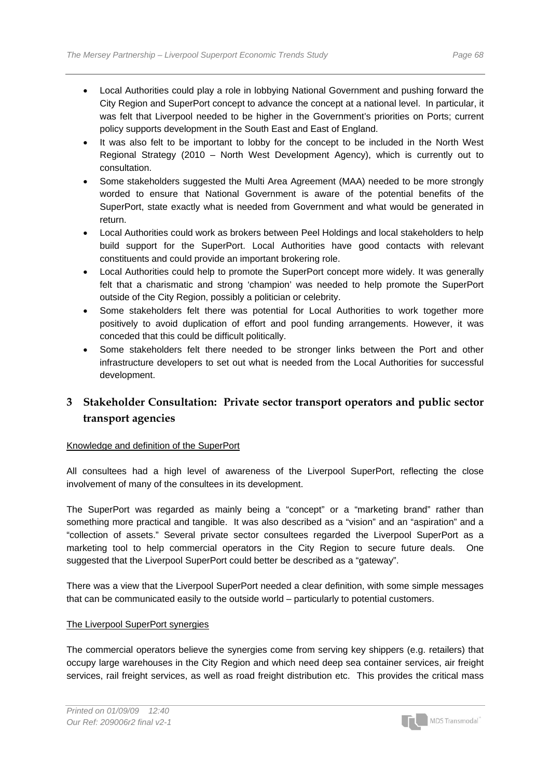- Local Authorities could play a role in lobbying National Government and pushing forward the City Region and SuperPort concept to advance the concept at a national level. In particular, it was felt that Liverpool needed to be higher in the Government's priorities on Ports; current policy supports development in the South East and East of England.
- It was also felt to be important to lobby for the concept to be included in the North West Regional Strategy (2010 – North West Development Agency), which is currently out to consultation.
- Some stakeholders suggested the Multi Area Agreement (MAA) needed to be more strongly worded to ensure that National Government is aware of the potential benefits of the SuperPort, state exactly what is needed from Government and what would be generated in return.
- Local Authorities could work as brokers between Peel Holdings and local stakeholders to help build support for the SuperPort. Local Authorities have good contacts with relevant constituents and could provide an important brokering role.
- Local Authorities could help to promote the SuperPort concept more widely. It was generally felt that a charismatic and strong 'champion' was needed to help promote the SuperPort outside of the City Region, possibly a politician or celebrity.
- Some stakeholders felt there was potential for Local Authorities to work together more positively to avoid duplication of effort and pool funding arrangements. However, it was conceded that this could be difficult politically.
- Some stakeholders felt there needed to be stronger links between the Port and other infrastructure developers to set out what is needed from the Local Authorities for successful development.

## **3 Stakeholder Consultation: Private sector transport operators and public sector transport agencies**

### Knowledge and definition of the SuperPort

All consultees had a high level of awareness of the Liverpool SuperPort, reflecting the close involvement of many of the consultees in its development.

The SuperPort was regarded as mainly being a "concept" or a "marketing brand" rather than something more practical and tangible. It was also described as a "vision" and an "aspiration" and a "collection of assets." Several private sector consultees regarded the Liverpool SuperPort as a marketing tool to help commercial operators in the City Region to secure future deals. One suggested that the Liverpool SuperPort could better be described as a "gateway".

There was a view that the Liverpool SuperPort needed a clear definition, with some simple messages that can be communicated easily to the outside world – particularly to potential customers.

### The Liverpool SuperPort synergies

The commercial operators believe the synergies come from serving key shippers (e.g. retailers) that occupy large warehouses in the City Region and which need deep sea container services, air freight services, rail freight services, as well as road freight distribution etc. This provides the critical mass

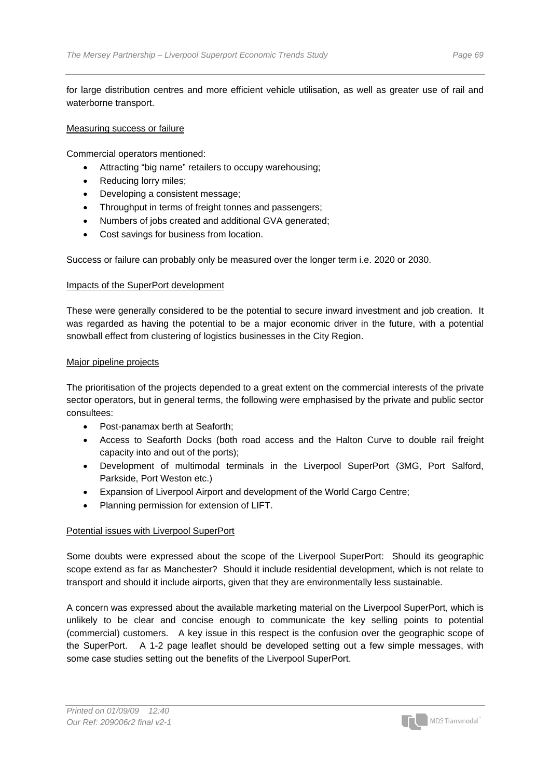for large distribution centres and more efficient vehicle utilisation, as well as greater use of rail and waterborne transport.

#### Measuring success or failure

Commercial operators mentioned:

- Attracting "big name" retailers to occupy warehousing;
- Reducing lorry miles;
- Developing a consistent message;
- Throughput in terms of freight tonnes and passengers;
- Numbers of jobs created and additional GVA generated;
- Cost savings for business from location.

Success or failure can probably only be measured over the longer term i.e. 2020 or 2030.

#### Impacts of the SuperPort development

These were generally considered to be the potential to secure inward investment and job creation. It was regarded as having the potential to be a major economic driver in the future, with a potential snowball effect from clustering of logistics businesses in the City Region.

#### Major pipeline projects

The prioritisation of the projects depended to a great extent on the commercial interests of the private sector operators, but in general terms, the following were emphasised by the private and public sector consultees:

- Post-panamax berth at Seaforth;
- Access to Seaforth Docks (both road access and the Halton Curve to double rail freight capacity into and out of the ports);
- Development of multimodal terminals in the Liverpool SuperPort (3MG, Port Salford, Parkside, Port Weston etc.)
- Expansion of Liverpool Airport and development of the World Cargo Centre;
- Planning permission for extension of LIFT.

#### Potential issues with Liverpool SuperPort

Some doubts were expressed about the scope of the Liverpool SuperPort: Should its geographic scope extend as far as Manchester? Should it include residential development, which is not relate to transport and should it include airports, given that they are environmentally less sustainable.

A concern was expressed about the available marketing material on the Liverpool SuperPort, which is unlikely to be clear and concise enough to communicate the key selling points to potential (commercial) customers. A key issue in this respect is the confusion over the geographic scope of the SuperPort. A 1-2 page leaflet should be developed setting out a few simple messages, with some case studies setting out the benefits of the Liverpool SuperPort.

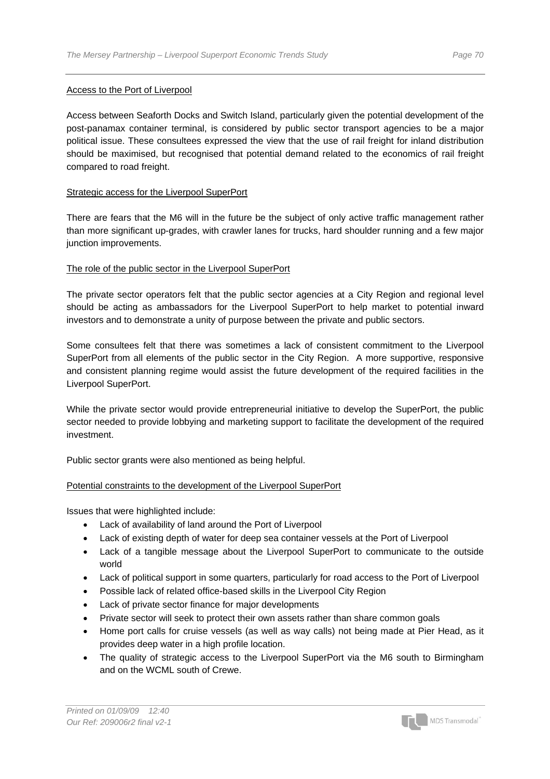#### Access to the Port of Liverpool

Access between Seaforth Docks and Switch Island, particularly given the potential development of the post-panamax container terminal, is considered by public sector transport agencies to be a major political issue. These consultees expressed the view that the use of rail freight for inland distribution should be maximised, but recognised that potential demand related to the economics of rail freight compared to road freight.

#### Strategic access for the Liverpool SuperPort

There are fears that the M6 will in the future be the subject of only active traffic management rather than more significant up-grades, with crawler lanes for trucks, hard shoulder running and a few major junction improvements.

#### The role of the public sector in the Liverpool SuperPort

The private sector operators felt that the public sector agencies at a City Region and regional level should be acting as ambassadors for the Liverpool SuperPort to help market to potential inward investors and to demonstrate a unity of purpose between the private and public sectors.

Some consultees felt that there was sometimes a lack of consistent commitment to the Liverpool SuperPort from all elements of the public sector in the City Region. A more supportive, responsive and consistent planning regime would assist the future development of the required facilities in the Liverpool SuperPort.

While the private sector would provide entrepreneurial initiative to develop the SuperPort, the public sector needed to provide lobbying and marketing support to facilitate the development of the required investment.

Public sector grants were also mentioned as being helpful.

#### Potential constraints to the development of the Liverpool SuperPort

Issues that were highlighted include:

- Lack of availability of land around the Port of Liverpool
- Lack of existing depth of water for deep sea container vessels at the Port of Liverpool
- Lack of a tangible message about the Liverpool SuperPort to communicate to the outside world
- Lack of political support in some quarters, particularly for road access to the Port of Liverpool
- Possible lack of related office-based skills in the Liverpool City Region
- Lack of private sector finance for major developments
- Private sector will seek to protect their own assets rather than share common goals
- Home port calls for cruise vessels (as well as way calls) not being made at Pier Head, as it provides deep water in a high profile location.
- The quality of strategic access to the Liverpool SuperPort via the M6 south to Birmingham and on the WCML south of Crewe.

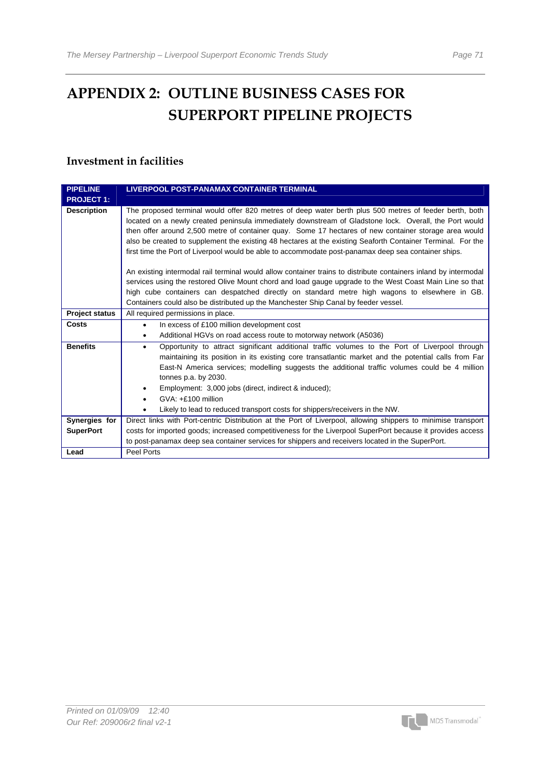## **APPENDIX 2: OUTLINE BUSINESS CASES FOR SUPERPORT PIPELINE PROJECTS**

## **Investment in facilities**

| <b>PIPELINE</b>       | <b>LIVERPOOL POST-PANAMAX CONTAINER TERMINAL</b>                                                                                                                                                                                                                                                                                                                                                                                                                                                                                                 |
|-----------------------|--------------------------------------------------------------------------------------------------------------------------------------------------------------------------------------------------------------------------------------------------------------------------------------------------------------------------------------------------------------------------------------------------------------------------------------------------------------------------------------------------------------------------------------------------|
| <b>PROJECT 1:</b>     |                                                                                                                                                                                                                                                                                                                                                                                                                                                                                                                                                  |
| <b>Description</b>    | The proposed terminal would offer 820 metres of deep water berth plus 500 metres of feeder berth, both<br>located on a newly created peninsula immediately downstream of Gladstone lock. Overall, the Port would<br>then offer around 2,500 metre of container quay. Some 17 hectares of new container storage area would<br>also be created to supplement the existing 48 hectares at the existing Seaforth Container Terminal. For the<br>first time the Port of Liverpool would be able to accommodate post-panamax deep sea container ships. |
|                       | An existing intermodal rail terminal would allow container trains to distribute containers inland by intermodal<br>services using the restored Olive Mount chord and load gauge upgrade to the West Coast Main Line so that<br>high cube containers can despatched directly on standard metre high wagons to elsewhere in GB.<br>Containers could also be distributed up the Manchester Ship Canal by feeder vessel.                                                                                                                             |
| <b>Project status</b> | All required permissions in place.                                                                                                                                                                                                                                                                                                                                                                                                                                                                                                               |
| Costs                 | In excess of £100 million development cost<br>$\bullet$<br>Additional HGVs on road access route to motorway network (A5036)                                                                                                                                                                                                                                                                                                                                                                                                                      |
| <b>Benefits</b>       | Opportunity to attract significant additional traffic volumes to the Port of Liverpool through<br>$\bullet$<br>maintaining its position in its existing core transatlantic market and the potential calls from Far<br>East-N America services; modelling suggests the additional traffic volumes could be 4 million<br>tonnes p.a. by 2030.<br>Employment: 3,000 jobs (direct, indirect & induced);<br>GVA: +£100 million<br>Likely to lead to reduced transport costs for shippers/receivers in the NW.                                         |
| Synergies for         | Direct links with Port-centric Distribution at the Port of Liverpool, allowing shippers to minimise transport                                                                                                                                                                                                                                                                                                                                                                                                                                    |
| <b>SuperPort</b>      | costs for imported goods; increased competitiveness for the Liverpool SuperPort because it provides access                                                                                                                                                                                                                                                                                                                                                                                                                                       |
|                       | to post-panamax deep sea container services for shippers and receivers located in the SuperPort.                                                                                                                                                                                                                                                                                                                                                                                                                                                 |
| Lead                  | Peel Ports                                                                                                                                                                                                                                                                                                                                                                                                                                                                                                                                       |

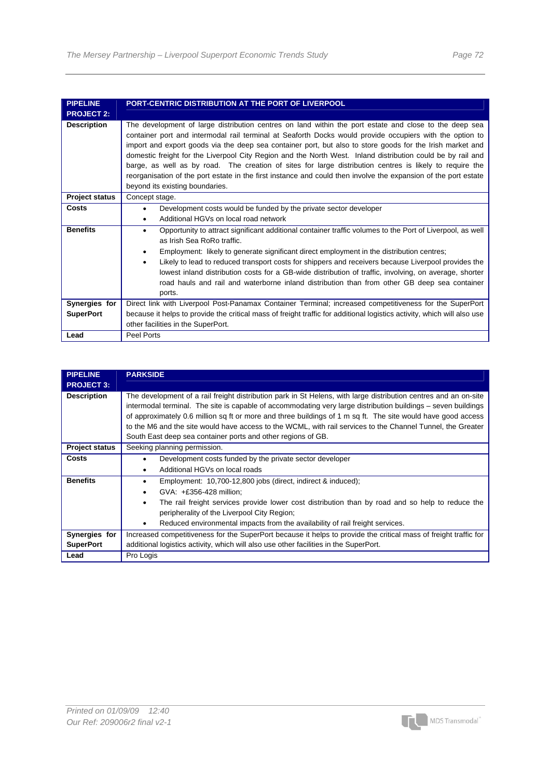| <b>PIPELINE</b>       | PORT-CENTRIC DISTRIBUTION AT THE PORT OF LIVERPOOL                                                                                                                                                                                                                                                                                                                                                                                                                                                                                                                                                                                                                                                               |
|-----------------------|------------------------------------------------------------------------------------------------------------------------------------------------------------------------------------------------------------------------------------------------------------------------------------------------------------------------------------------------------------------------------------------------------------------------------------------------------------------------------------------------------------------------------------------------------------------------------------------------------------------------------------------------------------------------------------------------------------------|
| <b>PROJECT 2:</b>     |                                                                                                                                                                                                                                                                                                                                                                                                                                                                                                                                                                                                                                                                                                                  |
| <b>Description</b>    | The development of large distribution centres on land within the port estate and close to the deep sea<br>container port and intermodal rail terminal at Seaforth Docks would provide occupiers with the option to<br>import and export goods via the deep sea container port, but also to store goods for the Irish market and<br>domestic freight for the Liverpool City Region and the North West. Inland distribution could be by rail and<br>barge, as well as by road. The creation of sites for large distribution centres is likely to require the<br>reorganisation of the port estate in the first instance and could then involve the expansion of the port estate<br>beyond its existing boundaries. |
| <b>Project status</b> | Concept stage.                                                                                                                                                                                                                                                                                                                                                                                                                                                                                                                                                                                                                                                                                                   |
| Costs                 | Development costs would be funded by the private sector developer<br>$\bullet$                                                                                                                                                                                                                                                                                                                                                                                                                                                                                                                                                                                                                                   |
|                       | Additional HGVs on local road network<br>٠                                                                                                                                                                                                                                                                                                                                                                                                                                                                                                                                                                                                                                                                       |
| <b>Benefits</b>       | Opportunity to attract significant additional container traffic volumes to the Port of Liverpool, as well<br>٠<br>as Irish Sea RoRo traffic.                                                                                                                                                                                                                                                                                                                                                                                                                                                                                                                                                                     |
|                       | Employment: likely to generate significant direct employment in the distribution centres;<br>٠                                                                                                                                                                                                                                                                                                                                                                                                                                                                                                                                                                                                                   |
|                       | Likely to lead to reduced transport costs for shippers and receivers because Liverpool provides the<br>$\bullet$                                                                                                                                                                                                                                                                                                                                                                                                                                                                                                                                                                                                 |
|                       | lowest inland distribution costs for a GB-wide distribution of traffic, involving, on average, shorter<br>road hauls and rail and waterborne inland distribution than from other GB deep sea container<br>ports.                                                                                                                                                                                                                                                                                                                                                                                                                                                                                                 |
| Synergies for         | Direct link with Liverpool Post-Panamax Container Terminal; increased competitiveness for the SuperPort                                                                                                                                                                                                                                                                                                                                                                                                                                                                                                                                                                                                          |
| <b>SuperPort</b>      | because it helps to provide the critical mass of freight traffic for additional logistics activity, which will also use                                                                                                                                                                                                                                                                                                                                                                                                                                                                                                                                                                                          |
|                       | other facilities in the SuperPort.                                                                                                                                                                                                                                                                                                                                                                                                                                                                                                                                                                                                                                                                               |
| Lead                  | Peel Ports                                                                                                                                                                                                                                                                                                                                                                                                                                                                                                                                                                                                                                                                                                       |

| <b>PIPELINE</b>       | <b>PARKSIDE</b>                                                                                                                                                                                                                                                                                                                                                                                                                                                                                                                  |
|-----------------------|----------------------------------------------------------------------------------------------------------------------------------------------------------------------------------------------------------------------------------------------------------------------------------------------------------------------------------------------------------------------------------------------------------------------------------------------------------------------------------------------------------------------------------|
| <b>PROJECT 3:</b>     |                                                                                                                                                                                                                                                                                                                                                                                                                                                                                                                                  |
| <b>Description</b>    | The development of a rail freight distribution park in St Helens, with large distribution centres and an on-site<br>intermodal terminal. The site is capable of accommodating very large distribution buildings – seven buildings<br>of approximately 0.6 million sq ft or more and three buildings of 1 m sq ft. The site would have good access<br>to the M6 and the site would have access to the WCML, with rail services to the Channel Tunnel, the Greater<br>South East deep sea container ports and other regions of GB. |
| <b>Project status</b> | Seeking planning permission.                                                                                                                                                                                                                                                                                                                                                                                                                                                                                                     |
| Costs                 | Development costs funded by the private sector developer                                                                                                                                                                                                                                                                                                                                                                                                                                                                         |
|                       | Additional HGVs on local roads                                                                                                                                                                                                                                                                                                                                                                                                                                                                                                   |
| <b>Benefits</b>       | Employment: 10,700-12,800 jobs (direct, indirect & induced);                                                                                                                                                                                                                                                                                                                                                                                                                                                                     |
|                       | GVA: +£356-428 million:<br>٠                                                                                                                                                                                                                                                                                                                                                                                                                                                                                                     |
|                       | The rail freight services provide lower cost distribution than by road and so help to reduce the<br>٠                                                                                                                                                                                                                                                                                                                                                                                                                            |
|                       | peripherality of the Liverpool City Region:                                                                                                                                                                                                                                                                                                                                                                                                                                                                                      |
|                       | Reduced environmental impacts from the availability of rail freight services.<br>$\bullet$                                                                                                                                                                                                                                                                                                                                                                                                                                       |
| Synergies for         | Increased competitiveness for the SuperPort because it helps to provide the critical mass of freight traffic for                                                                                                                                                                                                                                                                                                                                                                                                                 |
| <b>SuperPort</b>      | additional logistics activity, which will also use other facilities in the SuperPort.                                                                                                                                                                                                                                                                                                                                                                                                                                            |
| Lead                  | Pro Logis                                                                                                                                                                                                                                                                                                                                                                                                                                                                                                                        |

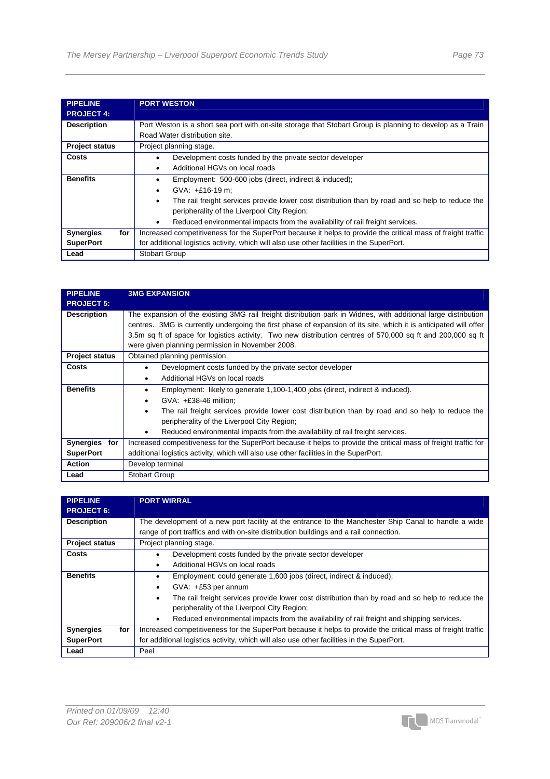| <b>PIPELINE</b><br><b>PROJECT 4:</b> | <b>PORT WESTON</b>                                                                                            |
|--------------------------------------|---------------------------------------------------------------------------------------------------------------|
| <b>Description</b>                   | Port Weston is a short sea port with on-site storage that Stobart Group is planning to develop as a Train     |
|                                      | Road Water distribution site.                                                                                 |
| <b>Project status</b>                | Project planning stage.                                                                                       |
| Costs                                | Development costs funded by the private sector developer                                                      |
|                                      | Additional HGVs on local roads<br>٠                                                                           |
| <b>Benefits</b>                      | Employment: 500-600 jobs (direct, indirect & induced);<br>٠                                                   |
|                                      | $GVA: +£16-19$ m:<br>٠                                                                                        |
|                                      | The rail freight services provide lower cost distribution than by road and so help to reduce the<br>$\bullet$ |
|                                      | peripherality of the Liverpool City Region;                                                                   |
|                                      | Reduced environmental impacts from the availability of rail freight services.                                 |
| for<br><b>Synergies</b>              | Increased competitiveness for the SuperPort because it helps to provide the critical mass of freight traffic  |
| <b>SuperPort</b>                     | for additional logistics activity, which will also use other facilities in the SuperPort.                     |
| Lead                                 | <b>Stobart Group</b>                                                                                          |

| <b>PIPELINE</b><br><b>PROJECT 5:</b> | <b>3MG EXPANSION</b>                                                                                                                                                                                                                                                                                                                                                                                   |
|--------------------------------------|--------------------------------------------------------------------------------------------------------------------------------------------------------------------------------------------------------------------------------------------------------------------------------------------------------------------------------------------------------------------------------------------------------|
| <b>Description</b>                   | The expansion of the existing 3MG rail freight distribution park in Widnes, with additional large distribution<br>centres. 3MG is currently undergoing the first phase of expansion of its site, which it is anticipated will offer<br>3.5m sq ft of space for logistics activity. Two new distribution centres of 570,000 sq ft and 200,000 sq ft<br>were given planning permission in November 2008. |
| <b>Project status</b>                | Obtained planning permission.                                                                                                                                                                                                                                                                                                                                                                          |
| <b>Costs</b>                         | Development costs funded by the private sector developer<br>Additional HGVs on local roads                                                                                                                                                                                                                                                                                                             |
| <b>Benefits</b>                      | Employment: likely to generate 1,100-1,400 jobs (direct, indirect & induced).<br>٠<br>$GVA: +E38-46$ million;<br>$\bullet$<br>The rail freight services provide lower cost distribution than by road and so help to reduce the<br>٠<br>peripherality of the Liverpool City Region;<br>Reduced environmental impacts from the availability of rail freight services.<br>٠                               |
| Synergies for<br><b>SuperPort</b>    | Increased competitiveness for the SuperPort because it helps to provide the critical mass of freight traffic for<br>additional logistics activity, which will also use other facilities in the SuperPort.                                                                                                                                                                                              |
| <b>Action</b>                        | Develop terminal                                                                                                                                                                                                                                                                                                                                                                                       |
| Lead                                 | <b>Stobart Group</b>                                                                                                                                                                                                                                                                                                                                                                                   |

| <b>PIPELINE</b><br><b>PROJECT 6:</b> | <b>PORT WIRRAL</b>                                                                                                                                                                            |
|--------------------------------------|-----------------------------------------------------------------------------------------------------------------------------------------------------------------------------------------------|
| <b>Description</b>                   | The development of a new port facility at the entrance to the Manchester Ship Canal to handle a wide<br>range of port traffics and with on-site distribution buildings and a rail connection. |
| <b>Project status</b>                | Project planning stage.                                                                                                                                                                       |
| Costs                                | Development costs funded by the private sector developer                                                                                                                                      |
|                                      | Additional HGVs on local roads<br>٠                                                                                                                                                           |
| <b>Benefits</b>                      | Employment: could generate 1,600 jobs (direct, indirect & induced);                                                                                                                           |
|                                      | $GVA: +E53$ per annum<br>٠                                                                                                                                                                    |
|                                      | The rail freight services provide lower cost distribution than by road and so help to reduce the<br>$\bullet$                                                                                 |
|                                      | peripherality of the Liverpool City Region;                                                                                                                                                   |
|                                      | Reduced environmental impacts from the availability of rail freight and shipping services.                                                                                                    |
| for<br><b>Synergies</b>              | Increased competitiveness for the SuperPort because it helps to provide the critical mass of freight traffic                                                                                  |
| <b>SuperPort</b>                     | for additional logistics activity, which will also use other facilities in the SuperPort.                                                                                                     |
| Lead                                 | Peel                                                                                                                                                                                          |

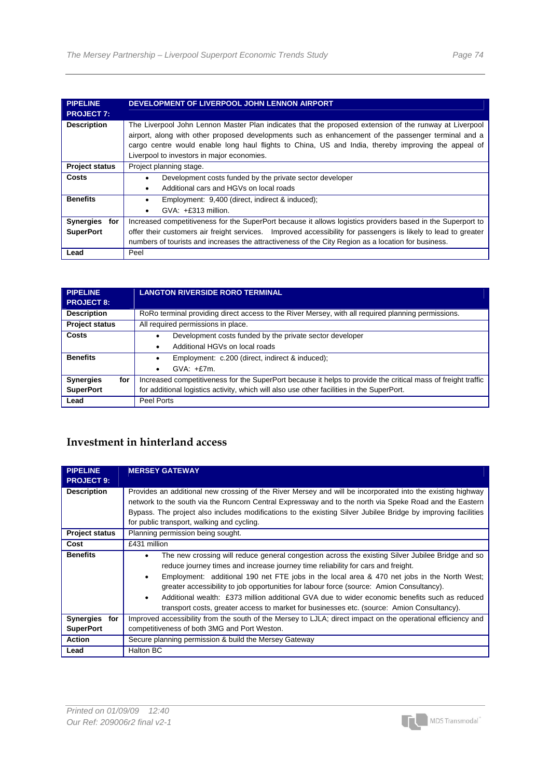| <b>PIPELINE</b>       | DEVELOPMENT OF LIVERPOOL JOHN LENNON AIRPORT                                                                   |
|-----------------------|----------------------------------------------------------------------------------------------------------------|
| <b>PROJECT 7:</b>     |                                                                                                                |
|                       |                                                                                                                |
| <b>Description</b>    | The Liverpool John Lennon Master Plan indicates that the proposed extension of the runway at Liverpool         |
|                       | airport, along with other proposed developments such as enhancement of the passenger terminal and a            |
|                       | cargo centre would enable long haul flights to China, US and India, thereby improving the appeal of            |
|                       | Liverpool to investors in major economies.                                                                     |
| <b>Project status</b> | Project planning stage.                                                                                        |
| Costs                 | Development costs funded by the private sector developer                                                       |
|                       | Additional cars and HGVs on local roads                                                                        |
| <b>Benefits</b>       | Employment: 9,400 (direct, indirect & induced);<br>$\bullet$                                                   |
|                       | $GVA: +E313$ million.                                                                                          |
| Synergies<br>for      | Increased competitiveness for the SuperPort because it allows logistics providers based in the Superport to    |
| <b>SuperPort</b>      | offer their customers air freight services. Improved accessibility for passengers is likely to lead to greater |
|                       | numbers of tourists and increases the attractiveness of the City Region as a location for business.            |
| Lead                  | Peel                                                                                                           |

| <b>PIPELINE</b>         | <b>LANGTON RIVERSIDE RORO TERMINAL</b>                                                                       |
|-------------------------|--------------------------------------------------------------------------------------------------------------|
| <b>PROJECT 8:</b>       |                                                                                                              |
| <b>Description</b>      | RoRo terminal providing direct access to the River Mersey, with all required planning permissions.           |
| <b>Project status</b>   | All required permissions in place.                                                                           |
| Costs                   | Development costs funded by the private sector developer                                                     |
|                         | Additional HGVs on local roads                                                                               |
| <b>Benefits</b>         | Employment: c.200 (direct, indirect & induced);<br>٠                                                         |
|                         | $GVA: +E7m$ .<br>٠                                                                                           |
| <b>Synergies</b><br>for | Increased competitiveness for the SuperPort because it helps to provide the critical mass of freight traffic |
| <b>SuperPort</b>        | for additional logistics activity, which will also use other facilities in the SuperPort.                    |
| Lead                    | Peel Ports                                                                                                   |

## **Investment in hinterland access**

| <b>PIPELINE</b><br><b>PROJECT 9:</b> | <b>MERSEY GATEWAY</b>                                                                                                                                                                                                                                                                                                                                                                                                                                                                                                                                                               |
|--------------------------------------|-------------------------------------------------------------------------------------------------------------------------------------------------------------------------------------------------------------------------------------------------------------------------------------------------------------------------------------------------------------------------------------------------------------------------------------------------------------------------------------------------------------------------------------------------------------------------------------|
| <b>Description</b>                   | Provides an additional new crossing of the River Mersey and will be incorporated into the existing highway<br>network to the south via the Runcorn Central Expressway and to the north via Speke Road and the Eastern<br>Bypass. The project also includes modifications to the existing Silver Jubilee Bridge by improving facilities<br>for public transport, walking and cycling.                                                                                                                                                                                                |
| <b>Project status</b>                | Planning permission being sought.                                                                                                                                                                                                                                                                                                                                                                                                                                                                                                                                                   |
| Cost                                 | £431 million                                                                                                                                                                                                                                                                                                                                                                                                                                                                                                                                                                        |
| <b>Benefits</b>                      | The new crossing will reduce general congestion across the existing Silver Jubilee Bridge and so<br>٠<br>reduce journey times and increase journey time reliability for cars and freight.<br>Employment: additional 190 net FTE jobs in the local area & 470 net jobs in the North West;<br>greater accessibility to job opportunities for labour force (source: Amion Consultancy).<br>Additional wealth: £373 million additional GVA due to wider economic benefits such as reduced<br>transport costs, greater access to market for businesses etc. (source: Amion Consultancy). |
| Synergies for                        | Improved accessibility from the south of the Mersey to LJLA; direct impact on the operational efficiency and                                                                                                                                                                                                                                                                                                                                                                                                                                                                        |
| <b>SuperPort</b>                     | competitiveness of both 3MG and Port Weston.                                                                                                                                                                                                                                                                                                                                                                                                                                                                                                                                        |
| <b>Action</b>                        | Secure planning permission & build the Mersey Gateway                                                                                                                                                                                                                                                                                                                                                                                                                                                                                                                               |
| Lead                                 | Halton BC                                                                                                                                                                                                                                                                                                                                                                                                                                                                                                                                                                           |

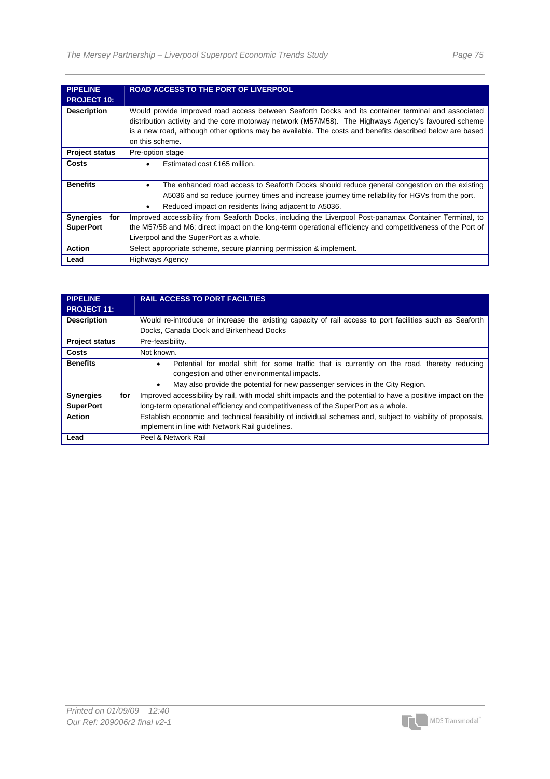| <b>PIPELINE</b>         | <b>ROAD ACCESS TO THE PORT OF LIVERPOOL</b>                                                                                                                                                                                                                                                                                                |
|-------------------------|--------------------------------------------------------------------------------------------------------------------------------------------------------------------------------------------------------------------------------------------------------------------------------------------------------------------------------------------|
| <b>PROJECT 10:</b>      |                                                                                                                                                                                                                                                                                                                                            |
| <b>Description</b>      | Would provide improved road access between Seaforth Docks and its container terminal and associated<br>distribution activity and the core motorway network (M57/M58). The Highways Agency's favoured scheme<br>is a new road, although other options may be available. The costs and benefits described below are based<br>on this scheme. |
| <b>Project status</b>   | Pre-option stage                                                                                                                                                                                                                                                                                                                           |
| Costs                   | Estimated cost £165 million.                                                                                                                                                                                                                                                                                                               |
|                         |                                                                                                                                                                                                                                                                                                                                            |
| <b>Benefits</b>         | The enhanced road access to Seaforth Docks should reduce general congestion on the existing<br>$\bullet$                                                                                                                                                                                                                                   |
|                         | A5036 and so reduce journey times and increase journey time reliability for HGVs from the port.                                                                                                                                                                                                                                            |
|                         | Reduced impact on residents living adjacent to A5036.<br>$\bullet$                                                                                                                                                                                                                                                                         |
| <b>Synergies</b><br>for | Improved accessibility from Seaforth Docks, including the Liverpool Post-panamax Container Terminal, to                                                                                                                                                                                                                                    |
| <b>SuperPort</b>        | the M57/58 and M6; direct impact on the long-term operational efficiency and competitiveness of the Port of                                                                                                                                                                                                                                |
|                         | Liverpool and the SuperPort as a whole.                                                                                                                                                                                                                                                                                                    |
| <b>Action</b>           | Select appropriate scheme, secure planning permission & implement.                                                                                                                                                                                                                                                                         |
| Lead                    | <b>Highways Agency</b>                                                                                                                                                                                                                                                                                                                     |

| <b>PIPELINE</b><br><b>PROJECT 11:</b> | <b>RAIL ACCESS TO PORT FACILTIES</b>                                                                        |
|---------------------------------------|-------------------------------------------------------------------------------------------------------------|
| <b>Description</b>                    | Would re-introduce or increase the existing capacity of rail access to port facilities such as Seaforth     |
|                                       | Docks, Canada Dock and Birkenhead Docks                                                                     |
| <b>Project status</b>                 | Pre-feasibility.                                                                                            |
| Costs                                 | Not known.                                                                                                  |
| <b>Benefits</b>                       | Potential for modal shift for some traffic that is currently on the road, thereby reducing<br>٠             |
|                                       | congestion and other environmental impacts.                                                                 |
|                                       | May also provide the potential for new passenger services in the City Region.                               |
| <b>Synergies</b><br>for               | Improved accessibility by rail, with modal shift impacts and the potential to have a positive impact on the |
| <b>SuperPort</b>                      | long-term operational efficiency and competitiveness of the SuperPort as a whole.                           |
| <b>Action</b>                         | Establish economic and technical feasibility of individual schemes and, subject to viability of proposals,  |
|                                       | implement in line with Network Rail quidelines.                                                             |
| Lead                                  | Peel & Network Rail                                                                                         |

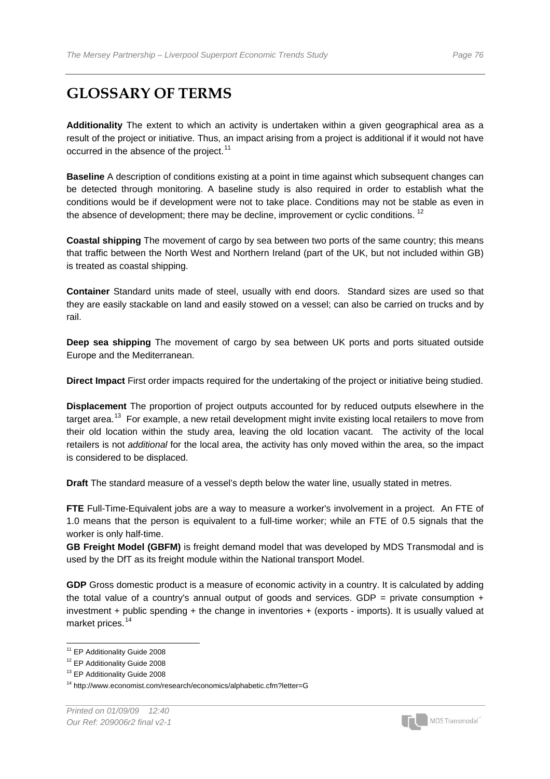## **GLOSSARY OF TERMS**

**Additionality** The extent to which an activity is undertaken within a given geographical area as a result of the project or initiative. Thus, an impact arising from a project is additional if it would not have occurred in the absence of the project.<sup>[1](#page-77-0)1</sup>

**Baseline** A description of conditions existing at a point in time against which subsequent changes can be detected through monitoring. A baseline study is also required in order to establish what the conditions would be if development were not to take place. Conditions may not be stable as even in the absence of development; there may be decline, improvement or cyclic conditions.  $12$ 

**Coastal shipping** The movement of cargo by sea between two ports of the same country; this means that traffic between the North West and Northern Ireland (part of the UK, but not included within GB) is treated as coastal shipping.

**Container** Standard units made of steel, usually with end doors. Standard sizes are used so that they are easily stackable on land and easily stowed on a vessel; can also be carried on trucks and by rail.

**Deep sea shipping** The movement of cargo by sea between UK ports and ports situated outside Europe and the Mediterranean.

**Direct Impact** First order impacts required for the undertaking of the project or initiative being studied.

**Displacement** The proportion of project outputs accounted for by reduced outputs elsewhere in the target area.<sup>[1](#page-77-2)3</sup> For example, a new retail development might invite existing local retailers to move from their old location within the study area, leaving the old location vacant. The activity of the local retailers is not *additional* for the local area, the activity has only moved within the area, so the impact is considered to be displaced.

**Draft** The standard measure of a vessel's depth below the water line, usually stated in metres.

**FTE** Full-Time-Equivalent jobs are a way to measure a worker's involvement in a project. An FTE of 1.0 means that the person is equivalent to a full-time worker; while an FTE of 0.5 signals that the worker is only half-time.

**GB Freight Model (GBFM)** is freight demand model that was developed by MDS Transmodal and is used by the DfT as its freight module within the National transport Model.

GDP Gross domestic product is a measure of economic activity in a country. It is calculated by adding the total value of a country's annual output of goods and services. GDP = private consumption  $+$ investment + public spending + the change in inventories + (exports - imports). It is usually valued at market prices.<sup>[14](#page-77-3)</sup>



<sup>&</sup>lt;sup>11</sup> EP Additionality Guide 2008

<span id="page-77-1"></span><span id="page-77-0"></span><sup>&</sup>lt;sup>12</sup> EP Additionality Guide 2008

<span id="page-77-2"></span><sup>13</sup> EP Additionality Guide 2008

<span id="page-77-3"></span><sup>14</sup> http://www.economist.com/research/economics/alphabetic.cfm?letter=G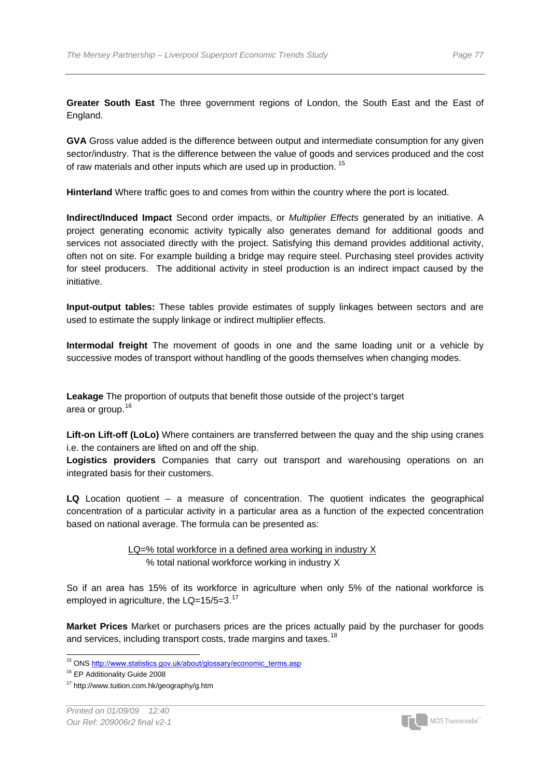**Greater South East** The three government regions of London, the South East and the East of England.

**GVA** Gross value added is the difference between output and intermediate consumption for any given sector/industry. That is the difference between the value of goods and services produced and the cost of raw materials and other inputs which are used up in production. <sup>[15](#page-78-0)</sup>

**Hinterland** Where traffic goes to and comes from within the country where the port is located.

**Indirect/Induced Impact** Second order impacts, or *Multiplier Effects* generated by an initiative. A project generating economic activity typically also generates demand for additional goods and services not associated directly with the project. Satisfying this demand provides additional activity, often not on site. For example building a bridge may require steel. Purchasing steel provides activity for steel producers. The additional activity in steel production is an indirect impact caused by the initiative.

**Input-output tables:** These tables provide estimates of supply linkages between sectors and are used to estimate the supply linkage or indirect multiplier effects.

**Intermodal freight** The movement of goods in one and the same loading unit or a vehicle by successive modes of transport without handling of the goods themselves when changing modes.

**Leakage** The proportion of outputs that benefit those outside of the project's target area or group.<sup>[16](#page-78-1)</sup>

**Lift-on Lift-off (LoLo)** Where containers are transferred between the quay and the ship using cranes i.e. the containers are lifted on and off the ship.

**Logistics providers** Companies that carry out transport and warehousing operations on an integrated basis for their customers.

**LQ** Location quotient – a measure of concentration. The quotient indicates the geographical concentration of a particular activity in a particular area as a function of the expected concentration based on national average. The formula can be presented as:

> LQ=% total workforce in a defined area working in industry X % total national workforce working in industry X

So if an area has 15% of its workforce in agriculture when only 5% of the national workforce is employed in agriculture, the LQ=15/5=3.<sup>[17](#page-78-2)</sup>

<span id="page-78-3"></span>**Market Prices** Market or purchasers prices are the prices actually paid by the purchaser for goods and services, including transport costs, trade margins and taxes.<sup>[1](#page-78-3)8</sup>

 $\overline{a}$ 



<sup>&</sup>lt;sup>15</sup> ONS http://www.statistics.gov.uk/about/glossary/economic\_terms.asp

<span id="page-78-1"></span><span id="page-78-0"></span><sup>&</sup>lt;sup>16</sup> EP Additionality Guide 2008

<span id="page-78-2"></span><sup>17</sup> http://www.tuition.com.hk/geography/g.htm